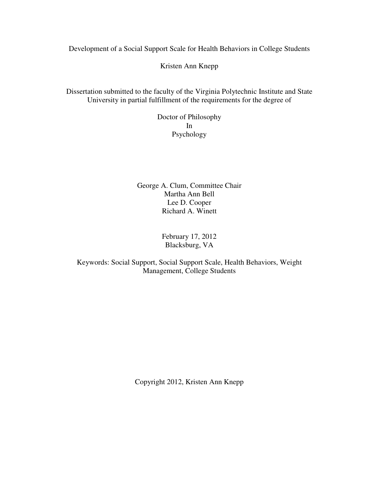Development of a Social Support Scale for Health Behaviors in College Students

Kristen Ann Knepp

Dissertation submitted to the faculty of the Virginia Polytechnic Institute and State University in partial fulfillment of the requirements for the degree of

> Doctor of Philosophy In Psychology

George A. Clum, Committee Chair Martha Ann Bell Lee D. Cooper Richard A. Winett

> February 17, 2012 Blacksburg, VA

# Keywords: Social Support, Social Support Scale, Health Behaviors, Weight Management, College Students

Copyright 2012, Kristen Ann Knepp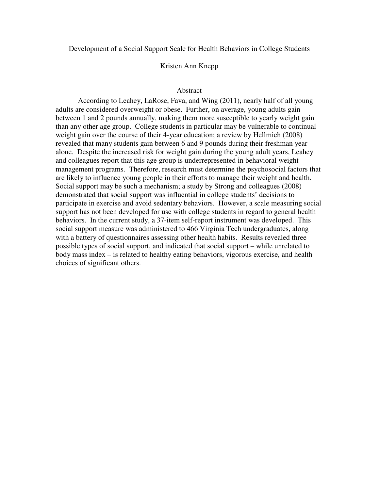Development of a Social Support Scale for Health Behaviors in College Students

#### Kristen Ann Knepp

#### Abstract

According to Leahey, LaRose, Fava, and Wing (2011), nearly half of all young adults are considered overweight or obese. Further, on average, young adults gain between 1 and 2 pounds annually, making them more susceptible to yearly weight gain than any other age group. College students in particular may be vulnerable to continual weight gain over the course of their 4-year education; a review by Hellmich (2008) revealed that many students gain between 6 and 9 pounds during their freshman year alone. Despite the increased risk for weight gain during the young adult years, Leahey and colleagues report that this age group is underrepresented in behavioral weight management programs. Therefore, research must determine the psychosocial factors that are likely to influence young people in their efforts to manage their weight and health. Social support may be such a mechanism; a study by Strong and colleagues (2008) demonstrated that social support was influential in college students' decisions to participate in exercise and avoid sedentary behaviors. However, a scale measuring social support has not been developed for use with college students in regard to general health behaviors. In the current study, a 37-item self-report instrument was developed. This social support measure was administered to 466 Virginia Tech undergraduates, along with a battery of questionnaires assessing other health habits. Results revealed three possible types of social support, and indicated that social support – while unrelated to body mass index – is related to healthy eating behaviors, vigorous exercise, and health choices of significant others.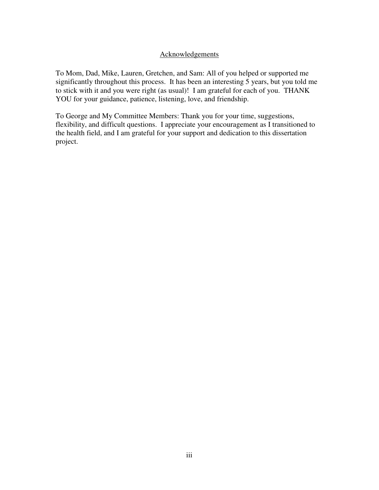## Acknowledgements

To Mom, Dad, Mike, Lauren, Gretchen, and Sam: All of you helped or supported me significantly throughout this process. It has been an interesting 5 years, but you told me to stick with it and you were right (as usual)! I am grateful for each of you. THANK YOU for your guidance, patience, listening, love, and friendship.

To George and My Committee Members: Thank you for your time, suggestions, flexibility, and difficult questions. I appreciate your encouragement as I transitioned to the health field, and I am grateful for your support and dedication to this dissertation project.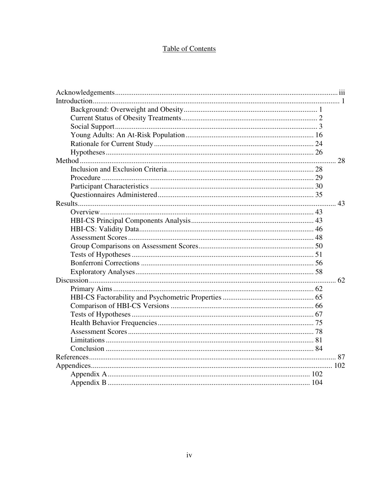# **Table of Contents**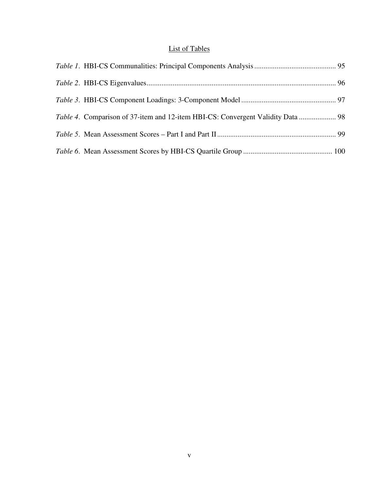# List of Tables

| Table 4. Comparison of 37-item and 12-item HBI-CS: Convergent Validity Data  98 |  |
|---------------------------------------------------------------------------------|--|
|                                                                                 |  |
|                                                                                 |  |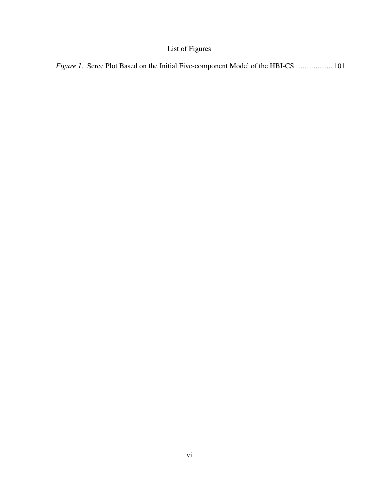# List of Figures

|  |  |  |  | <i>Figure 1.</i> Scree Plot Based on the Initial Five-component Model of the HBI-CS  101 |  |  |  |
|--|--|--|--|------------------------------------------------------------------------------------------|--|--|--|
|  |  |  |  |                                                                                          |  |  |  |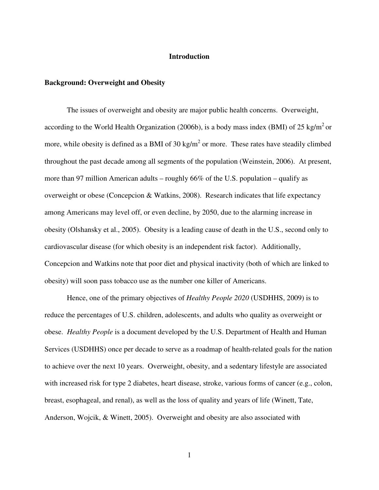### **Introduction**

#### **Background: Overweight and Obesity**

The issues of overweight and obesity are major public health concerns. Overweight, according to the World Health Organization (2006b), is a body mass index (BMI) of 25 kg/m<sup>2</sup> or more, while obesity is defined as a BMI of 30 kg/m<sup>2</sup> or more. These rates have steadily climbed throughout the past decade among all segments of the population (Weinstein, 2006). At present, more than 97 million American adults – roughly 66% of the U.S. population – qualify as overweight or obese (Concepcion & Watkins, 2008). Research indicates that life expectancy among Americans may level off, or even decline, by 2050, due to the alarming increase in obesity (Olshansky et al., 2005). Obesity is a leading cause of death in the U.S., second only to cardiovascular disease (for which obesity is an independent risk factor). Additionally, Concepcion and Watkins note that poor diet and physical inactivity (both of which are linked to obesity) will soon pass tobacco use as the number one killer of Americans.

Hence, one of the primary objectives of *Healthy People 2020* (USDHHS, 2009) is to reduce the percentages of U.S. children, adolescents, and adults who quality as overweight or obese. *Healthy People* is a document developed by the U.S. Department of Health and Human Services (USDHHS) once per decade to serve as a roadmap of health-related goals for the nation to achieve over the next 10 years. Overweight, obesity, and a sedentary lifestyle are associated with increased risk for type 2 diabetes, heart disease, stroke, various forms of cancer (e.g., colon, breast, esophageal, and renal), as well as the loss of quality and years of life (Winett, Tate, Anderson, Wojcik, & Winett, 2005). Overweight and obesity are also associated with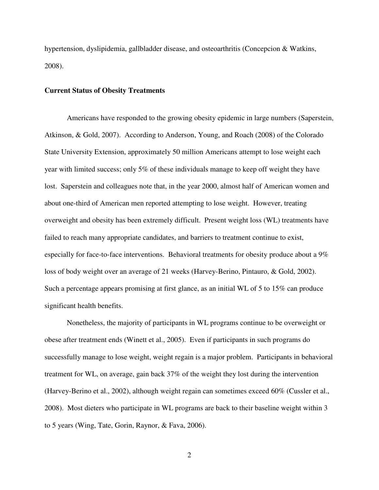hypertension, dyslipidemia, gallbladder disease, and osteoarthritis (Concepcion & Watkins, 2008).

#### **Current Status of Obesity Treatments**

Americans have responded to the growing obesity epidemic in large numbers (Saperstein, Atkinson, & Gold, 2007). According to Anderson, Young, and Roach (2008) of the Colorado State University Extension, approximately 50 million Americans attempt to lose weight each year with limited success; only 5% of these individuals manage to keep off weight they have lost. Saperstein and colleagues note that, in the year 2000, almost half of American women and about one-third of American men reported attempting to lose weight. However, treating overweight and obesity has been extremely difficult. Present weight loss (WL) treatments have failed to reach many appropriate candidates, and barriers to treatment continue to exist, especially for face-to-face interventions. Behavioral treatments for obesity produce about a 9% loss of body weight over an average of 21 weeks (Harvey-Berino, Pintauro, & Gold, 2002). Such a percentage appears promising at first glance, as an initial WL of 5 to 15% can produce significant health benefits.

Nonetheless, the majority of participants in WL programs continue to be overweight or obese after treatment ends (Winett et al., 2005). Even if participants in such programs do successfully manage to lose weight, weight regain is a major problem. Participants in behavioral treatment for WL, on average, gain back 37% of the weight they lost during the intervention (Harvey-Berino et al., 2002), although weight regain can sometimes exceed 60% (Cussler et al., 2008). Most dieters who participate in WL programs are back to their baseline weight within 3 to 5 years (Wing, Tate, Gorin, Raynor, & Fava, 2006).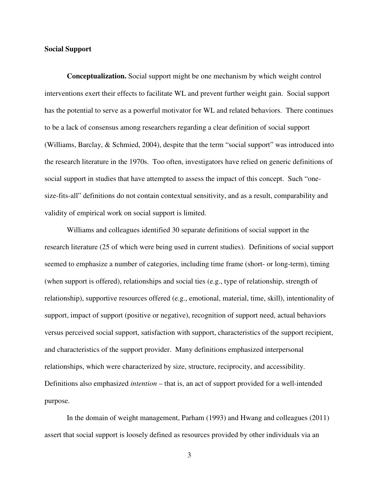#### **Social Support**

**Conceptualization.** Social support might be one mechanism by which weight control interventions exert their effects to facilitate WL and prevent further weight gain. Social support has the potential to serve as a powerful motivator for WL and related behaviors. There continues to be a lack of consensus among researchers regarding a clear definition of social support (Williams, Barclay, & Schmied, 2004), despite that the term "social support" was introduced into the research literature in the 1970s. Too often, investigators have relied on generic definitions of social support in studies that have attempted to assess the impact of this concept. Such "onesize-fits-all" definitions do not contain contextual sensitivity, and as a result, comparability and validity of empirical work on social support is limited.

Williams and colleagues identified 30 separate definitions of social support in the research literature (25 of which were being used in current studies). Definitions of social support seemed to emphasize a number of categories, including time frame (short- or long-term), timing (when support is offered), relationships and social ties (e.g., type of relationship, strength of relationship), supportive resources offered (e.g., emotional, material, time, skill), intentionality of support, impact of support (positive or negative), recognition of support need, actual behaviors versus perceived social support, satisfaction with support, characteristics of the support recipient, and characteristics of the support provider. Many definitions emphasized interpersonal relationships, which were characterized by size, structure, reciprocity, and accessibility. Definitions also emphasized *intention* – that is, an act of support provided for a well-intended purpose.

In the domain of weight management, Parham (1993) and Hwang and colleagues (2011) assert that social support is loosely defined as resources provided by other individuals via an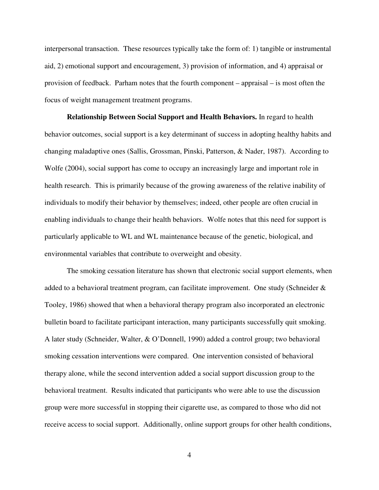interpersonal transaction. These resources typically take the form of: 1) tangible or instrumental aid, 2) emotional support and encouragement, 3) provision of information, and 4) appraisal or provision of feedback. Parham notes that the fourth component – appraisal – is most often the focus of weight management treatment programs.

**Relationship Between Social Support and Health Behaviors.** In regard to health behavior outcomes, social support is a key determinant of success in adopting healthy habits and changing maladaptive ones (Sallis, Grossman, Pinski, Patterson, & Nader, 1987). According to Wolfe (2004), social support has come to occupy an increasingly large and important role in health research. This is primarily because of the growing awareness of the relative inability of individuals to modify their behavior by themselves; indeed, other people are often crucial in enabling individuals to change their health behaviors. Wolfe notes that this need for support is particularly applicable to WL and WL maintenance because of the genetic, biological, and environmental variables that contribute to overweight and obesity.

The smoking cessation literature has shown that electronic social support elements, when added to a behavioral treatment program, can facilitate improvement. One study (Schneider & Tooley, 1986) showed that when a behavioral therapy program also incorporated an electronic bulletin board to facilitate participant interaction, many participants successfully quit smoking. A later study (Schneider, Walter, & O'Donnell, 1990) added a control group; two behavioral smoking cessation interventions were compared. One intervention consisted of behavioral therapy alone, while the second intervention added a social support discussion group to the behavioral treatment. Results indicated that participants who were able to use the discussion group were more successful in stopping their cigarette use, as compared to those who did not receive access to social support. Additionally, online support groups for other health conditions,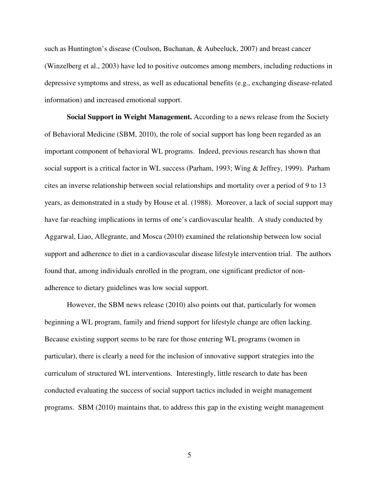such as Huntington's disease (Coulson, Buchanan, & Aubeeluck, 2007) and breast cancer (Winzelberg et al., 2003) have led to positive outcomes among members, including reductions in depressive symptoms and stress, as well as educational benefits (e.g., exchanging disease-related information) and increased emotional support.

**Social Support in Weight Management.** According to a news release from the Society of Behavioral Medicine (SBM, 2010), the role of social support has long been regarded as an important component of behavioral WL programs. Indeed, previous research has shown that social support is a critical factor in WL success (Parham, 1993; Wing & Jeffrey, 1999). Parham cites an inverse relationship between social relationships and mortality over a period of 9 to 13 years, as demonstrated in a study by House et al. (1988). Moreover, a lack of social support may have far-reaching implications in terms of one's cardiovascular health. A study conducted by Aggarwal, Liao, Allegrante, and Mosca (2010) examined the relationship between low social support and adherence to diet in a cardiovascular disease lifestyle intervention trial. The authors found that, among individuals enrolled in the program, one significant predictor of nonadherence to dietary guidelines was low social support.

However, the SBM news release (2010) also points out that, particularly for women beginning a WL program, family and friend support for lifestyle change are often lacking. Because existing support seems to be rare for those entering WL programs (women in particular), there is clearly a need for the inclusion of innovative support strategies into the curriculum of structured WL interventions. Interestingly, little research to date has been conducted evaluating the success of social support tactics included in weight management programs. SBM (2010) maintains that, to address this gap in the existing weight management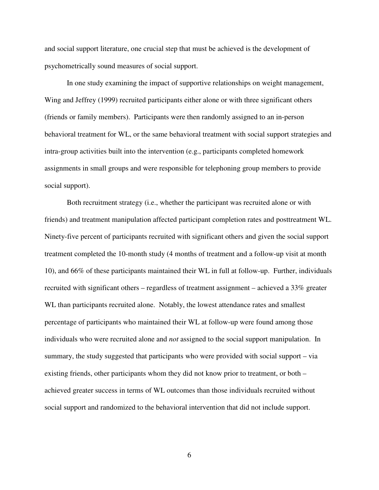and social support literature, one crucial step that must be achieved is the development of psychometrically sound measures of social support.

In one study examining the impact of supportive relationships on weight management, Wing and Jeffrey (1999) recruited participants either alone or with three significant others (friends or family members). Participants were then randomly assigned to an in-person behavioral treatment for WL, or the same behavioral treatment with social support strategies and intra-group activities built into the intervention (e.g., participants completed homework assignments in small groups and were responsible for telephoning group members to provide social support).

Both recruitment strategy (i.e., whether the participant was recruited alone or with friends) and treatment manipulation affected participant completion rates and posttreatment WL. Ninety-five percent of participants recruited with significant others and given the social support treatment completed the 10-month study (4 months of treatment and a follow-up visit at month 10), and 66% of these participants maintained their WL in full at follow-up. Further, individuals recruited with significant others – regardless of treatment assignment – achieved a 33% greater WL than participants recruited alone. Notably, the lowest attendance rates and smallest percentage of participants who maintained their WL at follow-up were found among those individuals who were recruited alone and *not* assigned to the social support manipulation. In summary, the study suggested that participants who were provided with social support – via existing friends, other participants whom they did not know prior to treatment, or both – achieved greater success in terms of WL outcomes than those individuals recruited without social support and randomized to the behavioral intervention that did not include support.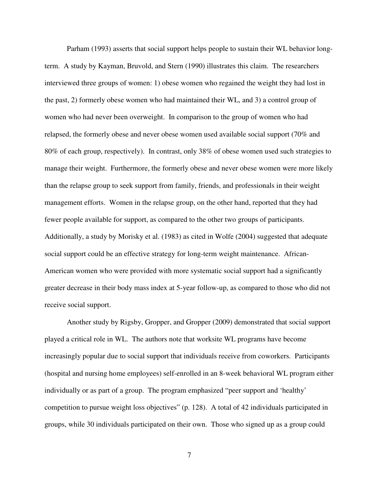Parham (1993) asserts that social support helps people to sustain their WL behavior longterm. A study by Kayman, Bruvold, and Stern (1990) illustrates this claim. The researchers interviewed three groups of women: 1) obese women who regained the weight they had lost in the past, 2) formerly obese women who had maintained their WL, and 3) a control group of women who had never been overweight. In comparison to the group of women who had relapsed, the formerly obese and never obese women used available social support (70% and 80% of each group, respectively). In contrast, only 38% of obese women used such strategies to manage their weight. Furthermore, the formerly obese and never obese women were more likely than the relapse group to seek support from family, friends, and professionals in their weight management efforts. Women in the relapse group, on the other hand, reported that they had fewer people available for support, as compared to the other two groups of participants. Additionally, a study by Morisky et al. (1983) as cited in Wolfe (2004) suggested that adequate social support could be an effective strategy for long-term weight maintenance. African-American women who were provided with more systematic social support had a significantly greater decrease in their body mass index at 5-year follow-up, as compared to those who did not receive social support.

Another study by Rigsby, Gropper, and Gropper (2009) demonstrated that social support played a critical role in WL. The authors note that worksite WL programs have become increasingly popular due to social support that individuals receive from coworkers. Participants (hospital and nursing home employees) self-enrolled in an 8-week behavioral WL program either individually or as part of a group. The program emphasized "peer support and 'healthy' competition to pursue weight loss objectives" (p. 128). A total of 42 individuals participated in groups, while 30 individuals participated on their own. Those who signed up as a group could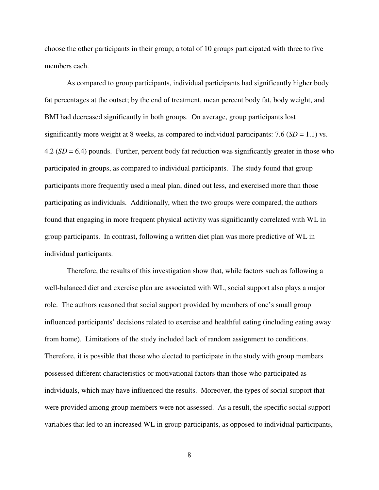choose the other participants in their group; a total of 10 groups participated with three to five members each.

As compared to group participants, individual participants had significantly higher body fat percentages at the outset; by the end of treatment, mean percent body fat, body weight, and BMI had decreased significantly in both groups. On average, group participants lost significantly more weight at 8 weeks, as compared to individual participants:  $7.6$  ( $SD = 1.1$ ) vs. 4.2 (*SD* = 6.4) pounds. Further, percent body fat reduction was significantly greater in those who participated in groups, as compared to individual participants. The study found that group participants more frequently used a meal plan, dined out less, and exercised more than those participating as individuals. Additionally, when the two groups were compared, the authors found that engaging in more frequent physical activity was significantly correlated with WL in group participants. In contrast, following a written diet plan was more predictive of WL in individual participants.

Therefore, the results of this investigation show that, while factors such as following a well-balanced diet and exercise plan are associated with WL, social support also plays a major role. The authors reasoned that social support provided by members of one's small group influenced participants' decisions related to exercise and healthful eating (including eating away from home). Limitations of the study included lack of random assignment to conditions. Therefore, it is possible that those who elected to participate in the study with group members possessed different characteristics or motivational factors than those who participated as individuals, which may have influenced the results. Moreover, the types of social support that were provided among group members were not assessed. As a result, the specific social support variables that led to an increased WL in group participants, as opposed to individual participants,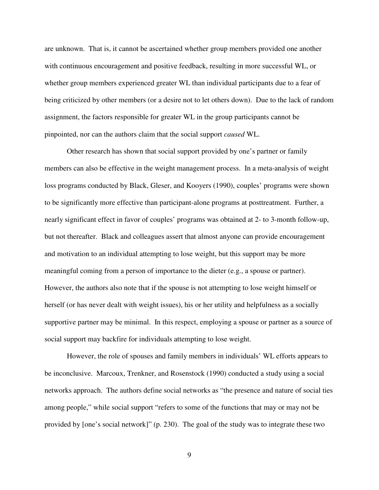are unknown. That is, it cannot be ascertained whether group members provided one another with continuous encouragement and positive feedback, resulting in more successful WL, or whether group members experienced greater WL than individual participants due to a fear of being criticized by other members (or a desire not to let others down). Due to the lack of random assignment, the factors responsible for greater WL in the group participants cannot be pinpointed, nor can the authors claim that the social support *caused* WL.

Other research has shown that social support provided by one's partner or family members can also be effective in the weight management process. In a meta-analysis of weight loss programs conducted by Black, Gleser, and Kooyers (1990), couples' programs were shown to be significantly more effective than participant-alone programs at posttreatment. Further, a nearly significant effect in favor of couples' programs was obtained at 2- to 3-month follow-up, but not thereafter. Black and colleagues assert that almost anyone can provide encouragement and motivation to an individual attempting to lose weight, but this support may be more meaningful coming from a person of importance to the dieter (e.g., a spouse or partner). However, the authors also note that if the spouse is not attempting to lose weight himself or herself (or has never dealt with weight issues), his or her utility and helpfulness as a socially supportive partner may be minimal. In this respect, employing a spouse or partner as a source of social support may backfire for individuals attempting to lose weight.

However, the role of spouses and family members in individuals' WL efforts appears to be inconclusive. Marcoux, Trenkner, and Rosenstock (1990) conducted a study using a social networks approach. The authors define social networks as "the presence and nature of social ties among people," while social support "refers to some of the functions that may or may not be provided by [one's social network]" (p. 230). The goal of the study was to integrate these two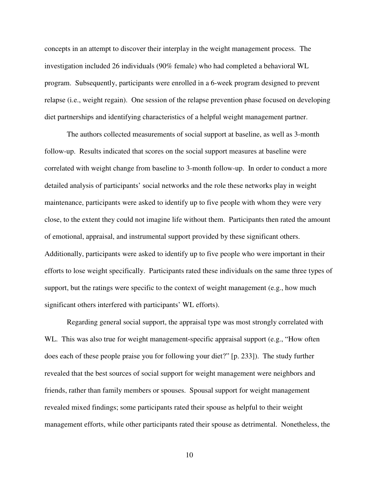concepts in an attempt to discover their interplay in the weight management process. The investigation included 26 individuals (90% female) who had completed a behavioral WL program. Subsequently, participants were enrolled in a 6-week program designed to prevent relapse (i.e., weight regain). One session of the relapse prevention phase focused on developing diet partnerships and identifying characteristics of a helpful weight management partner.

The authors collected measurements of social support at baseline, as well as 3-month follow-up. Results indicated that scores on the social support measures at baseline were correlated with weight change from baseline to 3-month follow-up. In order to conduct a more detailed analysis of participants' social networks and the role these networks play in weight maintenance, participants were asked to identify up to five people with whom they were very close, to the extent they could not imagine life without them. Participants then rated the amount of emotional, appraisal, and instrumental support provided by these significant others. Additionally, participants were asked to identify up to five people who were important in their efforts to lose weight specifically. Participants rated these individuals on the same three types of support, but the ratings were specific to the context of weight management (e.g., how much significant others interfered with participants' WL efforts).

Regarding general social support, the appraisal type was most strongly correlated with WL. This was also true for weight management-specific appraisal support (e.g., "How often does each of these people praise you for following your diet?" [p. 233]). The study further revealed that the best sources of social support for weight management were neighbors and friends, rather than family members or spouses. Spousal support for weight management revealed mixed findings; some participants rated their spouse as helpful to their weight management efforts, while other participants rated their spouse as detrimental. Nonetheless, the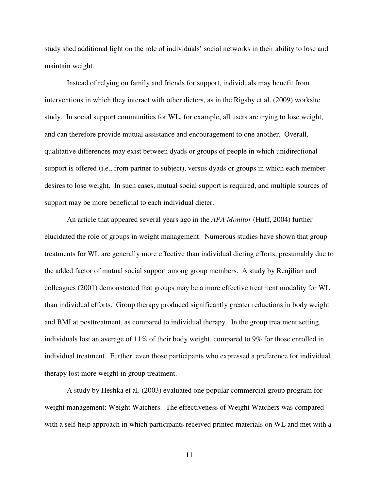study shed additional light on the role of individuals' social networks in their ability to lose and maintain weight.

Instead of relying on family and friends for support, individuals may benefit from interventions in which they interact with other dieters, as in the Rigsby et al. (2009) worksite study. In social support communities for WL, for example, all users are trying to lose weight, and can therefore provide mutual assistance and encouragement to one another. Overall, qualitative differences may exist between dyads or groups of people in which unidirectional support is offered (i.e., from partner to subject), versus dyads or groups in which each member desires to lose weight. In such cases, mutual social support is required, and multiple sources of support may be more beneficial to each individual dieter.

An article that appeared several years ago in the *APA Monitor* (Huff, 2004) further elucidated the role of groups in weight management. Numerous studies have shown that group treatments for WL are generally more effective than individual dieting efforts, presumably due to the added factor of mutual social support among group members. A study by Renjilian and colleagues (2001) demonstrated that groups may be a more effective treatment modality for WL than individual efforts. Group therapy produced significantly greater reductions in body weight and BMI at posttreatment, as compared to individual therapy. In the group treatment setting, individuals lost an average of 11% of their body weight, compared to 9% for those enrolled in individual treatment. Further, even those participants who expressed a preference for individual therapy lost more weight in group treatment.

A study by Heshka et al. (2003) evaluated one popular commercial group program for weight management: Weight Watchers. The effectiveness of Weight Watchers was compared with a self-help approach in which participants received printed materials on WL and met with a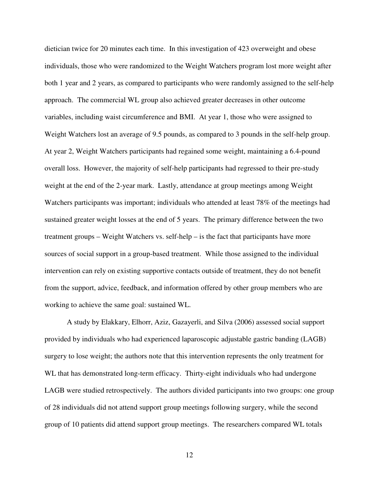dietician twice for 20 minutes each time. In this investigation of 423 overweight and obese individuals, those who were randomized to the Weight Watchers program lost more weight after both 1 year and 2 years, as compared to participants who were randomly assigned to the self-help approach. The commercial WL group also achieved greater decreases in other outcome variables, including waist circumference and BMI. At year 1, those who were assigned to Weight Watchers lost an average of 9.5 pounds, as compared to 3 pounds in the self-help group. At year 2, Weight Watchers participants had regained some weight, maintaining a 6.4-pound overall loss. However, the majority of self-help participants had regressed to their pre-study weight at the end of the 2-year mark. Lastly, attendance at group meetings among Weight Watchers participants was important; individuals who attended at least 78% of the meetings had sustained greater weight losses at the end of 5 years. The primary difference between the two treatment groups – Weight Watchers vs. self-help – is the fact that participants have more sources of social support in a group-based treatment. While those assigned to the individual intervention can rely on existing supportive contacts outside of treatment, they do not benefit from the support, advice, feedback, and information offered by other group members who are working to achieve the same goal: sustained WL.

A study by Elakkary, Elhorr, Aziz, Gazayerli, and Silva (2006) assessed social support provided by individuals who had experienced laparoscopic adjustable gastric banding (LAGB) surgery to lose weight; the authors note that this intervention represents the only treatment for WL that has demonstrated long-term efficacy. Thirty-eight individuals who had undergone LAGB were studied retrospectively. The authors divided participants into two groups: one group of 28 individuals did not attend support group meetings following surgery, while the second group of 10 patients did attend support group meetings. The researchers compared WL totals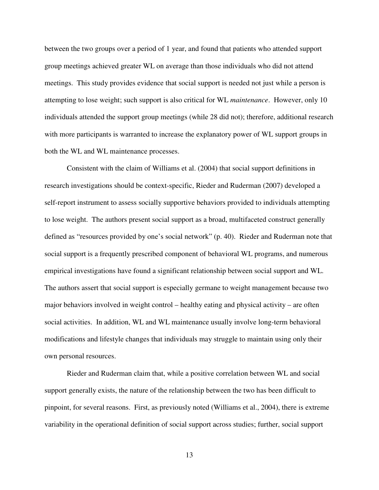between the two groups over a period of 1 year, and found that patients who attended support group meetings achieved greater WL on average than those individuals who did not attend meetings. This study provides evidence that social support is needed not just while a person is attempting to lose weight; such support is also critical for WL *maintenance*. However, only 10 individuals attended the support group meetings (while 28 did not); therefore, additional research with more participants is warranted to increase the explanatory power of WL support groups in both the WL and WL maintenance processes.

Consistent with the claim of Williams et al. (2004) that social support definitions in research investigations should be context-specific, Rieder and Ruderman (2007) developed a self-report instrument to assess socially supportive behaviors provided to individuals attempting to lose weight. The authors present social support as a broad, multifaceted construct generally defined as "resources provided by one's social network" (p. 40). Rieder and Ruderman note that social support is a frequently prescribed component of behavioral WL programs, and numerous empirical investigations have found a significant relationship between social support and WL. The authors assert that social support is especially germane to weight management because two major behaviors involved in weight control – healthy eating and physical activity – are often social activities. In addition, WL and WL maintenance usually involve long-term behavioral modifications and lifestyle changes that individuals may struggle to maintain using only their own personal resources.

Rieder and Ruderman claim that, while a positive correlation between WL and social support generally exists, the nature of the relationship between the two has been difficult to pinpoint, for several reasons. First, as previously noted (Williams et al., 2004), there is extreme variability in the operational definition of social support across studies; further, social support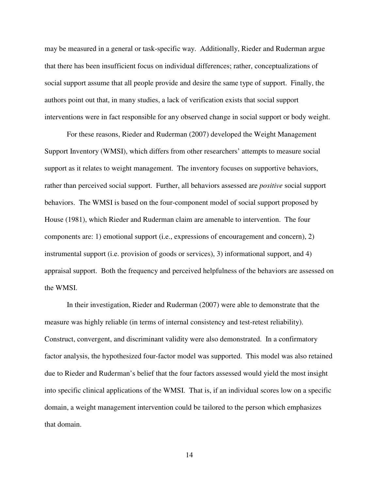may be measured in a general or task-specific way. Additionally, Rieder and Ruderman argue that there has been insufficient focus on individual differences; rather, conceptualizations of social support assume that all people provide and desire the same type of support. Finally, the authors point out that, in many studies, a lack of verification exists that social support interventions were in fact responsible for any observed change in social support or body weight.

For these reasons, Rieder and Ruderman (2007) developed the Weight Management Support Inventory (WMSI), which differs from other researchers' attempts to measure social support as it relates to weight management. The inventory focuses on supportive behaviors, rather than perceived social support. Further, all behaviors assessed are *positive* social support behaviors. The WMSI is based on the four-component model of social support proposed by House (1981), which Rieder and Ruderman claim are amenable to intervention. The four components are: 1) emotional support (i.e., expressions of encouragement and concern), 2) instrumental support (i.e. provision of goods or services), 3) informational support, and 4) appraisal support. Both the frequency and perceived helpfulness of the behaviors are assessed on the WMSI.

In their investigation, Rieder and Ruderman (2007) were able to demonstrate that the measure was highly reliable (in terms of internal consistency and test-retest reliability). Construct, convergent, and discriminant validity were also demonstrated. In a confirmatory factor analysis, the hypothesized four-factor model was supported. This model was also retained due to Rieder and Ruderman's belief that the four factors assessed would yield the most insight into specific clinical applications of the WMSI. That is, if an individual scores low on a specific domain, a weight management intervention could be tailored to the person which emphasizes that domain.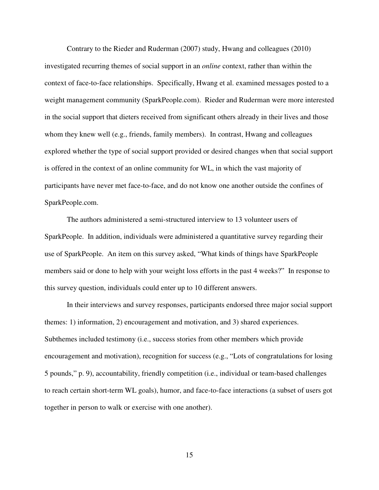Contrary to the Rieder and Ruderman (2007) study, Hwang and colleagues (2010) investigated recurring themes of social support in an *online* context, rather than within the context of face-to-face relationships. Specifically, Hwang et al. examined messages posted to a weight management community (SparkPeople.com). Rieder and Ruderman were more interested in the social support that dieters received from significant others already in their lives and those whom they knew well (e.g., friends, family members). In contrast, Hwang and colleagues explored whether the type of social support provided or desired changes when that social support is offered in the context of an online community for WL, in which the vast majority of participants have never met face-to-face, and do not know one another outside the confines of SparkPeople.com.

The authors administered a semi-structured interview to 13 volunteer users of SparkPeople. In addition, individuals were administered a quantitative survey regarding their use of SparkPeople. An item on this survey asked, "What kinds of things have SparkPeople members said or done to help with your weight loss efforts in the past 4 weeks?" In response to this survey question, individuals could enter up to 10 different answers.

In their interviews and survey responses, participants endorsed three major social support themes: 1) information, 2) encouragement and motivation, and 3) shared experiences. Subthemes included testimony (i.e., success stories from other members which provide encouragement and motivation), recognition for success (e.g., "Lots of congratulations for losing 5 pounds," p. 9), accountability, friendly competition (i.e., individual or team-based challenges to reach certain short-term WL goals), humor, and face-to-face interactions (a subset of users got together in person to walk or exercise with one another).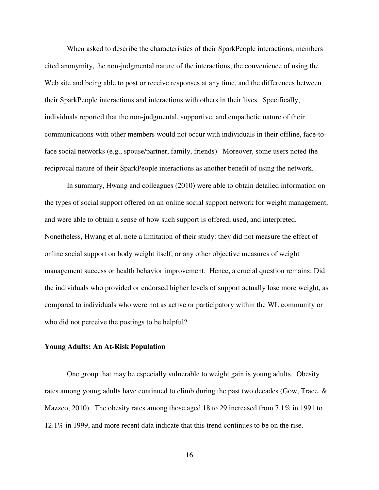When asked to describe the characteristics of their SparkPeople interactions, members cited anonymity, the non-judgmental nature of the interactions, the convenience of using the Web site and being able to post or receive responses at any time, and the differences between their SparkPeople interactions and interactions with others in their lives. Specifically, individuals reported that the non-judgmental, supportive, and empathetic nature of their communications with other members would not occur with individuals in their offline, face-toface social networks (e.g., spouse/partner, family, friends). Moreover, some users noted the reciprocal nature of their SparkPeople interactions as another benefit of using the network.

In summary, Hwang and colleagues (2010) were able to obtain detailed information on the types of social support offered on an online social support network for weight management, and were able to obtain a sense of how such support is offered, used, and interpreted. Nonetheless, Hwang et al. note a limitation of their study: they did not measure the effect of online social support on body weight itself, or any other objective measures of weight management success or health behavior improvement. Hence, a crucial question remains: Did the individuals who provided or endorsed higher levels of support actually lose more weight, as compared to individuals who were not as active or participatory within the WL community or who did not perceive the postings to be helpful?

#### **Young Adults: An At-Risk Population**

One group that may be especially vulnerable to weight gain is young adults. Obesity rates among young adults have continued to climb during the past two decades (Gow, Trace, & Mazzeo, 2010). The obesity rates among those aged 18 to 29 increased from 7.1% in 1991 to 12.1% in 1999, and more recent data indicate that this trend continues to be on the rise.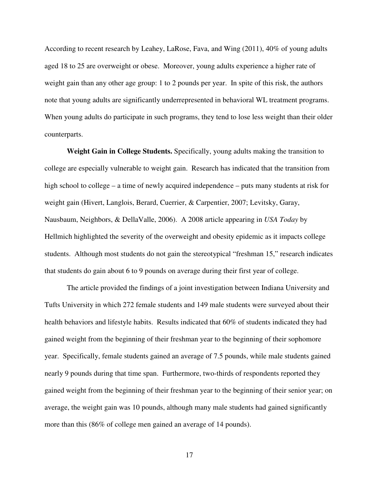According to recent research by Leahey, LaRose, Fava, and Wing (2011), 40% of young adults aged 18 to 25 are overweight or obese. Moreover, young adults experience a higher rate of weight gain than any other age group: 1 to 2 pounds per year. In spite of this risk, the authors note that young adults are significantly underrepresented in behavioral WL treatment programs. When young adults do participate in such programs, they tend to lose less weight than their older counterparts.

**Weight Gain in College Students.** Specifically, young adults making the transition to college are especially vulnerable to weight gain. Research has indicated that the transition from high school to college – a time of newly acquired independence – puts many students at risk for weight gain (Hivert, Langlois, Berard, Cuerrier, & Carpentier, 2007; Levitsky, Garay, Nausbaum, Neighbors, & DellaValle, 2006). A 2008 article appearing in *USA Today* by Hellmich highlighted the severity of the overweight and obesity epidemic as it impacts college students. Although most students do not gain the stereotypical "freshman 15," research indicates that students do gain about 6 to 9 pounds on average during their first year of college.

The article provided the findings of a joint investigation between Indiana University and Tufts University in which 272 female students and 149 male students were surveyed about their health behaviors and lifestyle habits. Results indicated that 60% of students indicated they had gained weight from the beginning of their freshman year to the beginning of their sophomore year. Specifically, female students gained an average of 7.5 pounds, while male students gained nearly 9 pounds during that time span. Furthermore, two-thirds of respondents reported they gained weight from the beginning of their freshman year to the beginning of their senior year; on average, the weight gain was 10 pounds, although many male students had gained significantly more than this (86% of college men gained an average of 14 pounds).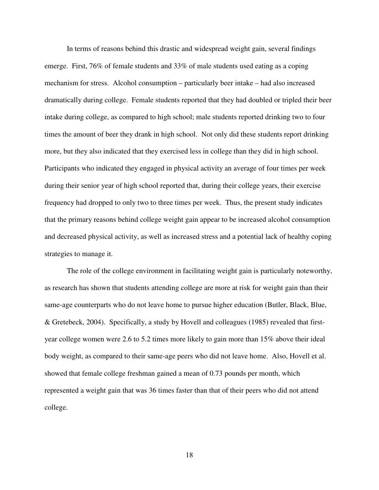In terms of reasons behind this drastic and widespread weight gain, several findings emerge. First, 76% of female students and 33% of male students used eating as a coping mechanism for stress. Alcohol consumption – particularly beer intake – had also increased dramatically during college. Female students reported that they had doubled or tripled their beer intake during college, as compared to high school; male students reported drinking two to four times the amount of beer they drank in high school. Not only did these students report drinking more, but they also indicated that they exercised less in college than they did in high school. Participants who indicated they engaged in physical activity an average of four times per week during their senior year of high school reported that, during their college years, their exercise frequency had dropped to only two to three times per week. Thus, the present study indicates that the primary reasons behind college weight gain appear to be increased alcohol consumption and decreased physical activity, as well as increased stress and a potential lack of healthy coping strategies to manage it.

The role of the college environment in facilitating weight gain is particularly noteworthy, as research has shown that students attending college are more at risk for weight gain than their same-age counterparts who do not leave home to pursue higher education (Butler, Black, Blue, & Gretebeck, 2004). Specifically, a study by Hovell and colleagues (1985) revealed that firstyear college women were 2.6 to 5.2 times more likely to gain more than 15% above their ideal body weight, as compared to their same-age peers who did not leave home. Also, Hovell et al. showed that female college freshman gained a mean of 0.73 pounds per month, which represented a weight gain that was 36 times faster than that of their peers who did not attend college.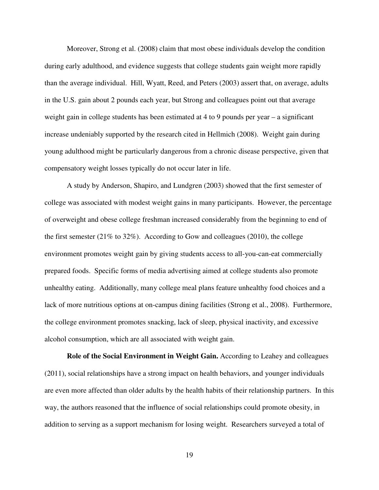Moreover, Strong et al. (2008) claim that most obese individuals develop the condition during early adulthood, and evidence suggests that college students gain weight more rapidly than the average individual. Hill, Wyatt, Reed, and Peters (2003) assert that, on average, adults in the U.S. gain about 2 pounds each year, but Strong and colleagues point out that average weight gain in college students has been estimated at 4 to 9 pounds per year – a significant increase undeniably supported by the research cited in Hellmich (2008). Weight gain during young adulthood might be particularly dangerous from a chronic disease perspective, given that compensatory weight losses typically do not occur later in life.

 A study by Anderson, Shapiro, and Lundgren (2003) showed that the first semester of college was associated with modest weight gains in many participants. However, the percentage of overweight and obese college freshman increased considerably from the beginning to end of the first semester (21% to 32%). According to Gow and colleagues (2010), the college environment promotes weight gain by giving students access to all-you-can-eat commercially prepared foods. Specific forms of media advertising aimed at college students also promote unhealthy eating. Additionally, many college meal plans feature unhealthy food choices and a lack of more nutritious options at on-campus dining facilities (Strong et al., 2008). Furthermore, the college environment promotes snacking, lack of sleep, physical inactivity, and excessive alcohol consumption, which are all associated with weight gain.

**Role of the Social Environment in Weight Gain.** According to Leahey and colleagues (2011), social relationships have a strong impact on health behaviors, and younger individuals are even more affected than older adults by the health habits of their relationship partners. In this way, the authors reasoned that the influence of social relationships could promote obesity, in addition to serving as a support mechanism for losing weight. Researchers surveyed a total of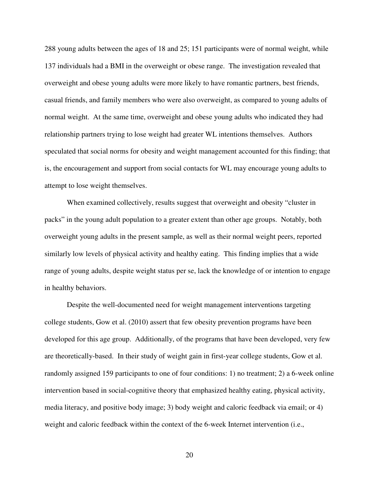288 young adults between the ages of 18 and 25; 151 participants were of normal weight, while 137 individuals had a BMI in the overweight or obese range. The investigation revealed that overweight and obese young adults were more likely to have romantic partners, best friends, casual friends, and family members who were also overweight, as compared to young adults of normal weight. At the same time, overweight and obese young adults who indicated they had relationship partners trying to lose weight had greater WL intentions themselves. Authors speculated that social norms for obesity and weight management accounted for this finding; that is, the encouragement and support from social contacts for WL may encourage young adults to attempt to lose weight themselves.

When examined collectively, results suggest that overweight and obesity "cluster in packs" in the young adult population to a greater extent than other age groups. Notably, both overweight young adults in the present sample, as well as their normal weight peers, reported similarly low levels of physical activity and healthy eating. This finding implies that a wide range of young adults, despite weight status per se, lack the knowledge of or intention to engage in healthy behaviors.

Despite the well-documented need for weight management interventions targeting college students, Gow et al. (2010) assert that few obesity prevention programs have been developed for this age group. Additionally, of the programs that have been developed, very few are theoretically-based. In their study of weight gain in first-year college students, Gow et al. randomly assigned 159 participants to one of four conditions: 1) no treatment; 2) a 6-week online intervention based in social-cognitive theory that emphasized healthy eating, physical activity, media literacy, and positive body image; 3) body weight and caloric feedback via email; or 4) weight and caloric feedback within the context of the 6-week Internet intervention (i.e.,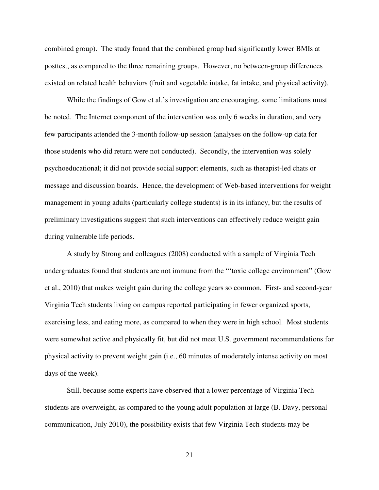combined group). The study found that the combined group had significantly lower BMIs at posttest, as compared to the three remaining groups. However, no between-group differences existed on related health behaviors (fruit and vegetable intake, fat intake, and physical activity).

While the findings of Gow et al.'s investigation are encouraging, some limitations must be noted. The Internet component of the intervention was only 6 weeks in duration, and very few participants attended the 3-month follow-up session (analyses on the follow-up data for those students who did return were not conducted). Secondly, the intervention was solely psychoeducational; it did not provide social support elements, such as therapist-led chats or message and discussion boards. Hence, the development of Web-based interventions for weight management in young adults (particularly college students) is in its infancy, but the results of preliminary investigations suggest that such interventions can effectively reduce weight gain during vulnerable life periods.

A study by Strong and colleagues (2008) conducted with a sample of Virginia Tech undergraduates found that students are not immune from the "'toxic college environment" (Gow et al., 2010) that makes weight gain during the college years so common. First- and second-year Virginia Tech students living on campus reported participating in fewer organized sports, exercising less, and eating more, as compared to when they were in high school. Most students were somewhat active and physically fit, but did not meet U.S. government recommendations for physical activity to prevent weight gain (i.e., 60 minutes of moderately intense activity on most days of the week).

Still, because some experts have observed that a lower percentage of Virginia Tech students are overweight, as compared to the young adult population at large (B. Davy, personal communication, July 2010), the possibility exists that few Virginia Tech students may be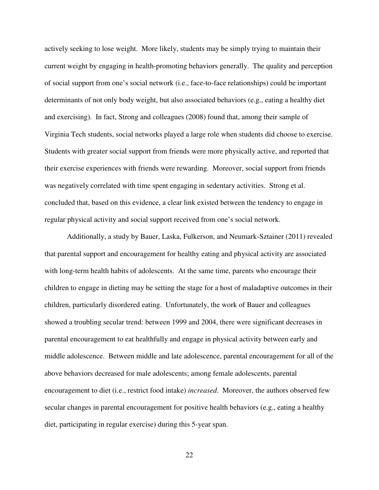actively seeking to lose weight. More likely, students may be simply trying to maintain their current weight by engaging in health-promoting behaviors generally. The quality and perception of social support from one's social network (i.e., face-to-face relationships) could be important determinants of not only body weight, but also associated behaviors (e.g., eating a healthy diet and exercising). In fact, Strong and colleagues (2008) found that, among their sample of Virginia Tech students, social networks played a large role when students did choose to exercise. Students with greater social support from friends were more physically active, and reported that their exercise experiences with friends were rewarding. Moreover, social support from friends was negatively correlated with time spent engaging in sedentary activities. Strong et al. concluded that, based on this evidence, a clear link existed between the tendency to engage in regular physical activity and social support received from one's social network.

Additionally, a study by Bauer, Laska, Fulkerson, and Neumark-Sztainer (2011) revealed that parental support and encouragement for healthy eating and physical activity are associated with long-term health habits of adolescents. At the same time, parents who encourage their children to engage in dieting may be setting the stage for a host of maladaptive outcomes in their children, particularly disordered eating. Unfortunately, the work of Bauer and colleagues showed a troubling secular trend: between 1999 and 2004, there were significant decreases in parental encouragement to eat healthfully and engage in physical activity between early and middle adolescence. Between middle and late adolescence, parental encouragement for all of the above behaviors decreased for male adolescents; among female adolescents, parental encouragement to diet (i.e., restrict food intake) *increased*. Moreover, the authors observed few secular changes in parental encouragement for positive health behaviors (e.g., eating a healthy diet, participating in regular exercise) during this 5-year span.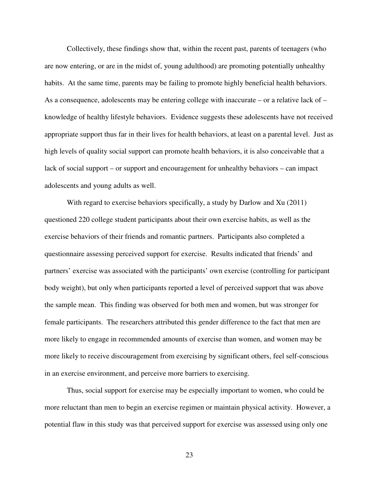Collectively, these findings show that, within the recent past, parents of teenagers (who are now entering, or are in the midst of, young adulthood) are promoting potentially unhealthy habits. At the same time, parents may be failing to promote highly beneficial health behaviors. As a consequence, adolescents may be entering college with inaccurate – or a relative lack of – knowledge of healthy lifestyle behaviors. Evidence suggests these adolescents have not received appropriate support thus far in their lives for health behaviors, at least on a parental level. Just as high levels of quality social support can promote health behaviors, it is also conceivable that a lack of social support – or support and encouragement for unhealthy behaviors – can impact adolescents and young adults as well.

With regard to exercise behaviors specifically, a study by Darlow and Xu (2011) questioned 220 college student participants about their own exercise habits, as well as the exercise behaviors of their friends and romantic partners. Participants also completed a questionnaire assessing perceived support for exercise. Results indicated that friends' and partners' exercise was associated with the participants' own exercise (controlling for participant body weight), but only when participants reported a level of perceived support that was above the sample mean. This finding was observed for both men and women, but was stronger for female participants. The researchers attributed this gender difference to the fact that men are more likely to engage in recommended amounts of exercise than women, and women may be more likely to receive discouragement from exercising by significant others, feel self-conscious in an exercise environment, and perceive more barriers to exercising.

Thus, social support for exercise may be especially important to women, who could be more reluctant than men to begin an exercise regimen or maintain physical activity. However, a potential flaw in this study was that perceived support for exercise was assessed using only one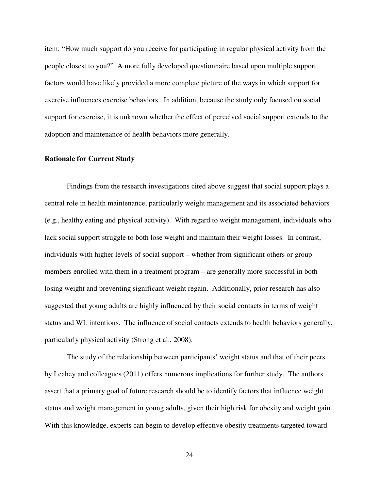item: "How much support do you receive for participating in regular physical activity from the people closest to you?" A more fully developed questionnaire based upon multiple support factors would have likely provided a more complete picture of the ways in which support for exercise influences exercise behaviors. In addition, because the study only focused on social support for exercise, it is unknown whether the effect of perceived social support extends to the adoption and maintenance of health behaviors more generally.

#### **Rationale for Current Study**

Findings from the research investigations cited above suggest that social support plays a central role in health maintenance, particularly weight management and its associated behaviors (e.g., healthy eating and physical activity). With regard to weight management, individuals who lack social support struggle to both lose weight and maintain their weight losses. In contrast, individuals with higher levels of social support – whether from significant others or group members enrolled with them in a treatment program – are generally more successful in both losing weight and preventing significant weight regain. Additionally, prior research has also suggested that young adults are highly influenced by their social contacts in terms of weight status and WL intentions. The influence of social contacts extends to health behaviors generally, particularly physical activity (Strong et al., 2008).

 The study of the relationship between participants' weight status and that of their peers by Leahey and colleagues (2011) offers numerous implications for further study. The authors assert that a primary goal of future research should be to identify factors that influence weight status and weight management in young adults, given their high risk for obesity and weight gain. With this knowledge, experts can begin to develop effective obesity treatments targeted toward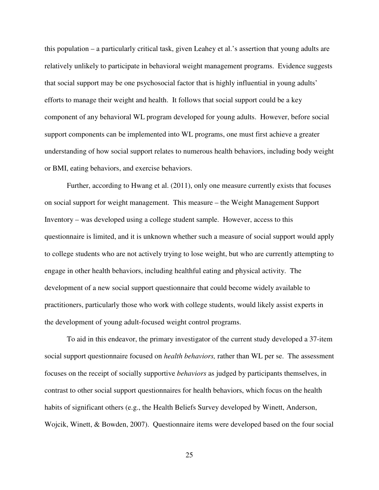this population – a particularly critical task, given Leahey et al.'s assertion that young adults are relatively unlikely to participate in behavioral weight management programs. Evidence suggests that social support may be one psychosocial factor that is highly influential in young adults' efforts to manage their weight and health. It follows that social support could be a key component of any behavioral WL program developed for young adults. However, before social support components can be implemented into WL programs, one must first achieve a greater understanding of how social support relates to numerous health behaviors, including body weight or BMI, eating behaviors, and exercise behaviors.

Further, according to Hwang et al. (2011), only one measure currently exists that focuses on social support for weight management. This measure – the Weight Management Support Inventory – was developed using a college student sample. However, access to this questionnaire is limited, and it is unknown whether such a measure of social support would apply to college students who are not actively trying to lose weight, but who are currently attempting to engage in other health behaviors, including healthful eating and physical activity. The development of a new social support questionnaire that could become widely available to practitioners, particularly those who work with college students, would likely assist experts in the development of young adult-focused weight control programs.

To aid in this endeavor, the primary investigator of the current study developed a 37-item social support questionnaire focused on *health behaviors,* rather than WL per se. The assessment focuses on the receipt of socially supportive *behaviors* as judged by participants themselves, in contrast to other social support questionnaires for health behaviors, which focus on the health habits of significant others (e.g., the Health Beliefs Survey developed by Winett, Anderson, Wojcik, Winett, & Bowden, 2007). Questionnaire items were developed based on the four social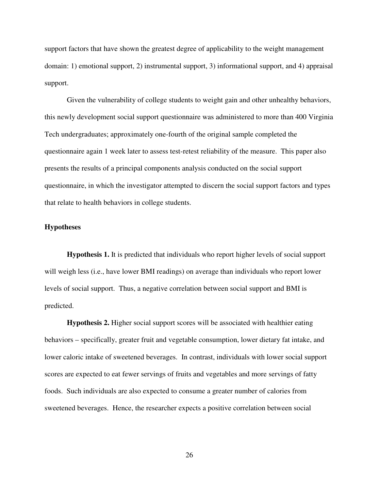support factors that have shown the greatest degree of applicability to the weight management domain: 1) emotional support, 2) instrumental support, 3) informational support, and 4) appraisal support.

Given the vulnerability of college students to weight gain and other unhealthy behaviors, this newly development social support questionnaire was administered to more than 400 Virginia Tech undergraduates; approximately one-fourth of the original sample completed the questionnaire again 1 week later to assess test-retest reliability of the measure. This paper also presents the results of a principal components analysis conducted on the social support questionnaire, in which the investigator attempted to discern the social support factors and types that relate to health behaviors in college students.

#### **Hypotheses**

**Hypothesis 1.** It is predicted that individuals who report higher levels of social support will weigh less (i.e., have lower BMI readings) on average than individuals who report lower levels of social support. Thus, a negative correlation between social support and BMI is predicted.

**Hypothesis 2.** Higher social support scores will be associated with healthier eating behaviors – specifically, greater fruit and vegetable consumption, lower dietary fat intake, and lower caloric intake of sweetened beverages. In contrast, individuals with lower social support scores are expected to eat fewer servings of fruits and vegetables and more servings of fatty foods. Such individuals are also expected to consume a greater number of calories from sweetened beverages. Hence, the researcher expects a positive correlation between social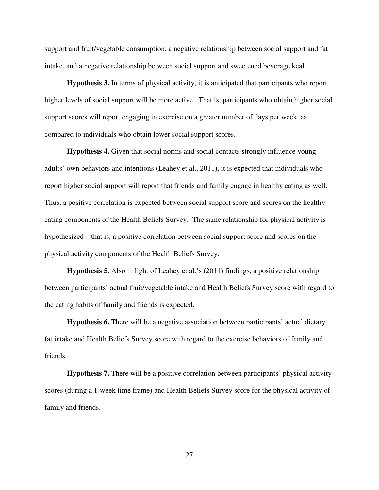support and fruit/vegetable consumption, a negative relationship between social support and fat intake, and a negative relationship between social support and sweetened beverage kcal.

**Hypothesis 3.** In terms of physical activity, it is anticipated that participants who report higher levels of social support will be more active. That is, participants who obtain higher social support scores will report engaging in exercise on a greater number of days per week, as compared to individuals who obtain lower social support scores.

**Hypothesis 4.** Given that social norms and social contacts strongly influence young adults' own behaviors and intentions (Leahey et al., 2011), it is expected that individuals who report higher social support will report that friends and family engage in healthy eating as well. Thus, a positive correlation is expected between social support score and scores on the healthy eating components of the Health Beliefs Survey. The same relationship for physical activity is hypothesized – that is, a positive correlation between social support score and scores on the physical activity components of the Health Beliefs Survey.

**Hypothesis 5.** Also in light of Leahey et al.'s (2011) findings, a positive relationship between participants' actual fruit/vegetable intake and Health Beliefs Survey score with regard to the eating habits of family and friends is expected.

**Hypothesis 6.** There will be a negative association between participants' actual dietary fat intake and Health Beliefs Survey score with regard to the exercise behaviors of family and friends.

**Hypothesis 7.** There will be a positive correlation between participants' physical activity scores (during a 1-week time frame) and Health Beliefs Survey score for the physical activity of family and friends.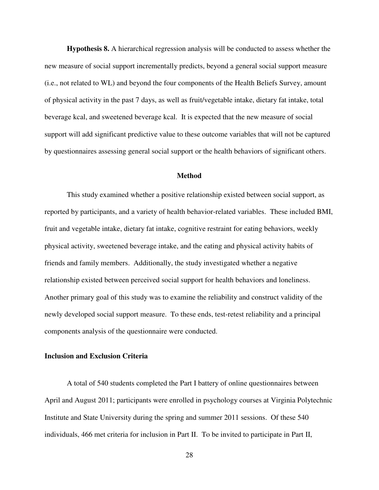**Hypothesis 8.** A hierarchical regression analysis will be conducted to assess whether the new measure of social support incrementally predicts, beyond a general social support measure (i.e., not related to WL) and beyond the four components of the Health Beliefs Survey, amount of physical activity in the past 7 days, as well as fruit/vegetable intake, dietary fat intake, total beverage kcal, and sweetened beverage kcal. It is expected that the new measure of social support will add significant predictive value to these outcome variables that will not be captured by questionnaires assessing general social support or the health behaviors of significant others.

#### **Method**

This study examined whether a positive relationship existed between social support, as reported by participants, and a variety of health behavior-related variables. These included BMI, fruit and vegetable intake, dietary fat intake, cognitive restraint for eating behaviors, weekly physical activity, sweetened beverage intake, and the eating and physical activity habits of friends and family members. Additionally, the study investigated whether a negative relationship existed between perceived social support for health behaviors and loneliness. Another primary goal of this study was to examine the reliability and construct validity of the newly developed social support measure. To these ends, test-retest reliability and a principal components analysis of the questionnaire were conducted.

### **Inclusion and Exclusion Criteria**

A total of 540 students completed the Part I battery of online questionnaires between April and August 2011; participants were enrolled in psychology courses at Virginia Polytechnic Institute and State University during the spring and summer 2011 sessions. Of these 540 individuals, 466 met criteria for inclusion in Part II. To be invited to participate in Part II,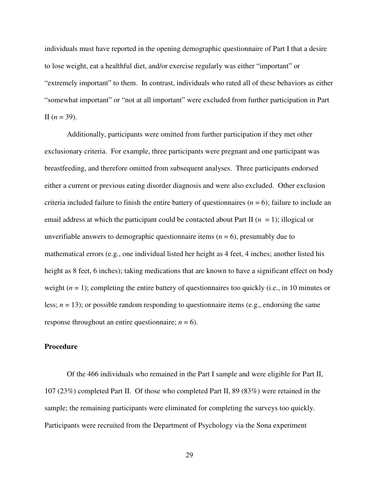individuals must have reported in the opening demographic questionnaire of Part I that a desire to lose weight, eat a healthful diet, and/or exercise regularly was either "important" or "extremely important" to them. In contrast, individuals who rated all of these behaviors as either "somewhat important" or "not at all important" were excluded from further participation in Part II  $(n = 39)$ .

Additionally, participants were omitted from further participation if they met other exclusionary criteria. For example, three participants were pregnant and one participant was breastfeeding, and therefore omitted from subsequent analyses. Three participants endorsed either a current or previous eating disorder diagnosis and were also excluded. Other exclusion criteria included failure to finish the entire battery of questionnaires  $(n = 6)$ ; failure to include an email address at which the participant could be contacted about Part II (*n* = 1); illogical or unverifiable answers to demographic questionnaire items  $(n = 6)$ , presumably due to mathematical errors (e.g., one individual listed her height as 4 feet, 4 inches; another listed his height as 8 feet, 6 inches); taking medications that are known to have a significant effect on body weight  $(n = 1)$ ; completing the entire battery of questionnaires too quickly (i.e., in 10 minutes or less;  $n = 13$ ); or possible random responding to questionnaire items (e.g., endorsing the same response throughout an entire questionnaire;  $n = 6$ ).

#### **Procedure**

Of the 466 individuals who remained in the Part I sample and were eligible for Part II, 107 (23%) completed Part II. Of those who completed Part II, 89 (83%) were retained in the sample; the remaining participants were eliminated for completing the surveys too quickly. Participants were recruited from the Department of Psychology via the Sona experiment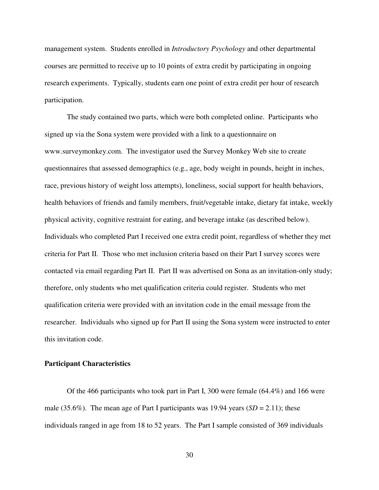management system. Students enrolled in *Introductory Psychology* and other departmental courses are permitted to receive up to 10 points of extra credit by participating in ongoing research experiments. Typically, students earn one point of extra credit per hour of research participation.

The study contained two parts, which were both completed online. Participants who signed up via the Sona system were provided with a link to a questionnaire on www.surveymonkey.com. The investigator used the Survey Monkey Web site to create questionnaires that assessed demographics (e.g., age, body weight in pounds, height in inches, race, previous history of weight loss attempts), loneliness, social support for health behaviors, health behaviors of friends and family members, fruit/vegetable intake, dietary fat intake, weekly physical activity, cognitive restraint for eating, and beverage intake (as described below). Individuals who completed Part I received one extra credit point, regardless of whether they met criteria for Part II. Those who met inclusion criteria based on their Part I survey scores were contacted via email regarding Part II. Part II was advertised on Sona as an invitation-only study; therefore, only students who met qualification criteria could register. Students who met qualification criteria were provided with an invitation code in the email message from the researcher. Individuals who signed up for Part II using the Sona system were instructed to enter this invitation code.

#### **Participant Characteristics**

Of the 466 participants who took part in Part I, 300 were female (64.4%) and 166 were male (35.6%). The mean age of Part I participants was 19.94 years  $(SD = 2.11)$ ; these individuals ranged in age from 18 to 52 years. The Part I sample consisted of 369 individuals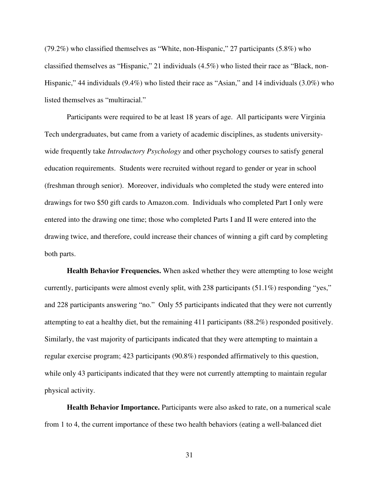(79.2%) who classified themselves as "White, non-Hispanic," 27 participants (5.8%) who classified themselves as "Hispanic," 21 individuals (4.5%) who listed their race as "Black, non-Hispanic," 44 individuals (9.4%) who listed their race as "Asian," and 14 individuals (3.0%) who listed themselves as "multiracial."

Participants were required to be at least 18 years of age. All participants were Virginia Tech undergraduates, but came from a variety of academic disciplines, as students universitywide frequently take *Introductory Psychology* and other psychology courses to satisfy general education requirements. Students were recruited without regard to gender or year in school (freshman through senior). Moreover, individuals who completed the study were entered into drawings for two \$50 gift cards to Amazon.com. Individuals who completed Part I only were entered into the drawing one time; those who completed Parts I and II were entered into the drawing twice, and therefore, could increase their chances of winning a gift card by completing both parts.

**Health Behavior Frequencies.** When asked whether they were attempting to lose weight currently, participants were almost evenly split, with 238 participants (51.1%) responding "yes," and 228 participants answering "no." Only 55 participants indicated that they were not currently attempting to eat a healthy diet, but the remaining 411 participants (88.2%) responded positively. Similarly, the vast majority of participants indicated that they were attempting to maintain a regular exercise program; 423 participants (90.8%) responded affirmatively to this question, while only 43 participants indicated that they were not currently attempting to maintain regular physical activity.

**Health Behavior Importance.** Participants were also asked to rate, on a numerical scale from 1 to 4, the current importance of these two health behaviors (eating a well-balanced diet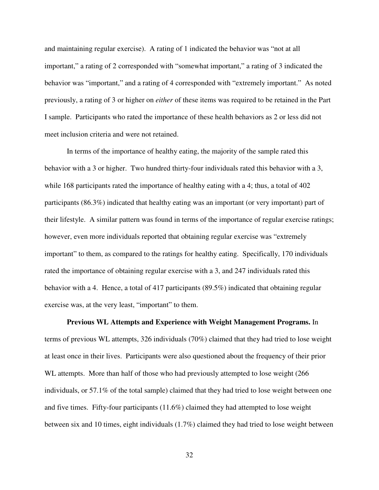and maintaining regular exercise). A rating of 1 indicated the behavior was "not at all important," a rating of 2 corresponded with "somewhat important," a rating of 3 indicated the behavior was "important," and a rating of 4 corresponded with "extremely important." As noted previously, a rating of 3 or higher on *either* of these items was required to be retained in the Part I sample. Participants who rated the importance of these health behaviors as 2 or less did not meet inclusion criteria and were not retained.

In terms of the importance of healthy eating, the majority of the sample rated this behavior with a 3 or higher. Two hundred thirty-four individuals rated this behavior with a 3, while 168 participants rated the importance of healthy eating with a 4; thus, a total of 402 participants (86.3%) indicated that healthy eating was an important (or very important) part of their lifestyle. A similar pattern was found in terms of the importance of regular exercise ratings; however, even more individuals reported that obtaining regular exercise was "extremely important" to them, as compared to the ratings for healthy eating. Specifically, 170 individuals rated the importance of obtaining regular exercise with a 3, and 247 individuals rated this behavior with a 4. Hence, a total of 417 participants (89.5%) indicated that obtaining regular exercise was, at the very least, "important" to them.

**Previous WL Attempts and Experience with Weight Management Programs.** In terms of previous WL attempts, 326 individuals (70%) claimed that they had tried to lose weight at least once in their lives. Participants were also questioned about the frequency of their prior WL attempts. More than half of those who had previously attempted to lose weight (266 individuals, or 57.1% of the total sample) claimed that they had tried to lose weight between one and five times. Fifty-four participants (11.6%) claimed they had attempted to lose weight between six and 10 times, eight individuals (1.7%) claimed they had tried to lose weight between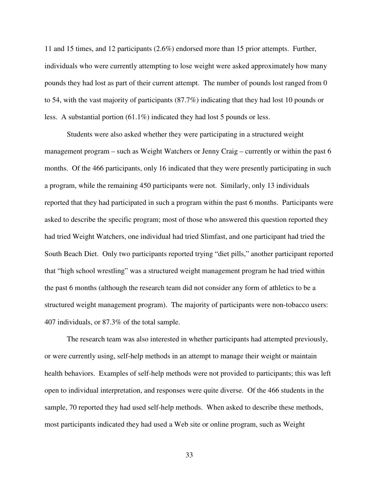11 and 15 times, and 12 participants (2.6%) endorsed more than 15 prior attempts. Further, individuals who were currently attempting to lose weight were asked approximately how many pounds they had lost as part of their current attempt. The number of pounds lost ranged from 0 to 54, with the vast majority of participants (87.7%) indicating that they had lost 10 pounds or less. A substantial portion (61.1%) indicated they had lost 5 pounds or less.

Students were also asked whether they were participating in a structured weight management program – such as Weight Watchers or Jenny Craig – currently or within the past 6 months. Of the 466 participants, only 16 indicated that they were presently participating in such a program, while the remaining 450 participants were not. Similarly, only 13 individuals reported that they had participated in such a program within the past 6 months. Participants were asked to describe the specific program; most of those who answered this question reported they had tried Weight Watchers, one individual had tried Slimfast, and one participant had tried the South Beach Diet. Only two participants reported trying "diet pills," another participant reported that "high school wrestling" was a structured weight management program he had tried within the past 6 months (although the research team did not consider any form of athletics to be a structured weight management program). The majority of participants were non-tobacco users: 407 individuals, or 87.3% of the total sample.

The research team was also interested in whether participants had attempted previously, or were currently using, self-help methods in an attempt to manage their weight or maintain health behaviors. Examples of self-help methods were not provided to participants; this was left open to individual interpretation, and responses were quite diverse. Of the 466 students in the sample, 70 reported they had used self-help methods. When asked to describe these methods, most participants indicated they had used a Web site or online program, such as Weight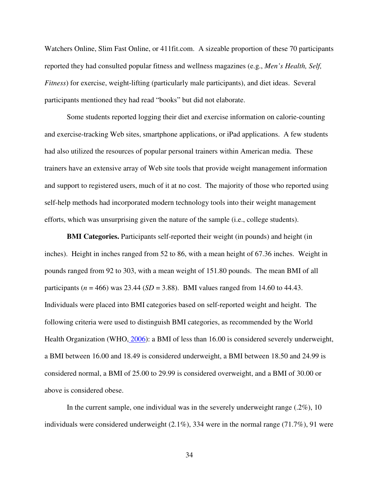Watchers Online, Slim Fast Online, or 411fit.com. A sizeable proportion of these 70 participants reported they had consulted popular fitness and wellness magazines (e.g., *Men's Health, Self, Fitness*) for exercise, weight-lifting (particularly male participants), and diet ideas. Several participants mentioned they had read "books" but did not elaborate.

Some students reported logging their diet and exercise information on calorie-counting and exercise-tracking Web sites, smartphone applications, or iPad applications. A few students had also utilized the resources of popular personal trainers within American media. These trainers have an extensive array of Web site tools that provide weight management information and support to registered users, much of it at no cost. The majority of those who reported using self-help methods had incorporated modern technology tools into their weight management efforts, which was unsurprising given the nature of the sample (i.e., college students).

**BMI Categories.** Participants self-reported their weight (in pounds) and height (in inches). Height in inches ranged from 52 to 86, with a mean height of 67.36 inches. Weight in pounds ranged from 92 to 303, with a mean weight of 151.80 pounds. The mean BMI of all participants ( $n = 466$ ) was 23.44 (*SD* = 3.88). BMI values ranged from 14.60 to 44.43. Individuals were placed into BMI categories based on self-reported weight and height. The following criteria were used to distinguish BMI categories, as recommended by the World Health Organization (WHO,  $2006$ ): a BMI of less than 16.00 is considered severely underweight, a BMI between 16.00 and 18.49 is considered underweight, a BMI between 18.50 and 24.99 is considered normal, a BMI of 25.00 to 29.99 is considered overweight, and a BMI of 30.00 or above is considered obese.

In the current sample, one individual was in the severely underweight range  $(.2\%)$ , 10 individuals were considered underweight  $(2.1\%)$ , 334 were in the normal range (71.7%), 91 were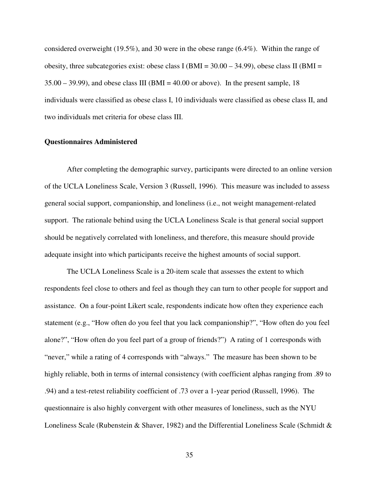considered overweight (19.5%), and 30 were in the obese range  $(6.4\%)$ . Within the range of obesity, three subcategories exist: obese class I (BMI =  $30.00 - 34.99$ ), obese class II (BMI =  $35.00 - 39.99$ ), and obese class III (BMI = 40.00 or above). In the present sample, 18 individuals were classified as obese class I, 10 individuals were classified as obese class II, and two individuals met criteria for obese class III.

#### **Questionnaires Administered**

After completing the demographic survey, participants were directed to an online version of the UCLA Loneliness Scale, Version 3 (Russell, 1996). This measure was included to assess general social support, companionship, and loneliness (i.e., not weight management-related support. The rationale behind using the UCLA Loneliness Scale is that general social support should be negatively correlated with loneliness, and therefore, this measure should provide adequate insight into which participants receive the highest amounts of social support.

The UCLA Loneliness Scale is a 20-item scale that assesses the extent to which respondents feel close to others and feel as though they can turn to other people for support and assistance. On a four-point Likert scale, respondents indicate how often they experience each statement (e.g., "How often do you feel that you lack companionship?", "How often do you feel alone?", "How often do you feel part of a group of friends?") A rating of 1 corresponds with "never," while a rating of 4 corresponds with "always." The measure has been shown to be highly reliable, both in terms of internal consistency (with coefficient alphas ranging from .89 to .94) and a test-retest reliability coefficient of .73 over a 1-year period (Russell, 1996). The questionnaire is also highly convergent with other measures of loneliness, such as the NYU Loneliness Scale (Rubenstein & Shaver, 1982) and the Differential Loneliness Scale (Schmidt &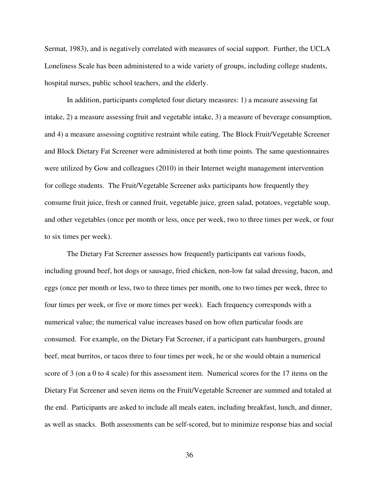Sermat, 1983), and is negatively correlated with measures of social support. Further, the UCLA Loneliness Scale has been administered to a wide variety of groups, including college students, hospital nurses, public school teachers, and the elderly.

In addition, participants completed four dietary measures: 1) a measure assessing fat intake, 2) a measure assessing fruit and vegetable intake, 3) a measure of beverage consumption, and 4) a measure assessing cognitive restraint while eating. The Block Fruit/Vegetable Screener and Block Dietary Fat Screener were administered at both time points. The same questionnaires were utilized by Gow and colleagues (2010) in their Internet weight management intervention for college students. The Fruit/Vegetable Screener asks participants how frequently they consume fruit juice, fresh or canned fruit, vegetable juice, green salad, potatoes, vegetable soup, and other vegetables (once per month or less, once per week, two to three times per week, or four to six times per week).

The Dietary Fat Screener assesses how frequently participants eat various foods, including ground beef, hot dogs or sausage, fried chicken, non-low fat salad dressing, bacon, and eggs (once per month or less, two to three times per month, one to two times per week, three to four times per week, or five or more times per week). Each frequency corresponds with a numerical value; the numerical value increases based on how often particular foods are consumed. For example, on the Dietary Fat Screener, if a participant eats hamburgers, ground beef, meat burritos, or tacos three to four times per week, he or she would obtain a numerical score of 3 (on a 0 to 4 scale) for this assessment item. Numerical scores for the 17 items on the Dietary Fat Screener and seven items on the Fruit/Vegetable Screener are summed and totaled at the end. Participants are asked to include all meals eaten, including breakfast, lunch, and dinner, as well as snacks. Both assessments can be self-scored, but to minimize response bias and social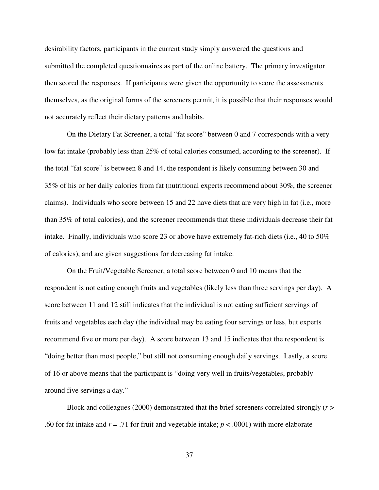desirability factors, participants in the current study simply answered the questions and submitted the completed questionnaires as part of the online battery. The primary investigator then scored the responses. If participants were given the opportunity to score the assessments themselves, as the original forms of the screeners permit, it is possible that their responses would not accurately reflect their dietary patterns and habits.

On the Dietary Fat Screener, a total "fat score" between 0 and 7 corresponds with a very low fat intake (probably less than 25% of total calories consumed, according to the screener). If the total "fat score" is between 8 and 14, the respondent is likely consuming between 30 and 35% of his or her daily calories from fat (nutritional experts recommend about 30%, the screener claims). Individuals who score between 15 and 22 have diets that are very high in fat (i.e., more than 35% of total calories), and the screener recommends that these individuals decrease their fat intake. Finally, individuals who score 23 or above have extremely fat-rich diets (i.e., 40 to 50% of calories), and are given suggestions for decreasing fat intake.

On the Fruit/Vegetable Screener, a total score between 0 and 10 means that the respondent is not eating enough fruits and vegetables (likely less than three servings per day). A score between 11 and 12 still indicates that the individual is not eating sufficient servings of fruits and vegetables each day (the individual may be eating four servings or less, but experts recommend five or more per day). A score between 13 and 15 indicates that the respondent is "doing better than most people," but still not consuming enough daily servings. Lastly, a score of 16 or above means that the participant is "doing very well in fruits/vegetables, probably around five servings a day."

Block and colleagues (2000) demonstrated that the brief screeners correlated strongly (*r* > .60 for fat intake and *r* = .71 for fruit and vegetable intake; *p* < .0001) with more elaborate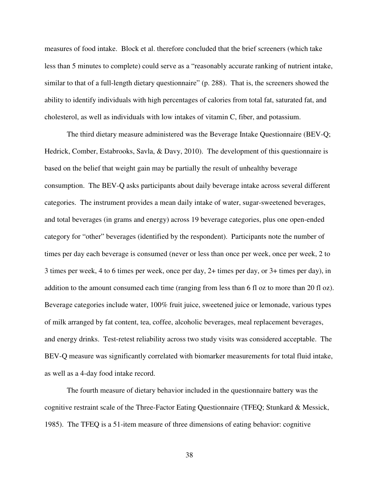measures of food intake. Block et al. therefore concluded that the brief screeners (which take less than 5 minutes to complete) could serve as a "reasonably accurate ranking of nutrient intake, similar to that of a full-length dietary questionnaire" (p. 288). That is, the screeners showed the ability to identify individuals with high percentages of calories from total fat, saturated fat, and cholesterol, as well as individuals with low intakes of vitamin C, fiber, and potassium.

The third dietary measure administered was the Beverage Intake Questionnaire (BEV-Q; Hedrick, Comber, Estabrooks, Savla, & Davy, 2010). The development of this questionnaire is based on the belief that weight gain may be partially the result of unhealthy beverage consumption. The BEV-Q asks participants about daily beverage intake across several different categories. The instrument provides a mean daily intake of water, sugar-sweetened beverages, and total beverages (in grams and energy) across 19 beverage categories, plus one open-ended category for "other" beverages (identified by the respondent). Participants note the number of times per day each beverage is consumed (never or less than once per week, once per week, 2 to 3 times per week, 4 to 6 times per week, once per day, 2+ times per day, or 3+ times per day), in addition to the amount consumed each time (ranging from less than 6 fl oz to more than 20 fl oz). Beverage categories include water, 100% fruit juice, sweetened juice or lemonade, various types of milk arranged by fat content, tea, coffee, alcoholic beverages, meal replacement beverages, and energy drinks. Test-retest reliability across two study visits was considered acceptable. The BEV-Q measure was significantly correlated with biomarker measurements for total fluid intake, as well as a 4-day food intake record.

The fourth measure of dietary behavior included in the questionnaire battery was the cognitive restraint scale of the Three-Factor Eating Questionnaire (TFEQ; Stunkard & Messick, 1985). The TFEQ is a 51-item measure of three dimensions of eating behavior: cognitive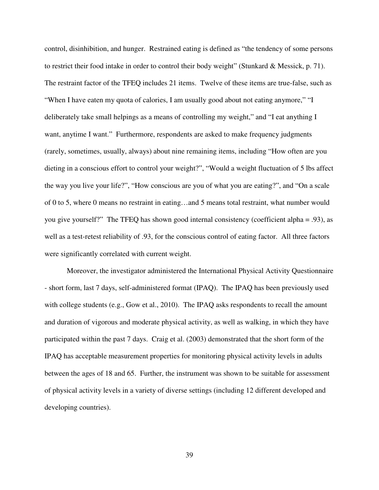control, disinhibition, and hunger. Restrained eating is defined as "the tendency of some persons to restrict their food intake in order to control their body weight" (Stunkard & Messick, p. 71). The restraint factor of the TFEQ includes 21 items. Twelve of these items are true-false, such as "When I have eaten my quota of calories, I am usually good about not eating anymore," "I deliberately take small helpings as a means of controlling my weight," and "I eat anything I want, anytime I want." Furthermore, respondents are asked to make frequency judgments (rarely, sometimes, usually, always) about nine remaining items, including "How often are you dieting in a conscious effort to control your weight?", "Would a weight fluctuation of 5 lbs affect the way you live your life?", "How conscious are you of what you are eating?", and "On a scale of 0 to 5, where 0 means no restraint in eating…and 5 means total restraint, what number would you give yourself?" The TFEQ has shown good internal consistency (coefficient alpha = .93), as well as a test-retest reliability of .93, for the conscious control of eating factor. All three factors were significantly correlated with current weight.

Moreover, the investigator administered the International Physical Activity Questionnaire - short form, last 7 days, self-administered format (IPAQ). The IPAQ has been previously used with college students (e.g., Gow et al., 2010). The IPAQ asks respondents to recall the amount and duration of vigorous and moderate physical activity, as well as walking, in which they have participated within the past 7 days. Craig et al. (2003) demonstrated that the short form of the IPAQ has acceptable measurement properties for monitoring physical activity levels in adults between the ages of 18 and 65. Further, the instrument was shown to be suitable for assessment of physical activity levels in a variety of diverse settings (including 12 different developed and developing countries).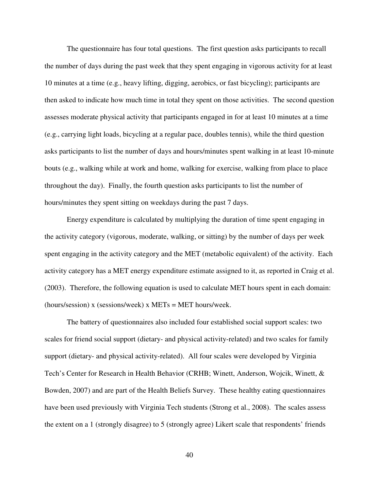The questionnaire has four total questions. The first question asks participants to recall the number of days during the past week that they spent engaging in vigorous activity for at least 10 minutes at a time (e.g., heavy lifting, digging, aerobics, or fast bicycling); participants are then asked to indicate how much time in total they spent on those activities. The second question assesses moderate physical activity that participants engaged in for at least 10 minutes at a time (e.g., carrying light loads, bicycling at a regular pace, doubles tennis), while the third question asks participants to list the number of days and hours/minutes spent walking in at least 10-minute bouts (e.g., walking while at work and home, walking for exercise, walking from place to place throughout the day). Finally, the fourth question asks participants to list the number of hours/minutes they spent sitting on weekdays during the past 7 days.

Energy expenditure is calculated by multiplying the duration of time spent engaging in the activity category (vigorous, moderate, walking, or sitting) by the number of days per week spent engaging in the activity category and the MET (metabolic equivalent) of the activity. Each activity category has a MET energy expenditure estimate assigned to it, as reported in Craig et al. (2003). Therefore, the following equation is used to calculate MET hours spent in each domain: (hours/session) x (sessions/week) x METs = MET hours/week.

The battery of questionnaires also included four established social support scales: two scales for friend social support (dietary- and physical activity-related) and two scales for family support (dietary- and physical activity-related). All four scales were developed by Virginia Tech's Center for Research in Health Behavior (CRHB; Winett, Anderson, Wojcik, Winett, & Bowden, 2007) and are part of the Health Beliefs Survey. These healthy eating questionnaires have been used previously with Virginia Tech students (Strong et al., 2008). The scales assess the extent on a 1 (strongly disagree) to 5 (strongly agree) Likert scale that respondents' friends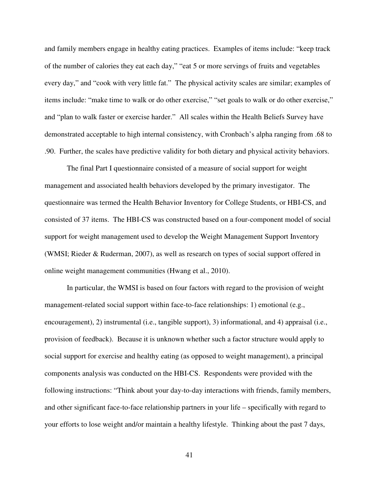and family members engage in healthy eating practices. Examples of items include: "keep track of the number of calories they eat each day," "eat 5 or more servings of fruits and vegetables every day," and "cook with very little fat." The physical activity scales are similar; examples of items include: "make time to walk or do other exercise," "set goals to walk or do other exercise," and "plan to walk faster or exercise harder." All scales within the Health Beliefs Survey have demonstrated acceptable to high internal consistency, with Cronbach's alpha ranging from .68 to .90. Further, the scales have predictive validity for both dietary and physical activity behaviors.

The final Part I questionnaire consisted of a measure of social support for weight management and associated health behaviors developed by the primary investigator. The questionnaire was termed the Health Behavior Inventory for College Students, or HBI-CS, and consisted of 37 items. The HBI-CS was constructed based on a four-component model of social support for weight management used to develop the Weight Management Support Inventory (WMSI; Rieder & Ruderman, 2007), as well as research on types of social support offered in online weight management communities (Hwang et al., 2010).

In particular, the WMSI is based on four factors with regard to the provision of weight management-related social support within face-to-face relationships: 1) emotional (e.g., encouragement), 2) instrumental (i.e., tangible support), 3) informational, and 4) appraisal (i.e., provision of feedback). Because it is unknown whether such a factor structure would apply to social support for exercise and healthy eating (as opposed to weight management), a principal components analysis was conducted on the HBI-CS. Respondents were provided with the following instructions: "Think about your day-to-day interactions with friends, family members, and other significant face-to-face relationship partners in your life – specifically with regard to your efforts to lose weight and/or maintain a healthy lifestyle. Thinking about the past 7 days,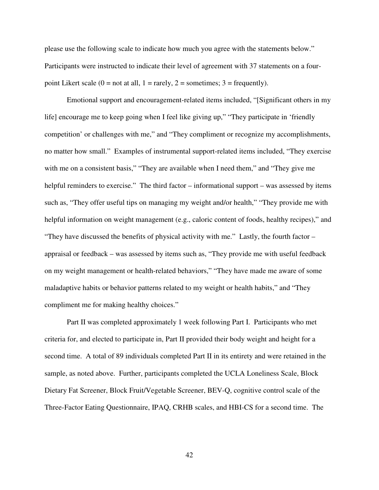please use the following scale to indicate how much you agree with the statements below." Participants were instructed to indicate their level of agreement with 37 statements on a fourpoint Likert scale  $(0 = not at all, 1 = rarely, 2 = sometimes; 3 = frequently).$ 

Emotional support and encouragement-related items included, "[Significant others in my life] encourage me to keep going when I feel like giving up," "They participate in 'friendly competition' or challenges with me," and "They compliment or recognize my accomplishments, no matter how small." Examples of instrumental support-related items included, "They exercise with me on a consistent basis," "They are available when I need them," and "They give me helpful reminders to exercise." The third factor – informational support – was assessed by items such as, "They offer useful tips on managing my weight and/or health," "They provide me with helpful information on weight management (e.g., caloric content of foods, healthy recipes)," and "They have discussed the benefits of physical activity with me." Lastly, the fourth factor – appraisal or feedback – was assessed by items such as, "They provide me with useful feedback on my weight management or health-related behaviors," "They have made me aware of some maladaptive habits or behavior patterns related to my weight or health habits," and "They compliment me for making healthy choices."

Part II was completed approximately 1 week following Part I. Participants who met criteria for, and elected to participate in, Part II provided their body weight and height for a second time. A total of 89 individuals completed Part II in its entirety and were retained in the sample, as noted above. Further, participants completed the UCLA Loneliness Scale, Block Dietary Fat Screener, Block Fruit/Vegetable Screener, BEV-Q, cognitive control scale of the Three-Factor Eating Questionnaire, IPAQ, CRHB scales, and HBI-CS for a second time. The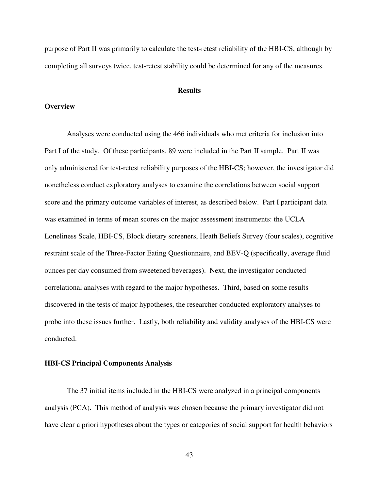purpose of Part II was primarily to calculate the test-retest reliability of the HBI-CS, although by completing all surveys twice, test-retest stability could be determined for any of the measures.

### **Results**

# **Overview**

Analyses were conducted using the 466 individuals who met criteria for inclusion into Part I of the study. Of these participants, 89 were included in the Part II sample. Part II was only administered for test-retest reliability purposes of the HBI-CS; however, the investigator did nonetheless conduct exploratory analyses to examine the correlations between social support score and the primary outcome variables of interest, as described below. Part I participant data was examined in terms of mean scores on the major assessment instruments: the UCLA Loneliness Scale, HBI-CS, Block dietary screeners, Heath Beliefs Survey (four scales), cognitive restraint scale of the Three-Factor Eating Questionnaire, and BEV-Q (specifically, average fluid ounces per day consumed from sweetened beverages). Next, the investigator conducted correlational analyses with regard to the major hypotheses. Third, based on some results discovered in the tests of major hypotheses, the researcher conducted exploratory analyses to probe into these issues further. Lastly, both reliability and validity analyses of the HBI-CS were conducted.

## **HBI-CS Principal Components Analysis**

The 37 initial items included in the HBI-CS were analyzed in a principal components analysis (PCA). This method of analysis was chosen because the primary investigator did not have clear a priori hypotheses about the types or categories of social support for health behaviors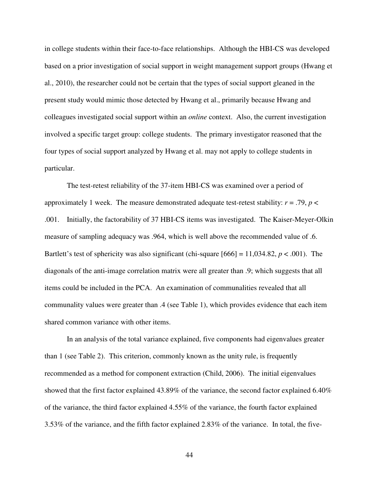in college students within their face-to-face relationships. Although the HBI-CS was developed based on a prior investigation of social support in weight management support groups (Hwang et al., 2010), the researcher could not be certain that the types of social support gleaned in the present study would mimic those detected by Hwang et al., primarily because Hwang and colleagues investigated social support within an *online* context. Also, the current investigation involved a specific target group: college students. The primary investigator reasoned that the four types of social support analyzed by Hwang et al. may not apply to college students in particular.

The test-retest reliability of the 37-item HBI-CS was examined over a period of approximately 1 week. The measure demonstrated adequate test-retest stability:  $r = .79$ ,  $p <$ .001. Initially, the factorability of 37 HBI-CS items was investigated. The Kaiser-Meyer-Olkin measure of sampling adequacy was .964, which is well above the recommended value of .6. Bartlett's test of sphericity was also significant (chi-square  $[666] = 11,034.82, p < .001$ ). The diagonals of the anti-image correlation matrix were all greater than .9; which suggests that all items could be included in the PCA. An examination of communalities revealed that all communality values were greater than .4 (see Table 1), which provides evidence that each item shared common variance with other items.

In an analysis of the total variance explained, five components had eigenvalues greater than 1 (see Table 2). This criterion, commonly known as the unity rule, is frequently recommended as a method for component extraction (Child, 2006). The initial eigenvalues showed that the first factor explained 43.89% of the variance, the second factor explained 6.40% of the variance, the third factor explained 4.55% of the variance, the fourth factor explained 3.53% of the variance, and the fifth factor explained 2.83% of the variance. In total, the five-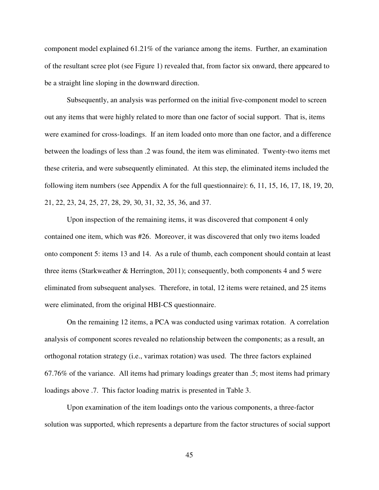component model explained 61.21% of the variance among the items. Further, an examination of the resultant scree plot (see Figure 1) revealed that, from factor six onward, there appeared to be a straight line sloping in the downward direction.

Subsequently, an analysis was performed on the initial five-component model to screen out any items that were highly related to more than one factor of social support. That is, items were examined for cross-loadings. If an item loaded onto more than one factor, and a difference between the loadings of less than .2 was found, the item was eliminated. Twenty-two items met these criteria, and were subsequently eliminated. At this step, the eliminated items included the following item numbers (see Appendix A for the full questionnaire): 6, 11, 15, 16, 17, 18, 19, 20, 21, 22, 23, 24, 25, 27, 28, 29, 30, 31, 32, 35, 36, and 37.

Upon inspection of the remaining items, it was discovered that component 4 only contained one item, which was #26. Moreover, it was discovered that only two items loaded onto component 5: items 13 and 14. As a rule of thumb, each component should contain at least three items (Starkweather  $\&$  Herrington, 2011); consequently, both components 4 and 5 were eliminated from subsequent analyses. Therefore, in total, 12 items were retained, and 25 items were eliminated, from the original HBI-CS questionnaire.

On the remaining 12 items, a PCA was conducted using varimax rotation. A correlation analysis of component scores revealed no relationship between the components; as a result, an orthogonal rotation strategy (i.e., varimax rotation) was used. The three factors explained 67.76% of the variance. All items had primary loadings greater than .5; most items had primary loadings above .7. This factor loading matrix is presented in Table 3.

Upon examination of the item loadings onto the various components, a three-factor solution was supported, which represents a departure from the factor structures of social support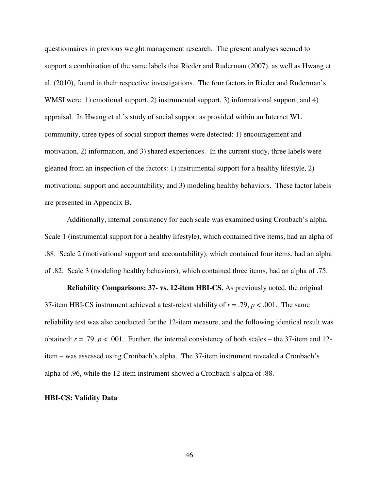questionnaires in previous weight management research. The present analyses seemed to support a combination of the same labels that Rieder and Ruderman (2007), as well as Hwang et al. (2010), found in their respective investigations. The four factors in Rieder and Ruderman's WMSI were: 1) emotional support, 2) instrumental support, 3) informational support, and 4) appraisal. In Hwang et al.'s study of social support as provided within an Internet WL community, three types of social support themes were detected: 1) encouragement and motivation, 2) information, and 3) shared experiences. In the current study, three labels were gleaned from an inspection of the factors: 1) instrumental support for a healthy lifestyle, 2) motivational support and accountability, and 3) modeling healthy behaviors. These factor labels are presented in Appendix B.

Additionally, internal consistency for each scale was examined using Cronbach's alpha. Scale 1 (instrumental support for a healthy lifestyle), which contained five items, had an alpha of .88. Scale 2 (motivational support and accountability), which contained four items, had an alpha of .82. Scale 3 (modeling healthy behaviors), which contained three items, had an alpha of .75.

**Reliability Comparisons: 37- vs. 12-item HBI-CS.** As previously noted, the original 37-item HBI-CS instrument achieved a test-retest stability of *r* = .79, *p* < .001. The same reliability test was also conducted for the 12-item measure, and the following identical result was obtained:  $r = .79$ ,  $p < .001$ . Further, the internal consistency of both scales – the 37-item and 12item – was assessed using Cronbach's alpha. The 37-item instrument revealed a Cronbach's alpha of .96, while the 12-item instrument showed a Cronbach's alpha of .88.

### **HBI-CS: Validity Data**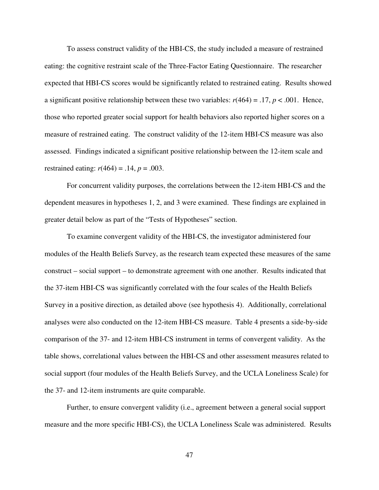To assess construct validity of the HBI-CS, the study included a measure of restrained eating: the cognitive restraint scale of the Three-Factor Eating Questionnaire. The researcher expected that HBI-CS scores would be significantly related to restrained eating. Results showed a significant positive relationship between these two variables:  $r(464) = .17$ ,  $p < .001$ . Hence, those who reported greater social support for health behaviors also reported higher scores on a measure of restrained eating. The construct validity of the 12-item HBI-CS measure was also assessed. Findings indicated a significant positive relationship between the 12-item scale and restrained eating: *r*(464) = .14, *p* = .003.

For concurrent validity purposes, the correlations between the 12-item HBI-CS and the dependent measures in hypotheses 1, 2, and 3 were examined. These findings are explained in greater detail below as part of the "Tests of Hypotheses" section.

To examine convergent validity of the HBI-CS, the investigator administered four modules of the Health Beliefs Survey, as the research team expected these measures of the same construct – social support – to demonstrate agreement with one another. Results indicated that the 37-item HBI-CS was significantly correlated with the four scales of the Health Beliefs Survey in a positive direction, as detailed above (see hypothesis 4). Additionally, correlational analyses were also conducted on the 12-item HBI-CS measure. Table 4 presents a side-by-side comparison of the 37- and 12-item HBI-CS instrument in terms of convergent validity. As the table shows, correlational values between the HBI-CS and other assessment measures related to social support (four modules of the Health Beliefs Survey, and the UCLA Loneliness Scale) for the 37- and 12-item instruments are quite comparable.

Further, to ensure convergent validity (i.e., agreement between a general social support measure and the more specific HBI-CS), the UCLA Loneliness Scale was administered. Results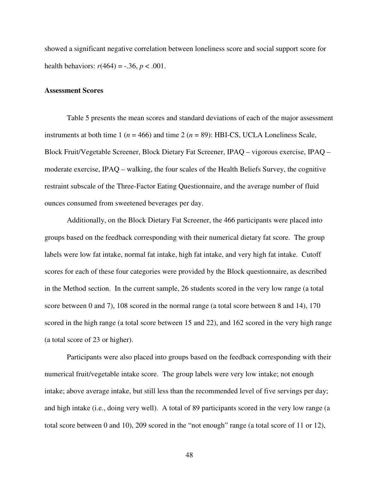showed a significant negative correlation between loneliness score and social support score for health behaviors:  $r(464) = -.36, p < .001$ .

### **Assessment Scores**

Table 5 presents the mean scores and standard deviations of each of the major assessment instruments at both time 1 ( $n = 466$ ) and time 2 ( $n = 89$ ): HBI-CS, UCLA Loneliness Scale, Block Fruit/Vegetable Screener, Block Dietary Fat Screener, IPAQ – vigorous exercise, IPAQ – moderate exercise, IPAQ – walking, the four scales of the Health Beliefs Survey, the cognitive restraint subscale of the Three-Factor Eating Questionnaire, and the average number of fluid ounces consumed from sweetened beverages per day.

Additionally, on the Block Dietary Fat Screener, the 466 participants were placed into groups based on the feedback corresponding with their numerical dietary fat score. The group labels were low fat intake, normal fat intake, high fat intake, and very high fat intake. Cutoff scores for each of these four categories were provided by the Block questionnaire, as described in the Method section. In the current sample, 26 students scored in the very low range (a total score between 0 and 7), 108 scored in the normal range (a total score between 8 and 14), 170 scored in the high range (a total score between 15 and 22), and 162 scored in the very high range (a total score of 23 or higher).

Participants were also placed into groups based on the feedback corresponding with their numerical fruit/vegetable intake score. The group labels were very low intake; not enough intake; above average intake, but still less than the recommended level of five servings per day; and high intake (i.e., doing very well). A total of 89 participants scored in the very low range (a total score between 0 and 10), 209 scored in the "not enough" range (a total score of 11 or 12),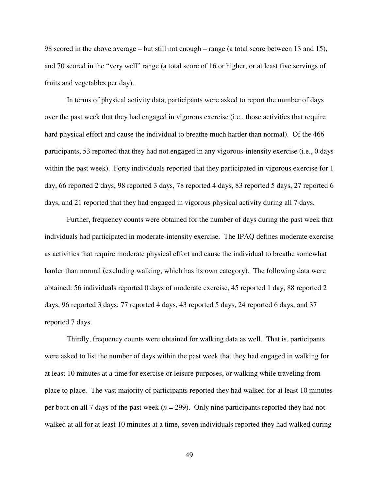98 scored in the above average – but still not enough – range (a total score between 13 and 15), and 70 scored in the "very well" range (a total score of 16 or higher, or at least five servings of fruits and vegetables per day).

 In terms of physical activity data, participants were asked to report the number of days over the past week that they had engaged in vigorous exercise (i.e., those activities that require hard physical effort and cause the individual to breathe much harder than normal). Of the 466 participants, 53 reported that they had not engaged in any vigorous-intensity exercise (i.e., 0 days within the past week). Forty individuals reported that they participated in vigorous exercise for 1 day, 66 reported 2 days, 98 reported 3 days, 78 reported 4 days, 83 reported 5 days, 27 reported 6 days, and 21 reported that they had engaged in vigorous physical activity during all 7 days.

 Further, frequency counts were obtained for the number of days during the past week that individuals had participated in moderate-intensity exercise. The IPAQ defines moderate exercise as activities that require moderate physical effort and cause the individual to breathe somewhat harder than normal (excluding walking, which has its own category). The following data were obtained: 56 individuals reported 0 days of moderate exercise, 45 reported 1 day, 88 reported 2 days, 96 reported 3 days, 77 reported 4 days, 43 reported 5 days, 24 reported 6 days, and 37 reported 7 days.

 Thirdly, frequency counts were obtained for walking data as well. That is, participants were asked to list the number of days within the past week that they had engaged in walking for at least 10 minutes at a time for exercise or leisure purposes, or walking while traveling from place to place. The vast majority of participants reported they had walked for at least 10 minutes per bout on all 7 days of the past week (*n* = 299). Only nine participants reported they had not walked at all for at least 10 minutes at a time, seven individuals reported they had walked during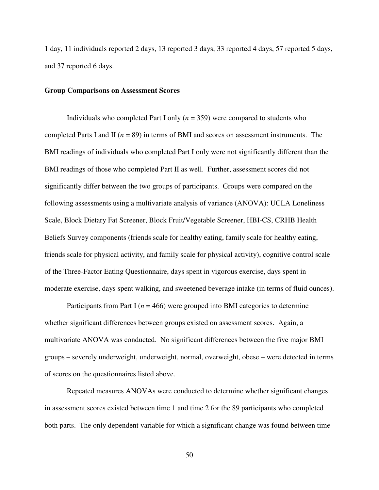1 day, 11 individuals reported 2 days, 13 reported 3 days, 33 reported 4 days, 57 reported 5 days, and 37 reported 6 days.

### **Group Comparisons on Assessment Scores**

Individuals who completed Part I only (*n* = 359) were compared to students who completed Parts I and II (*n* = 89) in terms of BMI and scores on assessment instruments. The BMI readings of individuals who completed Part I only were not significantly different than the BMI readings of those who completed Part II as well. Further, assessment scores did not significantly differ between the two groups of participants. Groups were compared on the following assessments using a multivariate analysis of variance (ANOVA): UCLA Loneliness Scale, Block Dietary Fat Screener, Block Fruit/Vegetable Screener, HBI-CS, CRHB Health Beliefs Survey components (friends scale for healthy eating, family scale for healthy eating, friends scale for physical activity, and family scale for physical activity), cognitive control scale of the Three-Factor Eating Questionnaire, days spent in vigorous exercise, days spent in moderate exercise, days spent walking, and sweetened beverage intake (in terms of fluid ounces).

Participants from Part I ( $n = 466$ ) were grouped into BMI categories to determine whether significant differences between groups existed on assessment scores. Again, a multivariate ANOVA was conducted. No significant differences between the five major BMI groups – severely underweight, underweight, normal, overweight, obese – were detected in terms of scores on the questionnaires listed above.

Repeated measures ANOVAs were conducted to determine whether significant changes in assessment scores existed between time 1 and time 2 for the 89 participants who completed both parts. The only dependent variable for which a significant change was found between time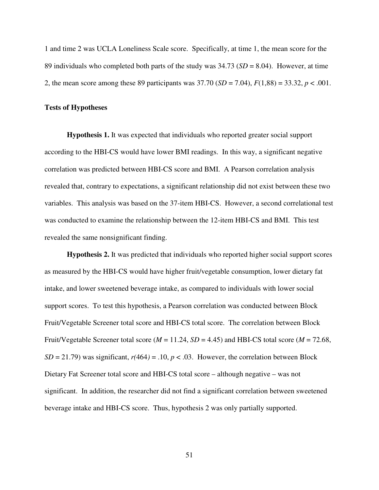1 and time 2 was UCLA Loneliness Scale score. Specifically, at time 1, the mean score for the 89 individuals who completed both parts of the study was 34.73 (*SD* = 8.04). However, at time 2, the mean score among these 89 participants was 37.70 (*SD* = 7.04), *F*(1,88) = 33.32, *p* < .001.

#### **Tests of Hypotheses**

**Hypothesis 1.** It was expected that individuals who reported greater social support according to the HBI-CS would have lower BMI readings. In this way, a significant negative correlation was predicted between HBI-CS score and BMI. A Pearson correlation analysis revealed that, contrary to expectations, a significant relationship did not exist between these two variables. This analysis was based on the 37-item HBI-CS. However, a second correlational test was conducted to examine the relationship between the 12-item HBI-CS and BMI. This test revealed the same nonsignificant finding.

**Hypothesis 2.** It was predicted that individuals who reported higher social support scores as measured by the HBI-CS would have higher fruit/vegetable consumption, lower dietary fat intake, and lower sweetened beverage intake, as compared to individuals with lower social support scores. To test this hypothesis, a Pearson correlation was conducted between Block Fruit/Vegetable Screener total score and HBI-CS total score. The correlation between Block Fruit/Vegetable Screener total score ( $M = 11.24$ ,  $SD = 4.45$ ) and HBI-CS total score ( $M = 72.68$ ,  $SD = 21.79$ ) was significant,  $r(464) = .10$ ,  $p < .03$ . However, the correlation between Block Dietary Fat Screener total score and HBI-CS total score – although negative – was not significant. In addition, the researcher did not find a significant correlation between sweetened beverage intake and HBI-CS score. Thus, hypothesis 2 was only partially supported.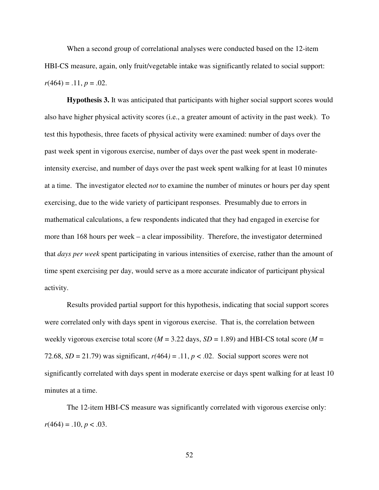When a second group of correlational analyses were conducted based on the 12-item HBI-CS measure, again, only fruit/vegetable intake was significantly related to social support:  $r(464) = .11, p = .02.$ 

**Hypothesis 3.** It was anticipated that participants with higher social support scores would also have higher physical activity scores (i.e., a greater amount of activity in the past week). To test this hypothesis, three facets of physical activity were examined: number of days over the past week spent in vigorous exercise, number of days over the past week spent in moderateintensity exercise, and number of days over the past week spent walking for at least 10 minutes at a time. The investigator elected *not* to examine the number of minutes or hours per day spent exercising, due to the wide variety of participant responses. Presumably due to errors in mathematical calculations, a few respondents indicated that they had engaged in exercise for more than 168 hours per week – a clear impossibility. Therefore, the investigator determined that *days per week* spent participating in various intensities of exercise, rather than the amount of time spent exercising per day, would serve as a more accurate indicator of participant physical activity.

Results provided partial support for this hypothesis, indicating that social support scores were correlated only with days spent in vigorous exercise. That is, the correlation between weekly vigorous exercise total score (*M* = 3.22 days, *SD* = 1.89) and HBI-CS total score (*M* = 72.68,  $SD = 21.79$ ) was significant,  $r(464) = .11$ ,  $p < .02$ . Social support scores were not significantly correlated with days spent in moderate exercise or days spent walking for at least 10 minutes at a time.

The 12-item HBI-CS measure was significantly correlated with vigorous exercise only:  $r(464) = .10, p < .03.$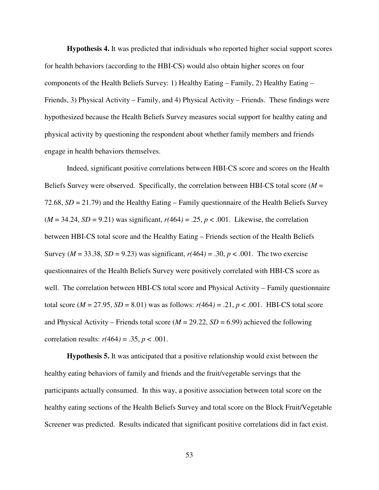**Hypothesis 4.** It was predicted that individuals who reported higher social support scores for health behaviors (according to the HBI-CS) would also obtain higher scores on four components of the Health Beliefs Survey: 1) Healthy Eating – Family, 2) Healthy Eating – Friends, 3) Physical Activity – Family, and 4) Physical Activity – Friends. These findings were hypothesized because the Health Beliefs Survey measures social support for healthy eating and physical activity by questioning the respondent about whether family members and friends engage in health behaviors themselves.

Indeed, significant positive correlations between HBI-CS score and scores on the Health Beliefs Survey were observed. Specifically, the correlation between HBI-CS total score (*M* = 72.68, *SD* = 21.79) and the Healthy Eating – Family questionnaire of the Health Beliefs Survey  $(M = 34.24, SD = 9.21)$  was significant,  $r(464) = .25, p < .001$ . Likewise, the correlation between HBI-CS total score and the Healthy Eating – Friends section of the Health Beliefs Survey ( $M = 33.38$ ,  $SD = 9.23$ ) was significant,  $r(464) = .30$ ,  $p < .001$ . The two exercise questionnaires of the Health Beliefs Survey were positively correlated with HBI-CS score as well. The correlation between HBI-CS total score and Physical Activity – Family questionnaire total score ( $M = 27.95$ ,  $SD = 8.01$ ) was as follows:  $r(464) = .21$ ,  $p < .001$ . HBI-CS total score and Physical Activity – Friends total score (*M* = 29.22, *SD* = 6.99) achieved the following correlation results:  $r(464) = .35, p < .001$ .

**Hypothesis 5.** It was anticipated that a positive relationship would exist between the healthy eating behaviors of family and friends and the fruit/vegetable servings that the participants actually consumed. In this way, a positive association between total score on the healthy eating sections of the Health Beliefs Survey and total score on the Block Fruit/Vegetable Screener was predicted. Results indicated that significant positive correlations did in fact exist.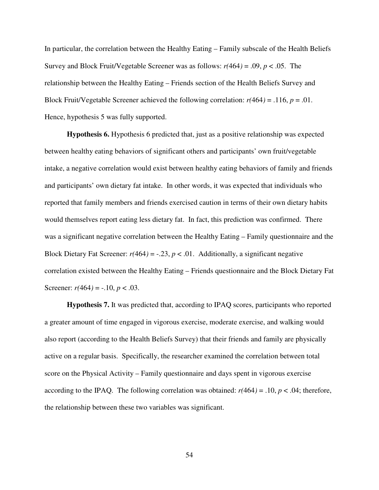In particular, the correlation between the Healthy Eating – Family subscale of the Health Beliefs Survey and Block Fruit/Vegetable Screener was as follows: *r(*464*)* = .09, *p* < .05. The relationship between the Healthy Eating – Friends section of the Health Beliefs Survey and Block Fruit/Vegetable Screener achieved the following correlation: *r(*464*)* = .116, *p* = .01. Hence, hypothesis 5 was fully supported.

**Hypothesis 6.** Hypothesis 6 predicted that, just as a positive relationship was expected between healthy eating behaviors of significant others and participants' own fruit/vegetable intake, a negative correlation would exist between healthy eating behaviors of family and friends and participants' own dietary fat intake. In other words, it was expected that individuals who reported that family members and friends exercised caution in terms of their own dietary habits would themselves report eating less dietary fat. In fact, this prediction was confirmed. There was a significant negative correlation between the Healthy Eating – Family questionnaire and the Block Dietary Fat Screener:  $r(464) = -.23$ ,  $p < .01$ . Additionally, a significant negative correlation existed between the Healthy Eating – Friends questionnaire and the Block Dietary Fat Screener:  $r(464) = -.10, p < .03$ .

**Hypothesis 7.** It was predicted that, according to IPAQ scores, participants who reported a greater amount of time engaged in vigorous exercise, moderate exercise, and walking would also report (according to the Health Beliefs Survey) that their friends and family are physically active on a regular basis. Specifically, the researcher examined the correlation between total score on the Physical Activity – Family questionnaire and days spent in vigorous exercise according to the IPAQ. The following correlation was obtained:  $r(464) = .10, p < .04$ ; therefore, the relationship between these two variables was significant.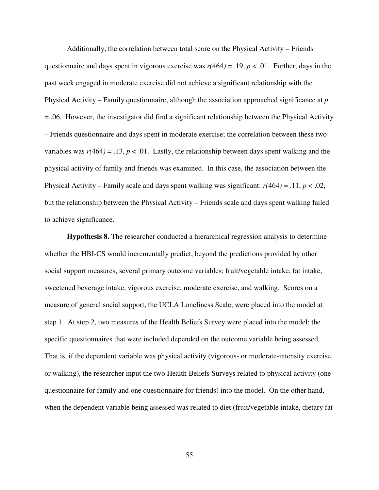Additionally, the correlation between total score on the Physical Activity – Friends questionnaire and days spent in vigorous exercise was *r(*464*)* = .19, *p* < .01. Further, days in the past week engaged in moderate exercise did not achieve a significant relationship with the Physical Activity – Family questionnaire, although the association approached significance at *p*  = .06. However, the investigator did find a significant relationship between the Physical Activity – Friends questionnaire and days spent in moderate exercise; the correlation between these two variables was  $r(464) = .13$ ,  $p < .01$ . Lastly, the relationship between days spent walking and the physical activity of family and friends was examined. In this case, the association between the Physical Activity – Family scale and days spent walking was significant: *r(*464*)* = .11, *p* < .02, but the relationship between the Physical Activity – Friends scale and days spent walking failed to achieve significance.

**Hypothesis 8.** The researcher conducted a hierarchical regression analysis to determine whether the HBI-CS would incrementally predict, beyond the predictions provided by other social support measures, several primary outcome variables: fruit/vegetable intake, fat intake, sweetened beverage intake, vigorous exercise, moderate exercise, and walking. Scores on a measure of general social support, the UCLA Loneliness Scale, were placed into the model at step 1. At step 2, two measures of the Health Beliefs Survey were placed into the model; the specific questionnaires that were included depended on the outcome variable being assessed. That is, if the dependent variable was physical activity (vigorous- or moderate-intensity exercise, or walking), the researcher input the two Health Beliefs Surveys related to physical activity (one questionnaire for family and one questionnaire for friends) into the model. On the other hand, when the dependent variable being assessed was related to diet (fruit/vegetable intake, dietary fat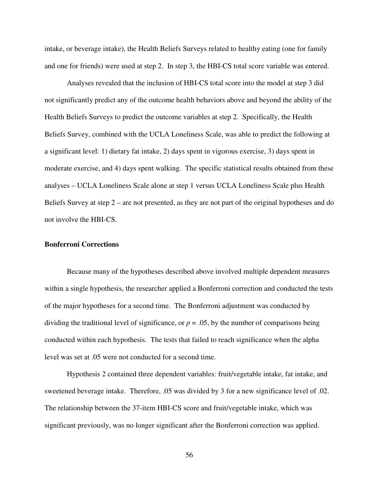intake, or beverage intake), the Health Beliefs Surveys related to healthy eating (one for family and one for friends) were used at step 2. In step 3, the HBI-CS total score variable was entered.

Analyses revealed that the inclusion of HBI-CS total score into the model at step 3 did not significantly predict any of the outcome health behaviors above and beyond the ability of the Health Beliefs Surveys to predict the outcome variables at step 2. Specifically, the Health Beliefs Survey, combined with the UCLA Loneliness Scale, was able to predict the following at a significant level: 1) dietary fat intake, 2) days spent in vigorous exercise, 3) days spent in moderate exercise, and 4) days spent walking. The specific statistical results obtained from these analyses – UCLA Loneliness Scale alone at step 1 versus UCLA Loneliness Scale plus Health Beliefs Survey at step 2 – are not presented, as they are not part of the original hypotheses and do not involve the HBI-CS.

# **Bonferroni Corrections**

Because many of the hypotheses described above involved multiple dependent measures within a single hypothesis, the researcher applied a Bonferroni correction and conducted the tests of the major hypotheses for a second time. The Bonferroni adjustment was conducted by dividing the traditional level of significance, or  $p = .05$ , by the number of comparisons being conducted within each hypothesis. The tests that failed to reach significance when the alpha level was set at .05 were not conducted for a second time.

 Hypothesis 2 contained three dependent variables: fruit/vegetable intake, fat intake, and sweetened beverage intake. Therefore, .05 was divided by 3 for a new significance level of .02. The relationship between the 37-item HBI-CS score and fruit/vegetable intake, which was significant previously, was no longer significant after the Bonferroni correction was applied.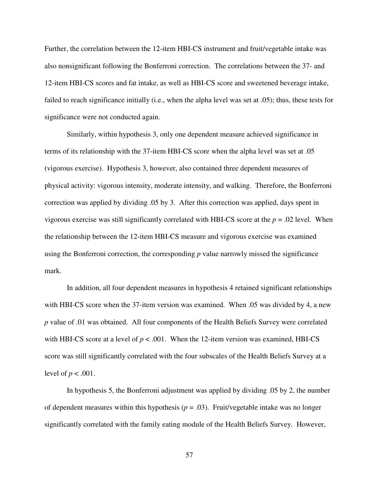Further, the correlation between the 12-item HBI-CS instrument and fruit/vegetable intake was also nonsignificant following the Bonferroni correction. The correlations between the 37- and 12-item HBI-CS scores and fat intake, as well as HBI-CS score and sweetened beverage intake, failed to reach significance initially (i.e., when the alpha level was set at .05); thus, these tests for significance were not conducted again.

 Similarly, within hypothesis 3, only one dependent measure achieved significance in terms of its relationship with the 37-item HBI-CS score when the alpha level was set at .05 (vigorous exercise). Hypothesis 3, however, also contained three dependent measures of physical activity: vigorous intensity, moderate intensity, and walking. Therefore, the Bonferroni correction was applied by dividing .05 by 3. After this correction was applied, days spent in vigorous exercise was still significantly correlated with HBI-CS score at the *p* = .02 level. When the relationship between the 12-item HBI-CS measure and vigorous exercise was examined using the Bonferroni correction, the corresponding *p* value narrowly missed the significance mark.

In addition, all four dependent measures in hypothesis 4 retained significant relationships with HBI-CS score when the 37-item version was examined. When .05 was divided by 4, a new *p* value of .01 was obtained. All four components of the Health Beliefs Survey were correlated with HBI-CS score at a level of  $p < .001$ . When the 12-item version was examined, HBI-CS score was still significantly correlated with the four subscales of the Health Beliefs Survey at a level of  $p < .001$ .

 In hypothesis 5, the Bonferroni adjustment was applied by dividing .05 by 2, the number of dependent measures within this hypothesis  $(p = .03)$ . Fruit/vegetable intake was no longer significantly correlated with the family eating module of the Health Beliefs Survey. However,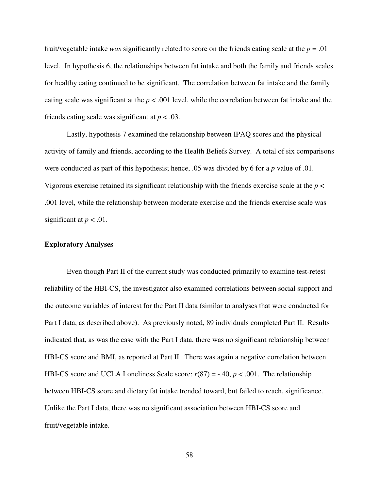fruit/vegetable intake *was* significantly related to score on the friends eating scale at the *p* = .01 level. In hypothesis 6, the relationships between fat intake and both the family and friends scales for healthy eating continued to be significant. The correlation between fat intake and the family eating scale was significant at the  $p < .001$  level, while the correlation between fat intake and the friends eating scale was significant at *p* < .03.

Lastly, hypothesis 7 examined the relationship between IPAQ scores and the physical activity of family and friends, according to the Health Beliefs Survey. A total of six comparisons were conducted as part of this hypothesis; hence, .05 was divided by 6 for a *p* value of .01. Vigorous exercise retained its significant relationship with the friends exercise scale at the *p* < .001 level, while the relationship between moderate exercise and the friends exercise scale was significant at  $p < .01$ .

## **Exploratory Analyses**

Even though Part II of the current study was conducted primarily to examine test-retest reliability of the HBI-CS, the investigator also examined correlations between social support and the outcome variables of interest for the Part II data (similar to analyses that were conducted for Part I data, as described above). As previously noted, 89 individuals completed Part II. Results indicated that, as was the case with the Part I data, there was no significant relationship between HBI-CS score and BMI, as reported at Part II. There was again a negative correlation between HBI-CS score and UCLA Loneliness Scale score: *r*(87) = -.40, *p* < .001. The relationship between HBI-CS score and dietary fat intake trended toward, but failed to reach, significance. Unlike the Part I data, there was no significant association between HBI-CS score and fruit/vegetable intake.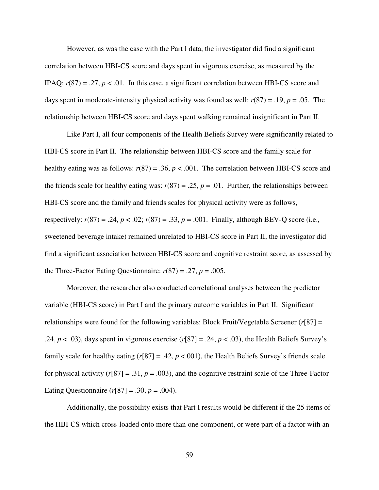However, as was the case with the Part I data, the investigator did find a significant correlation between HBI-CS score and days spent in vigorous exercise, as measured by the IPAQ:  $r(87) = .27$ ,  $p < .01$ . In this case, a significant correlation between HBI-CS score and days spent in moderate-intensity physical activity was found as well:  $r(87) = .19$ ,  $p = .05$ . The relationship between HBI-CS score and days spent walking remained insignificant in Part II.

Like Part I, all four components of the Health Beliefs Survey were significantly related to HBI-CS score in Part II. The relationship between HBI-CS score and the family scale for healthy eating was as follows:  $r(87) = .36$ ,  $p < .001$ . The correlation between HBI-CS score and the friends scale for healthy eating was:  $r(87) = .25$ ,  $p = .01$ . Further, the relationships between HBI-CS score and the family and friends scales for physical activity were as follows, respectively:  $r(87) = .24$ ,  $p < .02$ ;  $r(87) = .33$ ,  $p = .001$ . Finally, although BEV-Q score (i.e., sweetened beverage intake) remained unrelated to HBI-CS score in Part II, the investigator did find a significant association between HBI-CS score and cognitive restraint score, as assessed by the Three-Factor Eating Questionnaire:  $r(87) = .27$ ,  $p = .005$ .

Moreover, the researcher also conducted correlational analyses between the predictor variable (HBI-CS score) in Part I and the primary outcome variables in Part II. Significant relationships were found for the following variables: Block Fruit/Vegetable Screener (*r*[87] = .24,  $p < .03$ ), days spent in vigorous exercise ( $r[87] = .24$ ,  $p < .03$ ), the Health Beliefs Survey's family scale for healthy eating  $(r[87] = .42, p < .001)$ , the Health Beliefs Survey's friends scale for physical activity  $(r[87] = .31, p = .003)$ , and the cognitive restraint scale of the Three-Factor Eating Questionnaire  $(r[87] = .30, p = .004)$ .

Additionally, the possibility exists that Part I results would be different if the 25 items of the HBI-CS which cross-loaded onto more than one component, or were part of a factor with an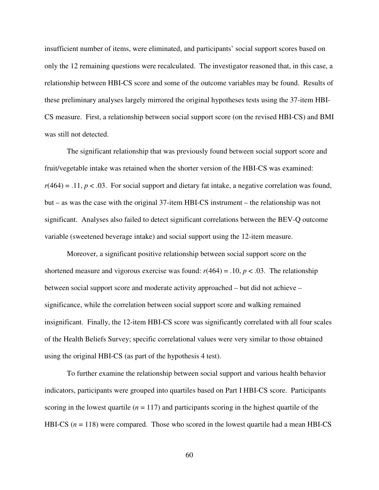insufficient number of items, were eliminated, and participants' social support scores based on only the 12 remaining questions were recalculated. The investigator reasoned that, in this case, a relationship between HBI-CS score and some of the outcome variables may be found. Results of these preliminary analyses largely mirrored the original hypotheses tests using the 37-item HBI-CS measure. First, a relationship between social support score (on the revised HBI-CS) and BMI was still not detected.

The significant relationship that was previously found between social support score and fruit/vegetable intake was retained when the shorter version of the HBI-CS was examined:  $r(464) = .11, p < .03$ . For social support and dietary fat intake, a negative correlation was found, but – as was the case with the original 37-item HBI-CS instrument – the relationship was not significant. Analyses also failed to detect significant correlations between the BEV-Q outcome variable (sweetened beverage intake) and social support using the 12-item measure.

Moreover, a significant positive relationship between social support score on the shortened measure and vigorous exercise was found:  $r(464) = .10$ ,  $p < .03$ . The relationship between social support score and moderate activity approached – but did not achieve – significance, while the correlation between social support score and walking remained insignificant. Finally, the 12-item HBI-CS score was significantly correlated with all four scales of the Health Beliefs Survey; specific correlational values were very similar to those obtained using the original HBI-CS (as part of the hypothesis 4 test).

To further examine the relationship between social support and various health behavior indicators, participants were grouped into quartiles based on Part I HBI-CS score. Participants scoring in the lowest quartile  $(n = 117)$  and participants scoring in the highest quartile of the HBI-CS ( $n = 118$ ) were compared. Those who scored in the lowest quartile had a mean HBI-CS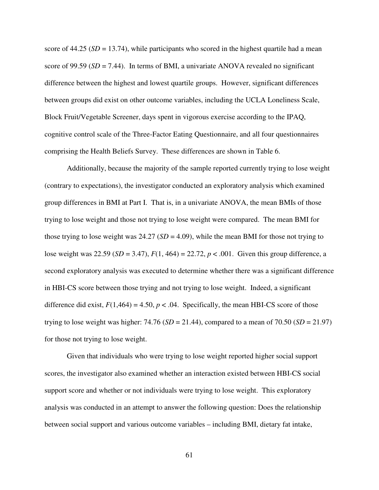score of  $44.25$  ( $SD = 13.74$ ), while participants who scored in the highest quartile had a mean score of 99.59 ( $SD = 7.44$ ). In terms of BMI, a univariate ANOVA revealed no significant difference between the highest and lowest quartile groups. However, significant differences between groups did exist on other outcome variables, including the UCLA Loneliness Scale, Block Fruit/Vegetable Screener, days spent in vigorous exercise according to the IPAQ, cognitive control scale of the Three-Factor Eating Questionnaire, and all four questionnaires comprising the Health Beliefs Survey. These differences are shown in Table 6.

 Additionally, because the majority of the sample reported currently trying to lose weight (contrary to expectations), the investigator conducted an exploratory analysis which examined group differences in BMI at Part I. That is, in a univariate ANOVA, the mean BMIs of those trying to lose weight and those not trying to lose weight were compared. The mean BMI for those trying to lose weight was  $24.27$  ( $SD = 4.09$ ), while the mean BMI for those not trying to lose weight was 22.59 (*SD* = 3.47), *F*(1, 464) = 22.72, *p* < .001. Given this group difference, a second exploratory analysis was executed to determine whether there was a significant difference in HBI-CS score between those trying and not trying to lose weight. Indeed, a significant difference did exist,  $F(1,464) = 4.50$ ,  $p < .04$ . Specifically, the mean HBI-CS score of those trying to lose weight was higher:  $74.76$  ( $SD = 21.44$ ), compared to a mean of  $70.50$  ( $SD = 21.97$ ) for those not trying to lose weight.

Given that individuals who were trying to lose weight reported higher social support scores, the investigator also examined whether an interaction existed between HBI-CS social support score and whether or not individuals were trying to lose weight. This exploratory analysis was conducted in an attempt to answer the following question: Does the relationship between social support and various outcome variables – including BMI, dietary fat intake,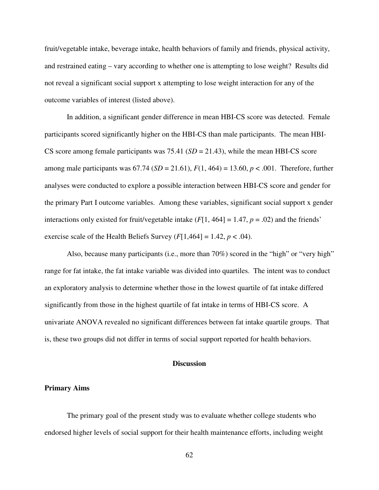fruit/vegetable intake, beverage intake, health behaviors of family and friends, physical activity, and restrained eating – vary according to whether one is attempting to lose weight? Results did not reveal a significant social support x attempting to lose weight interaction for any of the outcome variables of interest (listed above).

In addition, a significant gender difference in mean HBI-CS score was detected. Female participants scored significantly higher on the HBI-CS than male participants. The mean HBI-CS score among female participants was 75.41 (*SD* = 21.43), while the mean HBI-CS score among male participants was  $67.74$  ( $SD = 21.61$ ),  $F(1, 464) = 13.60$ ,  $p < .001$ . Therefore, further analyses were conducted to explore a possible interaction between HBI-CS score and gender for the primary Part I outcome variables. Among these variables, significant social support x gender interactions only existed for fruit/vegetable intake  $(F[1, 464] = 1.47, p = .02)$  and the friends' exercise scale of the Health Beliefs Survey  $(F[1,464] = 1.42, p < .04)$ .

 Also, because many participants (i.e., more than 70%) scored in the "high" or "very high" range for fat intake, the fat intake variable was divided into quartiles. The intent was to conduct an exploratory analysis to determine whether those in the lowest quartile of fat intake differed significantly from those in the highest quartile of fat intake in terms of HBI-CS score. A univariate ANOVA revealed no significant differences between fat intake quartile groups. That is, these two groups did not differ in terms of social support reported for health behaviors.

## **Discussion**

## **Primary Aims**

The primary goal of the present study was to evaluate whether college students who endorsed higher levels of social support for their health maintenance efforts, including weight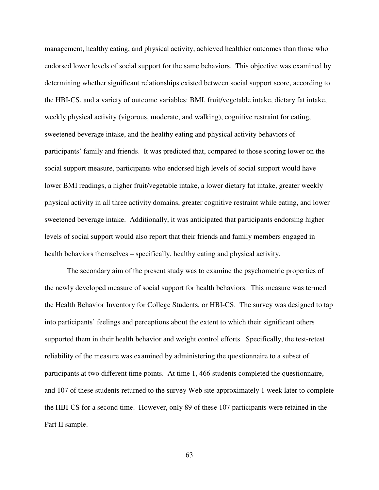management, healthy eating, and physical activity, achieved healthier outcomes than those who endorsed lower levels of social support for the same behaviors. This objective was examined by determining whether significant relationships existed between social support score, according to the HBI-CS, and a variety of outcome variables: BMI, fruit/vegetable intake, dietary fat intake, weekly physical activity (vigorous, moderate, and walking), cognitive restraint for eating, sweetened beverage intake, and the healthy eating and physical activity behaviors of participants' family and friends. It was predicted that, compared to those scoring lower on the social support measure, participants who endorsed high levels of social support would have lower BMI readings, a higher fruit/vegetable intake, a lower dietary fat intake, greater weekly physical activity in all three activity domains, greater cognitive restraint while eating, and lower sweetened beverage intake. Additionally, it was anticipated that participants endorsing higher levels of social support would also report that their friends and family members engaged in health behaviors themselves – specifically, healthy eating and physical activity.

The secondary aim of the present study was to examine the psychometric properties of the newly developed measure of social support for health behaviors. This measure was termed the Health Behavior Inventory for College Students, or HBI-CS. The survey was designed to tap into participants' feelings and perceptions about the extent to which their significant others supported them in their health behavior and weight control efforts. Specifically, the test-retest reliability of the measure was examined by administering the questionnaire to a subset of participants at two different time points. At time 1, 466 students completed the questionnaire, and 107 of these students returned to the survey Web site approximately 1 week later to complete the HBI-CS for a second time. However, only 89 of these 107 participants were retained in the Part II sample.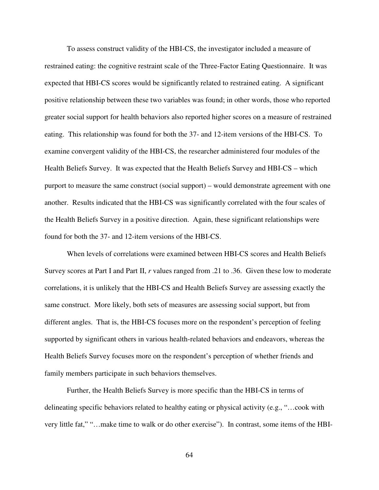To assess construct validity of the HBI-CS, the investigator included a measure of restrained eating: the cognitive restraint scale of the Three-Factor Eating Questionnaire. It was expected that HBI-CS scores would be significantly related to restrained eating. A significant positive relationship between these two variables was found; in other words, those who reported greater social support for health behaviors also reported higher scores on a measure of restrained eating. This relationship was found for both the 37- and 12-item versions of the HBI-CS. To examine convergent validity of the HBI-CS, the researcher administered four modules of the Health Beliefs Survey. It was expected that the Health Beliefs Survey and HBI-CS – which purport to measure the same construct (social support) – would demonstrate agreement with one another. Results indicated that the HBI-CS was significantly correlated with the four scales of the Health Beliefs Survey in a positive direction. Again, these significant relationships were found for both the 37- and 12-item versions of the HBI-CS.

When levels of correlations were examined between HBI-CS scores and Health Beliefs Survey scores at Part I and Part II, *r* values ranged from .21 to .36. Given these low to moderate correlations, it is unlikely that the HBI-CS and Health Beliefs Survey are assessing exactly the same construct. More likely, both sets of measures are assessing social support, but from different angles. That is, the HBI-CS focuses more on the respondent's perception of feeling supported by significant others in various health-related behaviors and endeavors, whereas the Health Beliefs Survey focuses more on the respondent's perception of whether friends and family members participate in such behaviors themselves.

Further, the Health Beliefs Survey is more specific than the HBI-CS in terms of delineating specific behaviors related to healthy eating or physical activity (e.g., "…cook with very little fat," "…make time to walk or do other exercise"). In contrast, some items of the HBI-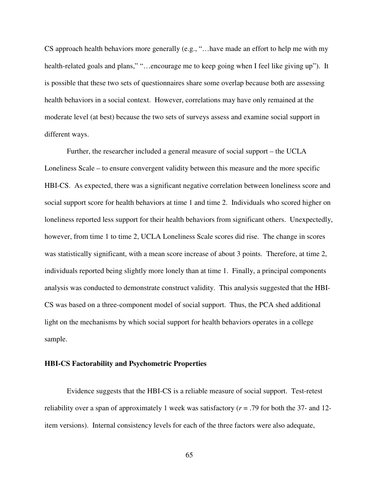CS approach health behaviors more generally (e.g., "…have made an effort to help me with my health-related goals and plans," "...encourage me to keep going when I feel like giving up"). It is possible that these two sets of questionnaires share some overlap because both are assessing health behaviors in a social context. However, correlations may have only remained at the moderate level (at best) because the two sets of surveys assess and examine social support in different ways.

Further, the researcher included a general measure of social support – the UCLA Loneliness Scale – to ensure convergent validity between this measure and the more specific HBI-CS. As expected, there was a significant negative correlation between loneliness score and social support score for health behaviors at time 1 and time 2. Individuals who scored higher on loneliness reported less support for their health behaviors from significant others. Unexpectedly, however, from time 1 to time 2, UCLA Loneliness Scale scores did rise. The change in scores was statistically significant, with a mean score increase of about 3 points. Therefore, at time 2, individuals reported being slightly more lonely than at time 1. Finally, a principal components analysis was conducted to demonstrate construct validity. This analysis suggested that the HBI-CS was based on a three-component model of social support. Thus, the PCA shed additional light on the mechanisms by which social support for health behaviors operates in a college sample.

## **HBI-CS Factorability and Psychometric Properties**

 Evidence suggests that the HBI-CS is a reliable measure of social support. Test-retest reliability over a span of approximately 1 week was satisfactory (*r* = .79 for both the 37- and 12 item versions). Internal consistency levels for each of the three factors were also adequate,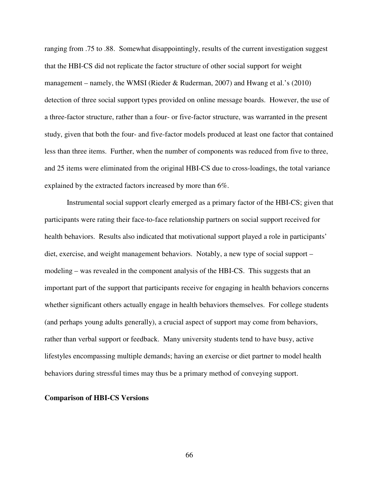ranging from .75 to .88. Somewhat disappointingly, results of the current investigation suggest that the HBI-CS did not replicate the factor structure of other social support for weight management – namely, the WMSI (Rieder & Ruderman, 2007) and Hwang et al.'s (2010) detection of three social support types provided on online message boards. However, the use of a three-factor structure, rather than a four- or five-factor structure, was warranted in the present study, given that both the four- and five-factor models produced at least one factor that contained less than three items. Further, when the number of components was reduced from five to three, and 25 items were eliminated from the original HBI-CS due to cross-loadings, the total variance explained by the extracted factors increased by more than 6%.

Instrumental social support clearly emerged as a primary factor of the HBI-CS; given that participants were rating their face-to-face relationship partners on social support received for health behaviors. Results also indicated that motivational support played a role in participants' diet, exercise, and weight management behaviors. Notably, a new type of social support – modeling – was revealed in the component analysis of the HBI-CS. This suggests that an important part of the support that participants receive for engaging in health behaviors concerns whether significant others actually engage in health behaviors themselves. For college students (and perhaps young adults generally), a crucial aspect of support may come from behaviors, rather than verbal support or feedback. Many university students tend to have busy, active lifestyles encompassing multiple demands; having an exercise or diet partner to model health behaviors during stressful times may thus be a primary method of conveying support.

## **Comparison of HBI-CS Versions**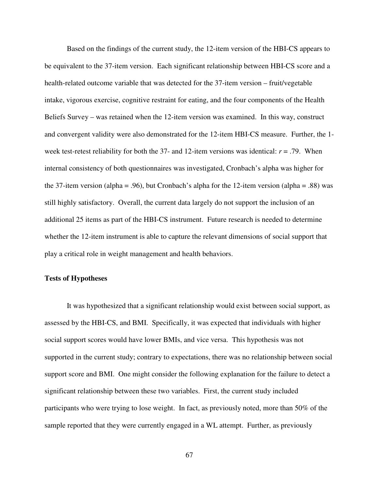Based on the findings of the current study, the 12-item version of the HBI-CS appears to be equivalent to the 37-item version. Each significant relationship between HBI-CS score and a health-related outcome variable that was detected for the 37-item version – fruit/vegetable intake, vigorous exercise, cognitive restraint for eating, and the four components of the Health Beliefs Survey – was retained when the 12-item version was examined. In this way, construct and convergent validity were also demonstrated for the 12-item HBI-CS measure. Further, the 1 week test-retest reliability for both the 37- and 12-item versions was identical: *r* = .79. When internal consistency of both questionnaires was investigated, Cronbach's alpha was higher for the 37-item version (alpha = .96), but Cronbach's alpha for the 12-item version (alpha = .88) was still highly satisfactory. Overall, the current data largely do not support the inclusion of an additional 25 items as part of the HBI-CS instrument. Future research is needed to determine whether the 12-item instrument is able to capture the relevant dimensions of social support that play a critical role in weight management and health behaviors.

### **Tests of Hypotheses**

 It was hypothesized that a significant relationship would exist between social support, as assessed by the HBI-CS, and BMI. Specifically, it was expected that individuals with higher social support scores would have lower BMIs, and vice versa. This hypothesis was not supported in the current study; contrary to expectations, there was no relationship between social support score and BMI. One might consider the following explanation for the failure to detect a significant relationship between these two variables. First, the current study included participants who were trying to lose weight. In fact, as previously noted, more than 50% of the sample reported that they were currently engaged in a WL attempt. Further, as previously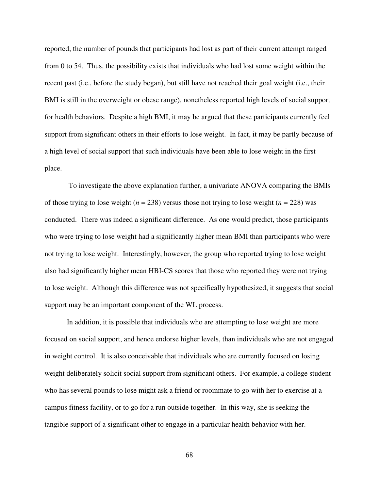reported, the number of pounds that participants had lost as part of their current attempt ranged from 0 to 54. Thus, the possibility exists that individuals who had lost some weight within the recent past (i.e., before the study began), but still have not reached their goal weight (i.e., their BMI is still in the overweight or obese range), nonetheless reported high levels of social support for health behaviors. Despite a high BMI, it may be argued that these participants currently feel support from significant others in their efforts to lose weight. In fact, it may be partly because of a high level of social support that such individuals have been able to lose weight in the first place.

 To investigate the above explanation further, a univariate ANOVA comparing the BMIs of those trying to lose weight  $(n = 238)$  versus those not trying to lose weight  $(n = 228)$  was conducted. There was indeed a significant difference. As one would predict, those participants who were trying to lose weight had a significantly higher mean BMI than participants who were not trying to lose weight. Interestingly, however, the group who reported trying to lose weight also had significantly higher mean HBI-CS scores that those who reported they were not trying to lose weight. Although this difference was not specifically hypothesized, it suggests that social support may be an important component of the WL process.

In addition, it is possible that individuals who are attempting to lose weight are more focused on social support, and hence endorse higher levels, than individuals who are not engaged in weight control. It is also conceivable that individuals who are currently focused on losing weight deliberately solicit social support from significant others. For example, a college student who has several pounds to lose might ask a friend or roommate to go with her to exercise at a campus fitness facility, or to go for a run outside together. In this way, she is seeking the tangible support of a significant other to engage in a particular health behavior with her.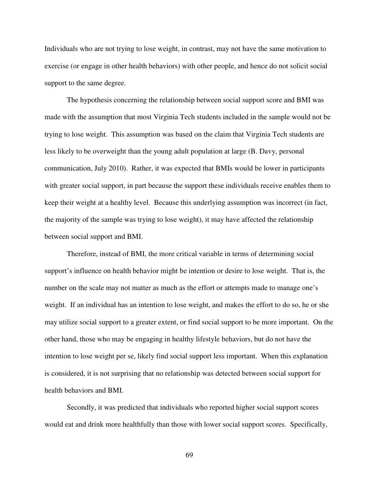Individuals who are not trying to lose weight, in contrast, may not have the same motivation to exercise (or engage in other health behaviors) with other people, and hence do not solicit social support to the same degree.

The hypothesis concerning the relationship between social support score and BMI was made with the assumption that most Virginia Tech students included in the sample would not be trying to lose weight. This assumption was based on the claim that Virginia Tech students are less likely to be overweight than the young adult population at large (B. Davy, personal communication, July 2010). Rather, it was expected that BMIs would be lower in participants with greater social support, in part because the support these individuals receive enables them to keep their weight at a healthy level. Because this underlying assumption was incorrect (in fact, the majority of the sample was trying to lose weight), it may have affected the relationship between social support and BMI.

Therefore, instead of BMI, the more critical variable in terms of determining social support's influence on health behavior might be intention or desire to lose weight. That is, the number on the scale may not matter as much as the effort or attempts made to manage one's weight. If an individual has an intention to lose weight, and makes the effort to do so, he or she may utilize social support to a greater extent, or find social support to be more important. On the other hand, those who may be engaging in healthy lifestyle behaviors, but do not have the intention to lose weight per se, likely find social support less important. When this explanation is considered, it is not surprising that no relationship was detected between social support for health behaviors and BMI.

Secondly, it was predicted that individuals who reported higher social support scores would eat and drink more healthfully than those with lower social support scores. Specifically,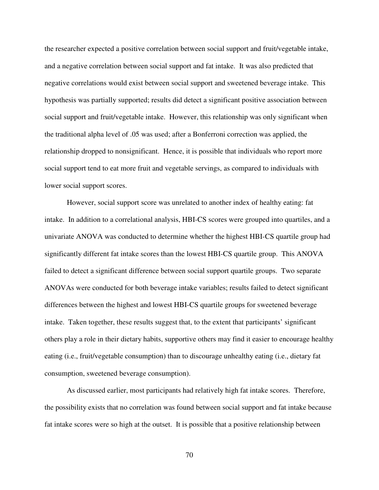the researcher expected a positive correlation between social support and fruit/vegetable intake, and a negative correlation between social support and fat intake. It was also predicted that negative correlations would exist between social support and sweetened beverage intake. This hypothesis was partially supported; results did detect a significant positive association between social support and fruit/vegetable intake. However, this relationship was only significant when the traditional alpha level of .05 was used; after a Bonferroni correction was applied, the relationship dropped to nonsignificant. Hence, it is possible that individuals who report more social support tend to eat more fruit and vegetable servings, as compared to individuals with lower social support scores.

However, social support score was unrelated to another index of healthy eating: fat intake. In addition to a correlational analysis, HBI-CS scores were grouped into quartiles, and a univariate ANOVA was conducted to determine whether the highest HBI-CS quartile group had significantly different fat intake scores than the lowest HBI-CS quartile group. This ANOVA failed to detect a significant difference between social support quartile groups. Two separate ANOVAs were conducted for both beverage intake variables; results failed to detect significant differences between the highest and lowest HBI-CS quartile groups for sweetened beverage intake. Taken together, these results suggest that, to the extent that participants' significant others play a role in their dietary habits, supportive others may find it easier to encourage healthy eating (i.e., fruit/vegetable consumption) than to discourage unhealthy eating (i.e., dietary fat consumption, sweetened beverage consumption).

As discussed earlier, most participants had relatively high fat intake scores. Therefore, the possibility exists that no correlation was found between social support and fat intake because fat intake scores were so high at the outset. It is possible that a positive relationship between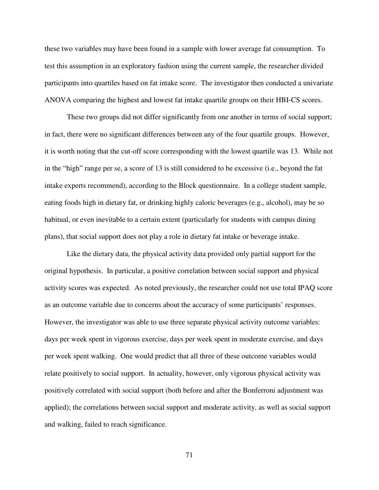these two variables may have been found in a sample with lower average fat consumption. To test this assumption in an exploratory fashion using the current sample, the researcher divided participants into quartiles based on fat intake score. The investigator then conducted a univariate ANOVA comparing the highest and lowest fat intake quartile groups on their HBI-CS scores.

These two groups did not differ significantly from one another in terms of social support; in fact, there were no significant differences between any of the four quartile groups. However, it is worth noting that the cut-off score corresponding with the lowest quartile was 13. While not in the "high" range per se, a score of 13 is still considered to be excessive (i.e., beyond the fat intake experts recommend), according to the Block questionnaire. In a college student sample, eating foods high in dietary fat, or drinking highly caloric beverages (e.g., alcohol), may be so habitual, or even inevitable to a certain extent (particularly for students with campus dining plans), that social support does not play a role in dietary fat intake or beverage intake.

Like the dietary data, the physical activity data provided only partial support for the original hypothesis. In particular, a positive correlation between social support and physical activity scores was expected. As noted previously, the researcher could not use total IPAQ score as an outcome variable due to concerns about the accuracy of some participants' responses. However, the investigator was able to use three separate physical activity outcome variables: days per week spent in vigorous exercise, days per week spent in moderate exercise, and days per week spent walking. One would predict that all three of these outcome variables would relate positively to social support. In actuality, however, only vigorous physical activity was positively correlated with social support (both before and after the Bonferroni adjustment was applied); the correlations between social support and moderate activity, as well as social support and walking, failed to reach significance.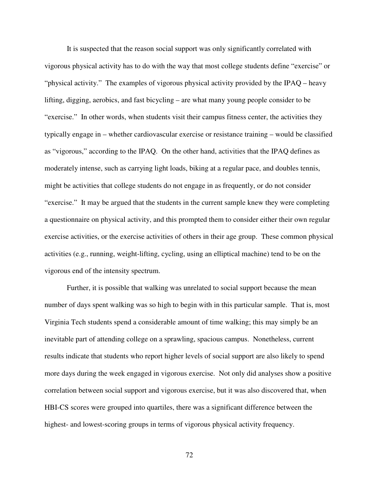It is suspected that the reason social support was only significantly correlated with vigorous physical activity has to do with the way that most college students define "exercise" or "physical activity." The examples of vigorous physical activity provided by the IPAQ – heavy lifting, digging, aerobics, and fast bicycling – are what many young people consider to be "exercise." In other words, when students visit their campus fitness center, the activities they typically engage in – whether cardiovascular exercise or resistance training – would be classified as "vigorous," according to the IPAQ. On the other hand, activities that the IPAQ defines as moderately intense, such as carrying light loads, biking at a regular pace, and doubles tennis, might be activities that college students do not engage in as frequently, or do not consider "exercise." It may be argued that the students in the current sample knew they were completing a questionnaire on physical activity, and this prompted them to consider either their own regular exercise activities, or the exercise activities of others in their age group. These common physical activities (e.g., running, weight-lifting, cycling, using an elliptical machine) tend to be on the vigorous end of the intensity spectrum.

Further, it is possible that walking was unrelated to social support because the mean number of days spent walking was so high to begin with in this particular sample. That is, most Virginia Tech students spend a considerable amount of time walking; this may simply be an inevitable part of attending college on a sprawling, spacious campus. Nonetheless, current results indicate that students who report higher levels of social support are also likely to spend more days during the week engaged in vigorous exercise. Not only did analyses show a positive correlation between social support and vigorous exercise, but it was also discovered that, when HBI-CS scores were grouped into quartiles, there was a significant difference between the highest- and lowest-scoring groups in terms of vigorous physical activity frequency.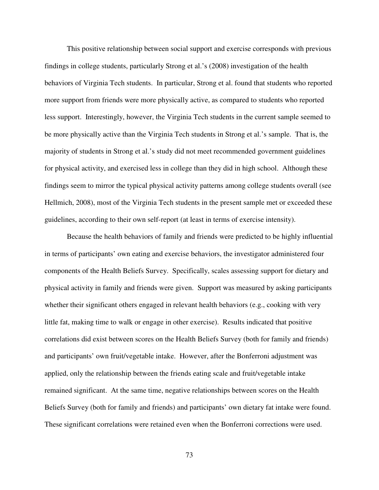This positive relationship between social support and exercise corresponds with previous findings in college students, particularly Strong et al.'s (2008) investigation of the health behaviors of Virginia Tech students. In particular, Strong et al. found that students who reported more support from friends were more physically active, as compared to students who reported less support. Interestingly, however, the Virginia Tech students in the current sample seemed to be more physically active than the Virginia Tech students in Strong et al.'s sample. That is, the majority of students in Strong et al.'s study did not meet recommended government guidelines for physical activity, and exercised less in college than they did in high school. Although these findings seem to mirror the typical physical activity patterns among college students overall (see Hellmich, 2008), most of the Virginia Tech students in the present sample met or exceeded these guidelines, according to their own self-report (at least in terms of exercise intensity).

Because the health behaviors of family and friends were predicted to be highly influential in terms of participants' own eating and exercise behaviors, the investigator administered four components of the Health Beliefs Survey. Specifically, scales assessing support for dietary and physical activity in family and friends were given. Support was measured by asking participants whether their significant others engaged in relevant health behaviors (e.g., cooking with very little fat, making time to walk or engage in other exercise). Results indicated that positive correlations did exist between scores on the Health Beliefs Survey (both for family and friends) and participants' own fruit/vegetable intake. However, after the Bonferroni adjustment was applied, only the relationship between the friends eating scale and fruit/vegetable intake remained significant. At the same time, negative relationships between scores on the Health Beliefs Survey (both for family and friends) and participants' own dietary fat intake were found. These significant correlations were retained even when the Bonferroni corrections were used.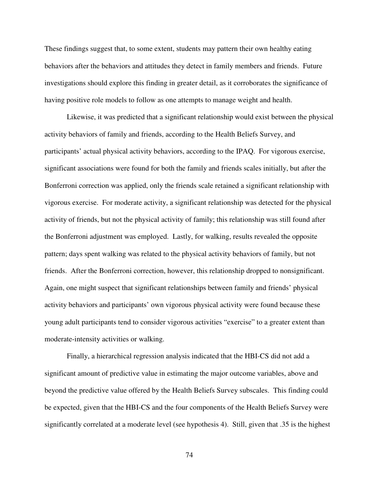These findings suggest that, to some extent, students may pattern their own healthy eating behaviors after the behaviors and attitudes they detect in family members and friends. Future investigations should explore this finding in greater detail, as it corroborates the significance of having positive role models to follow as one attempts to manage weight and health.

Likewise, it was predicted that a significant relationship would exist between the physical activity behaviors of family and friends, according to the Health Beliefs Survey, and participants' actual physical activity behaviors, according to the IPAQ. For vigorous exercise, significant associations were found for both the family and friends scales initially, but after the Bonferroni correction was applied, only the friends scale retained a significant relationship with vigorous exercise. For moderate activity, a significant relationship was detected for the physical activity of friends, but not the physical activity of family; this relationship was still found after the Bonferroni adjustment was employed. Lastly, for walking, results revealed the opposite pattern; days spent walking was related to the physical activity behaviors of family, but not friends. After the Bonferroni correction, however, this relationship dropped to nonsignificant. Again, one might suspect that significant relationships between family and friends' physical activity behaviors and participants' own vigorous physical activity were found because these young adult participants tend to consider vigorous activities "exercise" to a greater extent than moderate-intensity activities or walking.

Finally, a hierarchical regression analysis indicated that the HBI-CS did not add a significant amount of predictive value in estimating the major outcome variables, above and beyond the predictive value offered by the Health Beliefs Survey subscales. This finding could be expected, given that the HBI-CS and the four components of the Health Beliefs Survey were significantly correlated at a moderate level (see hypothesis 4). Still, given that .35 is the highest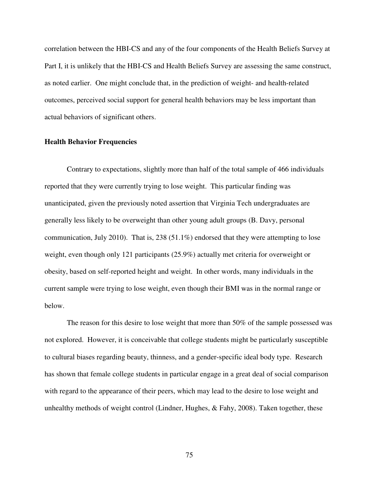correlation between the HBI-CS and any of the four components of the Health Beliefs Survey at Part I, it is unlikely that the HBI-CS and Health Beliefs Survey are assessing the same construct, as noted earlier. One might conclude that, in the prediction of weight- and health-related outcomes, perceived social support for general health behaviors may be less important than actual behaviors of significant others.

#### **Health Behavior Frequencies**

 Contrary to expectations, slightly more than half of the total sample of 466 individuals reported that they were currently trying to lose weight. This particular finding was unanticipated, given the previously noted assertion that Virginia Tech undergraduates are generally less likely to be overweight than other young adult groups (B. Davy, personal communication, July 2010). That is, 238 (51.1%) endorsed that they were attempting to lose weight, even though only 121 participants (25.9%) actually met criteria for overweight or obesity, based on self-reported height and weight. In other words, many individuals in the current sample were trying to lose weight, even though their BMI was in the normal range or below.

The reason for this desire to lose weight that more than 50% of the sample possessed was not explored. However, it is conceivable that college students might be particularly susceptible to cultural biases regarding beauty, thinness, and a gender-specific ideal body type. Research has shown that female college students in particular engage in a great deal of social comparison with regard to the appearance of their peers, which may lead to the desire to lose weight and unhealthy methods of weight control (Lindner, Hughes, & Fahy, 2008). Taken together, these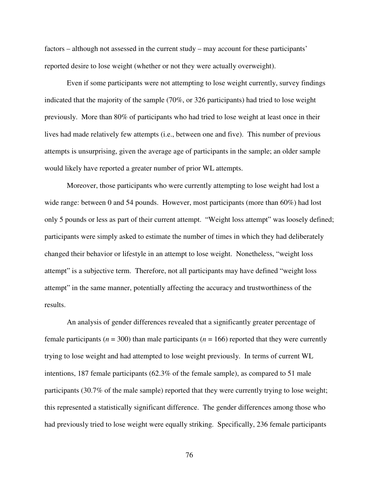factors – although not assessed in the current study – may account for these participants' reported desire to lose weight (whether or not they were actually overweight).

 Even if some participants were not attempting to lose weight currently, survey findings indicated that the majority of the sample (70%, or 326 participants) had tried to lose weight previously. More than 80% of participants who had tried to lose weight at least once in their lives had made relatively few attempts (i.e., between one and five). This number of previous attempts is unsurprising, given the average age of participants in the sample; an older sample would likely have reported a greater number of prior WL attempts.

Moreover, those participants who were currently attempting to lose weight had lost a wide range: between 0 and 54 pounds. However, most participants (more than 60%) had lost only 5 pounds or less as part of their current attempt. "Weight loss attempt" was loosely defined; participants were simply asked to estimate the number of times in which they had deliberately changed their behavior or lifestyle in an attempt to lose weight. Nonetheless, "weight loss attempt" is a subjective term. Therefore, not all participants may have defined "weight loss attempt" in the same manner, potentially affecting the accuracy and trustworthiness of the results.

 An analysis of gender differences revealed that a significantly greater percentage of female participants ( $n = 300$ ) than male participants ( $n = 166$ ) reported that they were currently trying to lose weight and had attempted to lose weight previously. In terms of current WL intentions, 187 female participants (62.3% of the female sample), as compared to 51 male participants (30.7% of the male sample) reported that they were currently trying to lose weight; this represented a statistically significant difference. The gender differences among those who had previously tried to lose weight were equally striking. Specifically, 236 female participants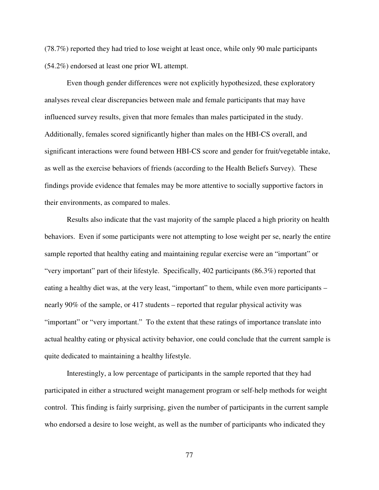(78.7%) reported they had tried to lose weight at least once, while only 90 male participants (54.2%) endorsed at least one prior WL attempt.

Even though gender differences were not explicitly hypothesized, these exploratory analyses reveal clear discrepancies between male and female participants that may have influenced survey results, given that more females than males participated in the study. Additionally, females scored significantly higher than males on the HBI-CS overall, and significant interactions were found between HBI-CS score and gender for fruit/vegetable intake, as well as the exercise behaviors of friends (according to the Health Beliefs Survey). These findings provide evidence that females may be more attentive to socially supportive factors in their environments, as compared to males.

Results also indicate that the vast majority of the sample placed a high priority on health behaviors. Even if some participants were not attempting to lose weight per se, nearly the entire sample reported that healthy eating and maintaining regular exercise were an "important" or "very important" part of their lifestyle. Specifically, 402 participants (86.3%) reported that eating a healthy diet was, at the very least, "important" to them, while even more participants – nearly 90% of the sample, or 417 students – reported that regular physical activity was "important" or "very important." To the extent that these ratings of importance translate into actual healthy eating or physical activity behavior, one could conclude that the current sample is quite dedicated to maintaining a healthy lifestyle.

Interestingly, a low percentage of participants in the sample reported that they had participated in either a structured weight management program or self-help methods for weight control. This finding is fairly surprising, given the number of participants in the current sample who endorsed a desire to lose weight, as well as the number of participants who indicated they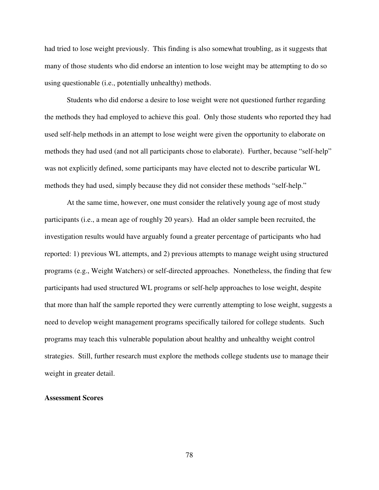had tried to lose weight previously. This finding is also somewhat troubling, as it suggests that many of those students who did endorse an intention to lose weight may be attempting to do so using questionable (i.e., potentially unhealthy) methods.

Students who did endorse a desire to lose weight were not questioned further regarding the methods they had employed to achieve this goal. Only those students who reported they had used self-help methods in an attempt to lose weight were given the opportunity to elaborate on methods they had used (and not all participants chose to elaborate). Further, because "self-help" was not explicitly defined, some participants may have elected not to describe particular WL methods they had used, simply because they did not consider these methods "self-help."

At the same time, however, one must consider the relatively young age of most study participants (i.e., a mean age of roughly 20 years). Had an older sample been recruited, the investigation results would have arguably found a greater percentage of participants who had reported: 1) previous WL attempts, and 2) previous attempts to manage weight using structured programs (e.g., Weight Watchers) or self-directed approaches. Nonetheless, the finding that few participants had used structured WL programs or self-help approaches to lose weight, despite that more than half the sample reported they were currently attempting to lose weight, suggests a need to develop weight management programs specifically tailored for college students. Such programs may teach this vulnerable population about healthy and unhealthy weight control strategies. Still, further research must explore the methods college students use to manage their weight in greater detail.

### **Assessment Scores**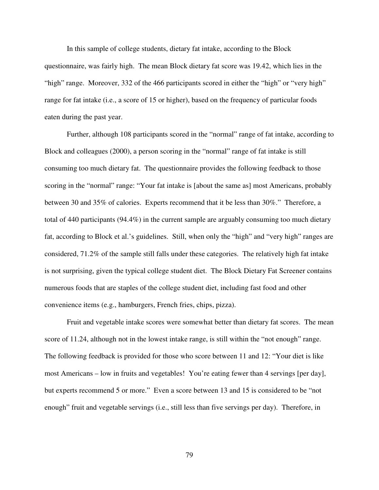In this sample of college students, dietary fat intake, according to the Block questionnaire, was fairly high. The mean Block dietary fat score was 19.42, which lies in the "high" range. Moreover, 332 of the 466 participants scored in either the "high" or "very high" range for fat intake (i.e., a score of 15 or higher), based on the frequency of particular foods eaten during the past year.

Further, although 108 participants scored in the "normal" range of fat intake, according to Block and colleagues (2000), a person scoring in the "normal" range of fat intake is still consuming too much dietary fat. The questionnaire provides the following feedback to those scoring in the "normal" range: "Your fat intake is [about the same as] most Americans, probably between 30 and 35% of calories. Experts recommend that it be less than 30%." Therefore, a total of 440 participants (94.4%) in the current sample are arguably consuming too much dietary fat, according to Block et al.'s guidelines. Still, when only the "high" and "very high" ranges are considered, 71.2% of the sample still falls under these categories. The relatively high fat intake is not surprising, given the typical college student diet. The Block Dietary Fat Screener contains numerous foods that are staples of the college student diet, including fast food and other convenience items (e.g., hamburgers, French fries, chips, pizza).

 Fruit and vegetable intake scores were somewhat better than dietary fat scores. The mean score of 11.24, although not in the lowest intake range, is still within the "not enough" range. The following feedback is provided for those who score between 11 and 12: "Your diet is like most Americans – low in fruits and vegetables! You're eating fewer than 4 servings [per day], but experts recommend 5 or more." Even a score between 13 and 15 is considered to be "not enough" fruit and vegetable servings (i.e., still less than five servings per day). Therefore, in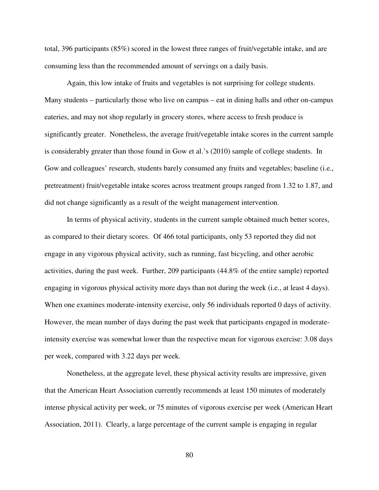total, 396 participants (85%) scored in the lowest three ranges of fruit/vegetable intake, and are consuming less than the recommended amount of servings on a daily basis.

Again, this low intake of fruits and vegetables is not surprising for college students. Many students – particularly those who live on campus – eat in dining halls and other on-campus eateries, and may not shop regularly in grocery stores, where access to fresh produce is significantly greater. Nonetheless, the average fruit/vegetable intake scores in the current sample is considerably greater than those found in Gow et al.'s (2010) sample of college students. In Gow and colleagues' research, students barely consumed any fruits and vegetables; baseline (i.e., pretreatment) fruit/vegetable intake scores across treatment groups ranged from 1.32 to 1.87, and did not change significantly as a result of the weight management intervention.

 In terms of physical activity, students in the current sample obtained much better scores, as compared to their dietary scores. Of 466 total participants, only 53 reported they did not engage in any vigorous physical activity, such as running, fast bicycling, and other aerobic activities, during the past week. Further, 209 participants (44.8% of the entire sample) reported engaging in vigorous physical activity more days than not during the week (i.e., at least 4 days). When one examines moderate-intensity exercise, only 56 individuals reported 0 days of activity. However, the mean number of days during the past week that participants engaged in moderateintensity exercise was somewhat lower than the respective mean for vigorous exercise: 3.08 days per week, compared with 3.22 days per week.

Nonetheless, at the aggregate level, these physical activity results are impressive, given that the American Heart Association currently recommends at least 150 minutes of moderately intense physical activity per week, or 75 minutes of vigorous exercise per week (American Heart Association, 2011). Clearly, a large percentage of the current sample is engaging in regular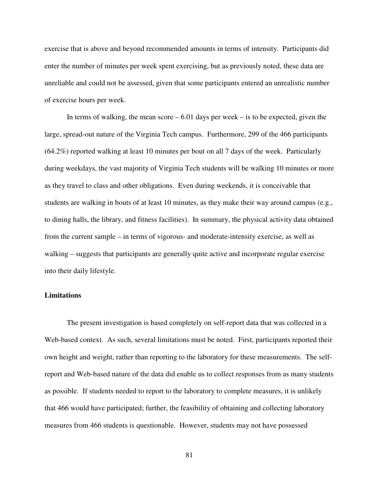exercise that is above and beyond recommended amounts in terms of intensity. Participants did enter the number of minutes per week spent exercising, but as previously noted, these data are unreliable and could not be assessed, given that some participants entered an unrealistic number of exercise hours per week.

In terms of walking, the mean score  $-6.01$  days per week – is to be expected, given the large, spread-out nature of the Virginia Tech campus. Furthermore, 299 of the 466 participants (64.2%) reported walking at least 10 minutes per bout on all 7 days of the week. Particularly during weekdays, the vast majority of Virginia Tech students will be walking 10 minutes or more as they travel to class and other obligations. Even during weekends, it is conceivable that students are walking in bouts of at least 10 minutes, as they make their way around campus (e.g., to dining halls, the library, and fitness facilities). In summary, the physical activity data obtained from the current sample – in terms of vigorous- and moderate-intensity exercise, as well as walking – suggests that participants are generally quite active and incorporate regular exercise into their daily lifestyle.

### **Limitations**

The present investigation is based completely on self-report data that was collected in a Web-based context. As such, several limitations must be noted. First, participants reported their own height and weight, rather than reporting to the laboratory for these measurements. The selfreport and Web-based nature of the data did enable us to collect responses from as many students as possible. If students needed to report to the laboratory to complete measures, it is unlikely that 466 would have participated; further, the feasibility of obtaining and collecting laboratory measures from 466 students is questionable. However, students may not have possessed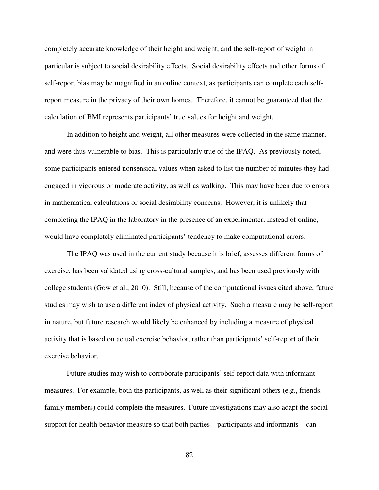completely accurate knowledge of their height and weight, and the self-report of weight in particular is subject to social desirability effects. Social desirability effects and other forms of self-report bias may be magnified in an online context, as participants can complete each selfreport measure in the privacy of their own homes. Therefore, it cannot be guaranteed that the calculation of BMI represents participants' true values for height and weight.

In addition to height and weight, all other measures were collected in the same manner, and were thus vulnerable to bias. This is particularly true of the IPAQ. As previously noted, some participants entered nonsensical values when asked to list the number of minutes they had engaged in vigorous or moderate activity, as well as walking. This may have been due to errors in mathematical calculations or social desirability concerns. However, it is unlikely that completing the IPAQ in the laboratory in the presence of an experimenter, instead of online, would have completely eliminated participants' tendency to make computational errors.

The IPAQ was used in the current study because it is brief, assesses different forms of exercise, has been validated using cross-cultural samples, and has been used previously with college students (Gow et al., 2010). Still, because of the computational issues cited above, future studies may wish to use a different index of physical activity. Such a measure may be self-report in nature, but future research would likely be enhanced by including a measure of physical activity that is based on actual exercise behavior, rather than participants' self-report of their exercise behavior.

Future studies may wish to corroborate participants' self-report data with informant measures. For example, both the participants, as well as their significant others (e.g., friends, family members) could complete the measures. Future investigations may also adapt the social support for health behavior measure so that both parties – participants and informants – can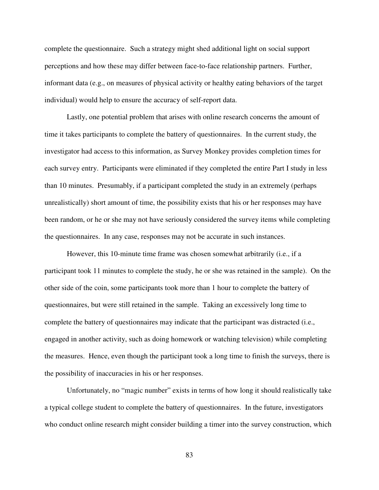complete the questionnaire. Such a strategy might shed additional light on social support perceptions and how these may differ between face-to-face relationship partners. Further, informant data (e.g., on measures of physical activity or healthy eating behaviors of the target individual) would help to ensure the accuracy of self-report data.

Lastly, one potential problem that arises with online research concerns the amount of time it takes participants to complete the battery of questionnaires. In the current study, the investigator had access to this information, as Survey Monkey provides completion times for each survey entry. Participants were eliminated if they completed the entire Part I study in less than 10 minutes. Presumably, if a participant completed the study in an extremely (perhaps unrealistically) short amount of time, the possibility exists that his or her responses may have been random, or he or she may not have seriously considered the survey items while completing the questionnaires. In any case, responses may not be accurate in such instances.

However, this 10-minute time frame was chosen somewhat arbitrarily (i.e., if a participant took 11 minutes to complete the study, he or she was retained in the sample). On the other side of the coin, some participants took more than 1 hour to complete the battery of questionnaires, but were still retained in the sample. Taking an excessively long time to complete the battery of questionnaires may indicate that the participant was distracted (i.e., engaged in another activity, such as doing homework or watching television) while completing the measures. Hence, even though the participant took a long time to finish the surveys, there is the possibility of inaccuracies in his or her responses.

Unfortunately, no "magic number" exists in terms of how long it should realistically take a typical college student to complete the battery of questionnaires. In the future, investigators who conduct online research might consider building a timer into the survey construction, which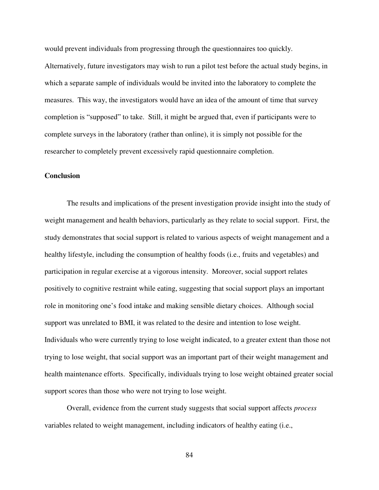would prevent individuals from progressing through the questionnaires too quickly. Alternatively, future investigators may wish to run a pilot test before the actual study begins, in which a separate sample of individuals would be invited into the laboratory to complete the measures. This way, the investigators would have an idea of the amount of time that survey completion is "supposed" to take. Still, it might be argued that, even if participants were to complete surveys in the laboratory (rather than online), it is simply not possible for the researcher to completely prevent excessively rapid questionnaire completion.

### **Conclusion**

 The results and implications of the present investigation provide insight into the study of weight management and health behaviors, particularly as they relate to social support. First, the study demonstrates that social support is related to various aspects of weight management and a healthy lifestyle, including the consumption of healthy foods (i.e., fruits and vegetables) and participation in regular exercise at a vigorous intensity. Moreover, social support relates positively to cognitive restraint while eating, suggesting that social support plays an important role in monitoring one's food intake and making sensible dietary choices. Although social support was unrelated to BMI, it was related to the desire and intention to lose weight. Individuals who were currently trying to lose weight indicated, to a greater extent than those not trying to lose weight, that social support was an important part of their weight management and health maintenance efforts. Specifically, individuals trying to lose weight obtained greater social support scores than those who were not trying to lose weight.

Overall, evidence from the current study suggests that social support affects *process* variables related to weight management, including indicators of healthy eating (i.e.,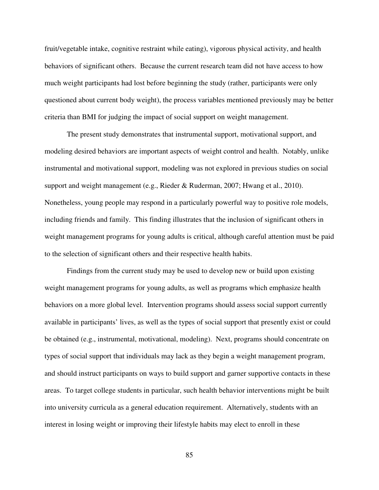fruit/vegetable intake, cognitive restraint while eating), vigorous physical activity, and health behaviors of significant others. Because the current research team did not have access to how much weight participants had lost before beginning the study (rather, participants were only questioned about current body weight), the process variables mentioned previously may be better criteria than BMI for judging the impact of social support on weight management.

 The present study demonstrates that instrumental support, motivational support, and modeling desired behaviors are important aspects of weight control and health. Notably, unlike instrumental and motivational support, modeling was not explored in previous studies on social support and weight management (e.g., Rieder & Ruderman, 2007; Hwang et al., 2010). Nonetheless, young people may respond in a particularly powerful way to positive role models, including friends and family. This finding illustrates that the inclusion of significant others in weight management programs for young adults is critical, although careful attention must be paid to the selection of significant others and their respective health habits.

Findings from the current study may be used to develop new or build upon existing weight management programs for young adults, as well as programs which emphasize health behaviors on a more global level. Intervention programs should assess social support currently available in participants' lives, as well as the types of social support that presently exist or could be obtained (e.g., instrumental, motivational, modeling). Next, programs should concentrate on types of social support that individuals may lack as they begin a weight management program, and should instruct participants on ways to build support and garner supportive contacts in these areas. To target college students in particular, such health behavior interventions might be built into university curricula as a general education requirement. Alternatively, students with an interest in losing weight or improving their lifestyle habits may elect to enroll in these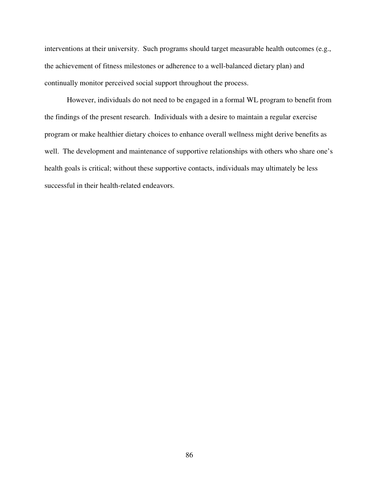interventions at their university. Such programs should target measurable health outcomes (e.g., the achievement of fitness milestones or adherence to a well-balanced dietary plan) and continually monitor perceived social support throughout the process.

However, individuals do not need to be engaged in a formal WL program to benefit from the findings of the present research. Individuals with a desire to maintain a regular exercise program or make healthier dietary choices to enhance overall wellness might derive benefits as well. The development and maintenance of supportive relationships with others who share one's health goals is critical; without these supportive contacts, individuals may ultimately be less successful in their health-related endeavors.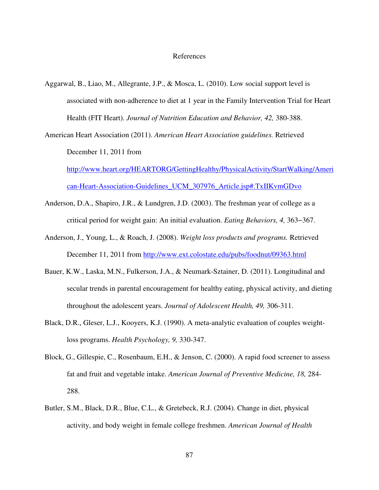#### References

Aggarwal, B., Liao, M., Allegrante, J.P., & Mosca, L. (2010). Low social support level is associated with non-adherence to diet at 1 year in the Family Intervention Trial for Heart Health (FIT Heart). *Journal of Nutrition Education and Behavior, 42,* 380-388.

American Heart Association (2011). *American Heart Association guidelines.* Retrieved December 11, 2011 from

http://www.heart.org/HEARTORG/GettingHealthy/PhysicalActivity/StartWalking/Ameri can-Heart-Association-Guidelines\_UCM\_307976\_Article.jsp#.TxIIKvmGDvo

- Anderson, D.A., Shapiro, J.R., & Lundgren, J.D. (2003). The freshman year of college as a critical period for weight gain: An initial evaluation. *Eating Behaviors, 4,* 363−367.
- Anderson, J., Young, L., & Roach, J. (2008). *Weight loss products and programs.* Retrieved December 11, 2011 from http://www.ext.colostate.edu/pubs/foodnut/09363.html
- Bauer, K.W., Laska, M.N., Fulkerson, J.A., & Neumark-Sztainer, D. (2011). Longitudinal and secular trends in parental encouragement for healthy eating, physical activity, and dieting throughout the adolescent years. *Journal of Adolescent Health, 49,* 306-311.
- Black, D.R., Gleser, L.J., Kooyers, K.J. (1990). A meta-analytic evaluation of couples weight loss programs. *Health Psychology, 9,* 330-347.
- Block, G., Gillespie, C., Rosenbaum, E.H., & Jenson, C. (2000). A rapid food screener to assess fat and fruit and vegetable intake. *American Journal of Preventive Medicine, 18,* 284- 288.
- Butler, S.M., Black, D.R., Blue, C.L., & Gretebeck, R.J. (2004). Change in diet, physical activity, and body weight in female college freshmen. *American Journal of Health*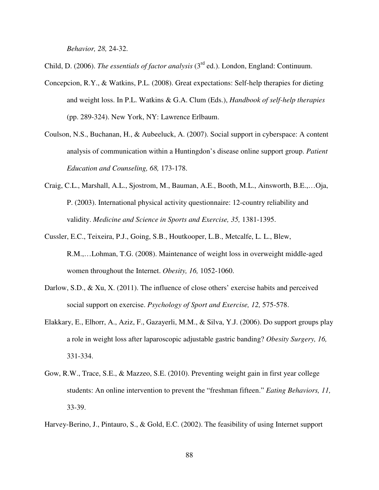*Behavior, 28,* 24-32.

Child, D. (2006). *The essentials of factor analysis* (3rd ed.). London, England: Continuum.

- Concepcion, R.Y., & Watkins, P.L. (2008). Great expectations: Self-help therapies for dieting and weight loss. In P.L. Watkins & G.A. Clum (Eds.), *Handbook of self-help therapies* (pp. 289-324). New York, NY: Lawrence Erlbaum.
- Coulson, N.S., Buchanan, H., & Aubeeluck, A. (2007). Social support in cyberspace: A content analysis of communication within a Huntingdon's disease online support group. *Patient Education and Counseling, 68,* 173-178.
- Craig, C.L., Marshall, A.L., Sjostrom, M., Bauman, A.E., Booth, M.L., Ainsworth, B.E.,…Oja, P. (2003). International physical activity questionnaire: 12-country reliability and validity. *Medicine and Science in Sports and Exercise, 35,* 1381-1395.
- Cussler, E.C., Teixeira, P.J., Going, S.B., Houtkooper, L.B., Metcalfe, L. L., Blew, R.M.,…Lohman, T.G. (2008). Maintenance of weight loss in overweight middle-aged women throughout the Internet. *Obesity, 16,* 1052-1060.
- Darlow, S.D., & Xu, X. (2011). The influence of close others' exercise habits and perceived social support on exercise. *Psychology of Sport and Exercise, 12,* 575-578.
- Elakkary, E., Elhorr, A., Aziz, F., Gazayerli, M.M., & Silva, Y.J. (2006). Do support groups play a role in weight loss after laparoscopic adjustable gastric banding? *Obesity Surgery, 16,* 331-334.
- Gow, R.W., Trace, S.E., & Mazzeo, S.E. (2010). Preventing weight gain in first year college students: An online intervention to prevent the "freshman fifteen." *Eating Behaviors, 11,*  33-39.

Harvey-Berino, J., Pintauro, S., & Gold, E.C. (2002). The feasibility of using Internet support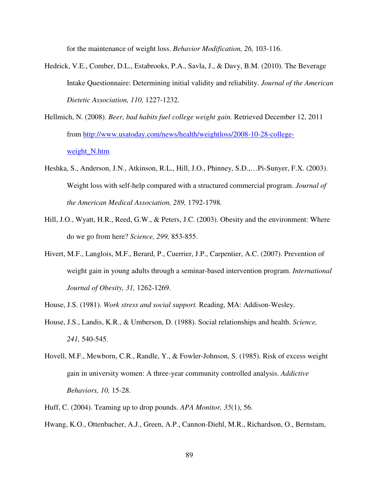for the maintenance of weight loss. *Behavior Modification, 26,* 103-116.

- Hedrick, V.E., Comber, D.L., Estabrooks, P.A., Savla, J., & Davy, B.M. (2010). The Beverage Intake Questionnaire: Determining initial validity and reliability. *Journal of the American Dietetic Association, 110,* 1227-1232.
- Hellmich, N. (2008). *Beer, bad habits fuel college weight gain.* Retrieved December 12, 2011 from http://www.usatoday.com/news/health/weightloss/2008-10-28-collegeweight\_N.htm
- Heshka, S., Anderson, J.N., Atkinson, R.L., Hill, J.O., Phinney, S.D.,…Pi-Sunyer, F.X. (2003). Weight loss with self-help compared with a structured commercial program. *Journal of the American Medical Association, 289,* 1792-1798.
- Hill, J.O., Wyatt, H.R., Reed, G.W., & Peters, J.C. (2003). Obesity and the environment: Where do we go from here? *Science, 299,* 853-855.
- Hivert, M.F., Langlois, M.F., Berard, P., Cuerrier, J.P., Carpentier, A.C. (2007). Prevention of weight gain in young adults through a seminar-based intervention program. *International Journal of Obesity, 31,* 1262-1269.
- House, J.S. (1981). *Work stress and social support.* Reading, MA: Addison-Wesley.
- House, J.S., Landis, K.R., & Umberson, D. (1988). Social relationships and health. *Science, 241,* 540-545.
- Hovell, M.F., Mewborn, C.R., Randle, Y., & Fowler-Johnson, S. (1985). Risk of excess weight gain in university women: A three-year community controlled analysis. *Addictive Behaviors, 10,* 15-28.
- Huff, C. (2004). Teaming up to drop pounds. *APA Monitor, 35*(1), 56.
- Hwang, K.O., Ottenbacher, A.J., Green, A.P., Cannon-Diehl, M.R., Richardson, O., Bernstam,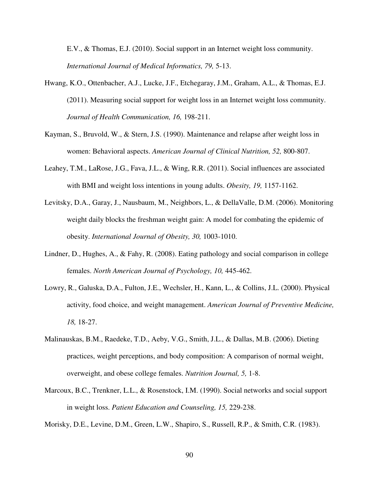E.V., & Thomas, E.J. (2010). Social support in an Internet weight loss community. *International Journal of Medical Informatics, 79,* 5-13.

- Hwang, K.O., Ottenbacher, A.J., Lucke, J.F., Etchegaray, J.M., Graham, A.L., & Thomas, E.J. (2011). Measuring social support for weight loss in an Internet weight loss community. *Journal of Health Communication, 16,* 198-211.
- Kayman, S., Bruvold, W., & Stern, J.S. (1990). Maintenance and relapse after weight loss in women: Behavioral aspects. *American Journal of Clinical Nutrition, 52,* 800-807.
- Leahey, T.M., LaRose, J.G., Fava, J.L., & Wing, R.R. (2011). Social influences are associated with BMI and weight loss intentions in young adults. *Obesity, 19,* 1157-1162.
- Levitsky, D.A., Garay, J., Nausbaum, M., Neighbors, L., & DellaValle, D.M. (2006). Monitoring weight daily blocks the freshman weight gain: A model for combating the epidemic of obesity. *International Journal of Obesity, 30,* 1003-1010.
- Lindner, D., Hughes, A., & Fahy, R. (2008). Eating pathology and social comparison in college females. *North American Journal of Psychology, 10,* 445-462.
- Lowry, R., Galuska, D.A., Fulton, J.E., Wechsler, H., Kann, L., & Collins, J.L. (2000). Physical activity, food choice, and weight management. *American Journal of Preventive Medicine, 18,* 18-27.
- Malinauskas, B.M., Raedeke, T.D., Aeby, V.G., Smith, J.L., & Dallas, M.B. (2006). Dieting practices, weight perceptions, and body composition: A comparison of normal weight, overweight, and obese college females. *Nutrition Journal, 5,* 1-8.
- Marcoux, B.C., Trenkner, L.L., & Rosenstock, I.M. (1990). Social networks and social support in weight loss. *Patient Education and Counseling, 15,* 229-238.

Morisky, D.E., Levine, D.M., Green, L.W., Shapiro, S., Russell, R.P., & Smith, C.R. (1983).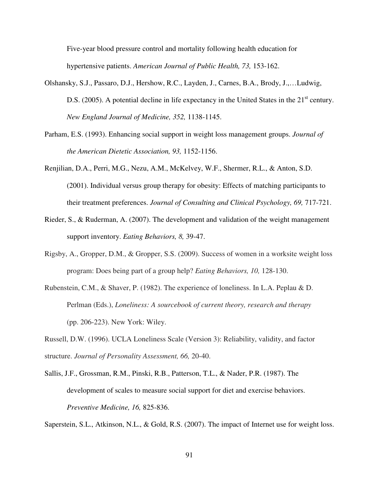Five-year blood pressure control and mortality following health education for hypertensive patients. *American Journal of Public Health, 73,* 153-162.

- Olshansky, S.J., Passaro, D.J., Hershow, R.C., Layden, J., Carnes, B.A., Brody, J.,…Ludwig, D.S. (2005). A potential decline in life expectancy in the United States in the 21<sup>st</sup> century. *New England Journal of Medicine, 352,* 1138-1145.
- Parham, E.S. (1993). Enhancing social support in weight loss management groups. *Journal of the American Dietetic Association, 93,* 1152-1156.
- Renjilian, D.A., Perri, M.G., Nezu, A.M., McKelvey, W.F., Shermer, R.L., & Anton, S.D. (2001). Individual versus group therapy for obesity: Effects of matching participants to their treatment preferences. *Journal of Consulting and Clinical Psychology, 69,* 717-721.
- Rieder, S., & Ruderman, A. (2007). The development and validation of the weight management support inventory. *Eating Behaviors, 8,* 39-47.
- Rigsby, A., Gropper, D.M., & Gropper, S.S. (2009). Success of women in a worksite weight loss program: Does being part of a group help? *Eating Behaviors, 10,* 128-130.
- Rubenstein, C.M., & Shaver, P. (1982). The experience of loneliness. In L.A. Peplau & D. Perlman (Eds.), *Loneliness: A sourcebook of current theory, research and therapy* (pp. 206-223). New York: Wiley.

Russell, D.W. (1996). UCLA Loneliness Scale (Version 3): Reliability, validity, and factor structure. *Journal of Personality Assessment, 66,* 20-40.

Sallis, J.F., Grossman, R.M., Pinski, R.B., Patterson, T.L., & Nader, P.R. (1987). The development of scales to measure social support for diet and exercise behaviors. *Preventive Medicine, 16,* 825-836.

Saperstein, S.L., Atkinson, N.L., & Gold, R.S. (2007). The impact of Internet use for weight loss.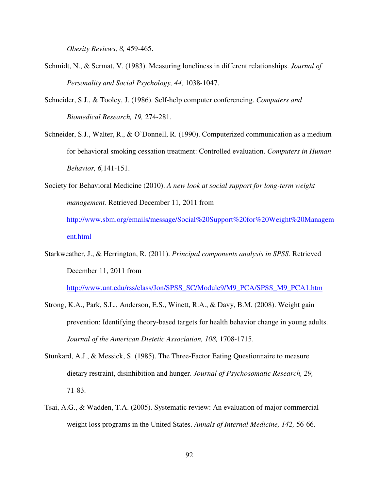*Obesity Reviews, 8,* 459-465.

- Schmidt, N., & Sermat, V. (1983). Measuring loneliness in different relationships. *Journal of Personality and Social Psychology, 44,* 1038-1047.
- Schneider, S.J., & Tooley, J. (1986). Self-help computer conferencing. *Computers and Biomedical Research, 19,* 274-281.
- Schneider, S.J., Walter, R., & O'Donnell, R. (1990). Computerized communication as a medium for behavioral smoking cessation treatment: Controlled evaluation. *Computers in Human Behavior, 6,*141-151.
- Society for Behavioral Medicine (2010). *A new look at social support for long-term weight management.* Retrieved December 11, 2011 from http://www.sbm.org/emails/message/Social%20Support%20for%20Weight%20Managem ent.html
- Starkweather, J., & Herrington, R. (2011). *Principal components analysis in SPSS.* Retrieved December 11, 2011 from

http://www.unt.edu/rss/class/Jon/SPSS\_SC/Module9/M9\_PCA/SPSS\_M9\_PCA1.htm

- Strong, K.A., Park, S.L., Anderson, E.S., Winett, R.A., & Davy, B.M. (2008). Weight gain prevention: Identifying theory-based targets for health behavior change in young adults. *Journal of the American Dietetic Association, 108,* 1708-1715.
- Stunkard, A.J., & Messick, S. (1985). The Three-Factor Eating Questionnaire to measure dietary restraint, disinhibition and hunger. *Journal of Psychosomatic Research, 29,* 71-83.
- Tsai, A.G., & Wadden, T.A. (2005). Systematic review: An evaluation of major commercial weight loss programs in the United States. *Annals of Internal Medicine, 142,* 56-66.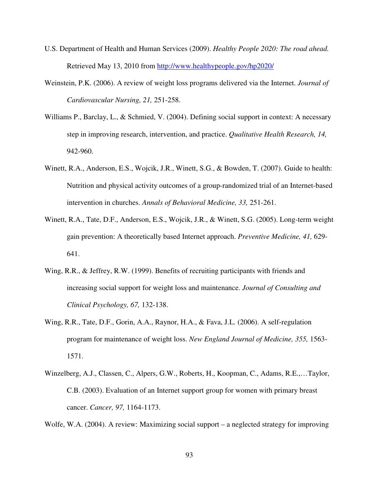- U.S. Department of Health and Human Services (2009). *Healthy People 2020: The road ahead.*  Retrieved May 13, 2010 from http://www.healthypeople.gov/hp2020/
- Weinstein, P.K. (2006). A review of weight loss programs delivered via the Internet. *Journal of Cardiovascular Nursing, 21,* 251-258.
- Williams P., Barclay, L., & Schmied, V. (2004). Defining social support in context: A necessary step in improving research, intervention, and practice. *Qualitative Health Research, 14,*  942-960.
- Winett, R.A., Anderson, E.S., Wojcik, J.R., Winett, S.G., & Bowden, T. (2007). Guide to health: Nutrition and physical activity outcomes of a group-randomized trial of an Internet-based intervention in churches. *Annals of Behavioral Medicine, 33,* 251-261.
- Winett, R.A., Tate, D.F., Anderson, E.S., Wojcik, J.R., & Winett, S.G. (2005). Long-term weight gain prevention: A theoretically based Internet approach. *Preventive Medicine, 41,* 629- 641.
- Wing, R.R., & Jeffrey, R.W. (1999). Benefits of recruiting participants with friends and increasing social support for weight loss and maintenance. *Journal of Consulting and Clinical Psychology, 67,* 132-138.
- Wing, R.R., Tate, D.F., Gorin, A.A., Raynor, H.A., & Fava, J.L. (2006). A self-regulation program for maintenance of weight loss. *New England Journal of Medicine, 355,* 1563- 1571.
- Winzelberg, A.J., Classen, C., Alpers, G.W., Roberts, H., Koopman, C., Adams, R.E.,…Taylor, C.B. (2003). Evaluation of an Internet support group for women with primary breast cancer. *Cancer, 97,* 1164-1173.

Wolfe, W.A. (2004). A review: Maximizing social support – a neglected strategy for improving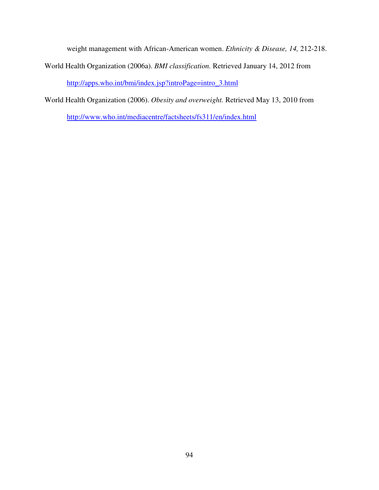weight management with African-American women. *Ethnicity & Disease, 14,* 212-218.

- World Health Organization (2006a). *BMI classification.* Retrieved January 14, 2012 from http://apps.who.int/bmi/index.jsp?introPage=intro\_3.html
- World Health Organization (2006). *Obesity and overweight.* Retrieved May 13, 2010 from http://www.who.int/mediacentre/factsheets/fs311/en/index.html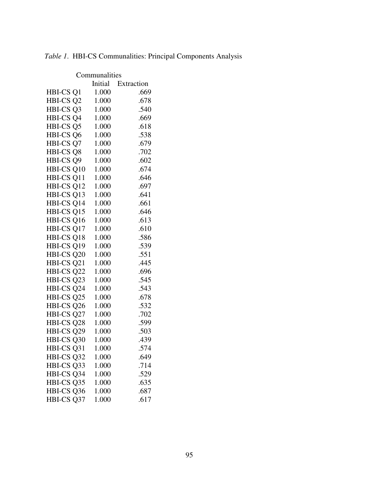| Communalities                        |       |                    |  |  |
|--------------------------------------|-------|--------------------|--|--|
|                                      |       | Initial Extraction |  |  |
| HBI-CS Q1                            | 1.000 | .669               |  |  |
| HBI-CS Q2 1.000                      |       | .678               |  |  |
| HBI-CS Q3 1.000<br>HBI-CS Q4 1.000   |       | .540               |  |  |
|                                      |       | .669               |  |  |
| HBI-CS Q5 1.000                      |       | .618               |  |  |
| HBI-CS Q6 1.000                      |       | .538               |  |  |
| HBI-CS Q7                            | 1.000 | .679               |  |  |
| HBI-CS Q8                            | 1.000 | .702               |  |  |
| HBI-CS Q9                            | 1.000 | .602               |  |  |
| HBI-CS Q10 1.000                     |       | .674               |  |  |
| HBI-CS Q11 1.000                     |       | .646               |  |  |
| HBI-CS Q12 1.000                     |       | .697               |  |  |
|                                      |       | .641               |  |  |
| HBI-CS Q13 1.000<br>HBI-CS Q14 1.000 |       | .661               |  |  |
| HBI-CS Q15 1.000                     |       | .646               |  |  |
| HBI-CS Q16 1.000                     |       | .613               |  |  |
| $HBI - CS$ Q17 1.000                 |       | .610               |  |  |
| HBI-CS Q18 1.000                     |       | .586               |  |  |
| HBI-CS Q19 1.000                     |       | .539               |  |  |
| HBI-CS Q20 1.000                     |       | .551               |  |  |
| HBI-CS Q21 1.000                     |       | .445               |  |  |
| HBI-CS Q22                           | 1.000 | .696               |  |  |
| HBI-CS Q23 1.000                     |       | .545               |  |  |
| HBI-CS Q24 1.000                     |       | .543               |  |  |
| HBI-CS Q25 1.000                     |       | .678               |  |  |
| HBI-CS Q26 1.000                     |       | .532               |  |  |
| HBI-CS Q27 1.000                     |       | .702               |  |  |
| HBI-CS Q28 1.000                     |       | .599               |  |  |
| HBI-CS Q29 1.000                     |       | .503               |  |  |
| HBI-CS Q30 1.000                     |       | .439               |  |  |
| HBI-CS Q31                           | 1.000 | .574               |  |  |
| HBI-CS Q32                           | 1.000 | .649               |  |  |
| HBI-CS Q33                           | 1.000 | .714               |  |  |
| HBI-CS Q34                           | 1.000 | .529               |  |  |
| HBI-CS Q35                           | 1.000 | .635               |  |  |
| HBI-CS Q36                           | 1.000 | .687               |  |  |
| HBI-CS Q37                           | 1.000 | .617               |  |  |

*Table 1*. HBI-CS Communalities: Principal Components Analysis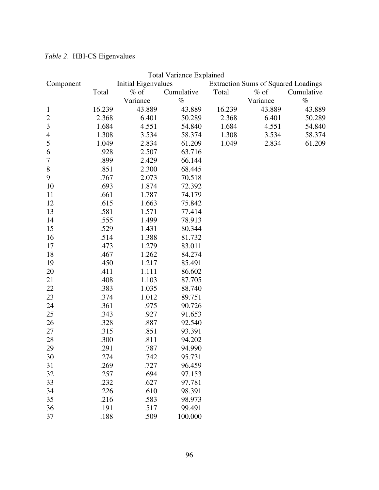|                          |        |                            | <b>Total Variance Explained</b> |        |                                            |            |
|--------------------------|--------|----------------------------|---------------------------------|--------|--------------------------------------------|------------|
| Component                |        | <b>Initial Eigenvalues</b> |                                 |        | <b>Extraction Sums of Squared Loadings</b> |            |
|                          | Total  | $%$ of                     | Cumulative                      | Total  | $%$ of                                     | Cumulative |
|                          |        | Variance                   | $\%$                            |        | Variance                                   | $\%$       |
| 1                        | 16.239 | 43.889                     | 43.889                          | 16.239 | 43.889                                     | 43.889     |
| $\overline{c}$           | 2.368  | 6.401                      | 50.289                          | 2.368  | 6.401                                      | 50.289     |
| 3                        | 1.684  | 4.551                      | 54.840                          | 1.684  | 4.551                                      | 54.840     |
| $\overline{\mathcal{A}}$ | 1.308  | 3.534                      | 58.374                          | 1.308  | 3.534                                      | 58.374     |
| 5                        | 1.049  | 2.834                      | 61.209                          | 1.049  | 2.834                                      | 61.209     |
| 6                        | .928   | 2.507                      | 63.716                          |        |                                            |            |
| $\sqrt{ }$               | .899   | 2.429                      | 66.144                          |        |                                            |            |
| $8\,$                    | .851   | 2.300                      | 68.445                          |        |                                            |            |
| 9                        | .767   | 2.073                      | 70.518                          |        |                                            |            |
| 10                       | .693   | 1.874                      | 72.392                          |        |                                            |            |
| 11                       | .661   | 1.787                      | 74.179                          |        |                                            |            |
| 12                       | .615   | 1.663                      | 75.842                          |        |                                            |            |
| 13                       | .581   | 1.571                      | 77.414                          |        |                                            |            |
| 14                       | .555   | 1.499                      | 78.913                          |        |                                            |            |
| 15                       | .529   | 1.431                      | 80.344                          |        |                                            |            |
| 16                       | .514   | 1.388                      | 81.732                          |        |                                            |            |
| 17                       | .473   | 1.279                      | 83.011                          |        |                                            |            |
| 18                       | .467   | 1.262                      | 84.274                          |        |                                            |            |
| 19                       | .450   | 1.217                      | 85.491                          |        |                                            |            |
| 20                       | .411   | 1.111                      | 86.602                          |        |                                            |            |
| 21                       | .408   | 1.103                      | 87.705                          |        |                                            |            |
| 22                       | .383   | 1.035                      | 88.740                          |        |                                            |            |
| 23                       | .374   | 1.012                      | 89.751                          |        |                                            |            |
| 24                       | .361   | .975                       | 90.726                          |        |                                            |            |
| 25                       | .343   | .927                       | 91.653                          |        |                                            |            |
| 26                       | .328   | .887                       | 92.540                          |        |                                            |            |
| 27                       | .315   | .851                       | 93.391                          |        |                                            |            |
| 28                       | .300   | .811                       | 94.202                          |        |                                            |            |
| 29                       | 291    | .787                       | 94.990                          |        |                                            |            |
| 30                       | .274   | .742                       | 95.731                          |        |                                            |            |
| 31                       | .269   | .727                       | 96.459                          |        |                                            |            |
| 32                       | .257   | .694                       | 97.153                          |        |                                            |            |
| 33                       | .232   | .627                       | 97.781                          |        |                                            |            |
| 34                       | .226   | .610                       | 98.391                          |        |                                            |            |
| 35                       | .216   | .583                       | 98.973                          |        |                                            |            |
| 36                       | .191   | .517                       | 99.491                          |        |                                            |            |
| 37                       | .188   | .509                       | 100.000                         |        |                                            |            |

# *Table 2*. HBI-CS Eigenvalues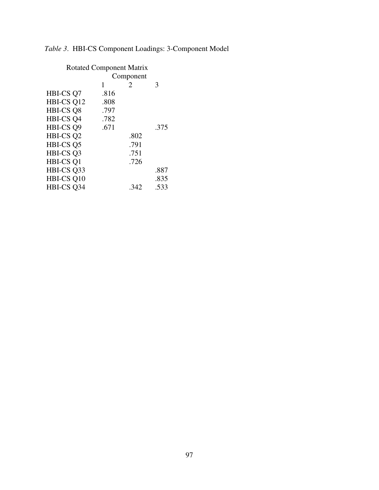# *Table 3*.HBI-CS Component Loadings: 3-Component Model

|                      | <b>Rotated Component Matrix</b> |      |      |
|----------------------|---------------------------------|------|------|
|                      | Component                       |      |      |
|                      | 1                               | 2    | 3    |
| HBI-CS Q7            | .816                            |      |      |
| HBI-CS Q12           | .808                            |      |      |
| HBI-CS Q8            | .797                            |      |      |
| HBI-CS <sub>Q4</sub> | .782                            |      |      |
| HBI-CS Q9            | .671                            |      | .375 |
| HBI-CS Q2            |                                 | .802 |      |
| HBI-CS Q5            |                                 | .791 |      |
| HBI-CS Q3            |                                 | .751 |      |
| HBI-CS Q1            |                                 | .726 |      |
| HBI-CS Q33           |                                 |      | .887 |
| HBI-CS Q10           |                                 |      | .835 |
| HBI-CS Q34           |                                 | .342 | .533 |
|                      |                                 |      |      |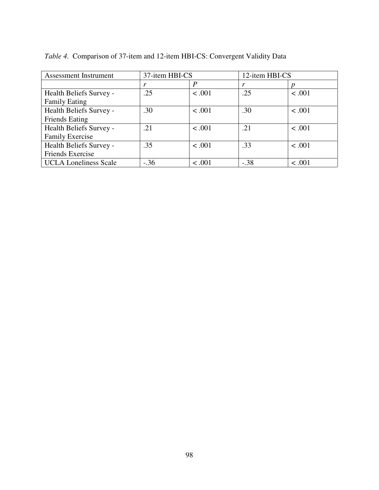| <b>Assessment Instrument</b> | 37-item HBI-CS |        | 12-item HBI-CS |        |
|------------------------------|----------------|--------|----------------|--------|
|                              |                | P      |                |        |
| Health Beliefs Survey -      | .25            | < .001 | .25            | < .001 |
| <b>Family Eating</b>         |                |        |                |        |
| Health Beliefs Survey -      | .30            | < .001 | .30            | < .001 |
| <b>Friends Eating</b>        |                |        |                |        |
| Health Beliefs Survey -      | .21            | < .001 | .21            | < .001 |
| <b>Family Exercise</b>       |                |        |                |        |
| Health Beliefs Survey -      | .35            | < .001 | .33            | < .001 |
| Friends Exercise             |                |        |                |        |
| <b>UCLA Loneliness Scale</b> | $-.36$         | < .001 | $-.38$         | < .001 |

*Table 4*. Comparison of 37-item and 12-item HBI-CS: Convergent Validity Data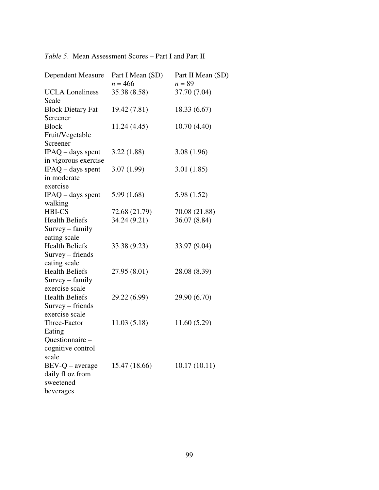# *Table 5*. Mean Assessment Scores – Part I and Part II

| <b>Dependent Measure</b>             | Part I Mean (SD)<br>$n = 466$ | Part II Mean (SD)<br>$n = 89$ |
|--------------------------------------|-------------------------------|-------------------------------|
| <b>UCLA</b> Loneliness<br>Scale      | 35.38 (8.58)                  | 37.70 (7.04)                  |
| <b>Block Dietary Fat</b><br>Screener | 19.42 (7.81)                  | 18.33(6.67)                   |
| <b>Block</b>                         | 11.24 (4.45)                  | 10.70(4.40)                   |
| Fruit/Vegetable<br>Screener          |                               |                               |
| $IPAQ$ – days spent                  | 3.22(1.88)                    | 3.08(1.96)                    |
| in vigorous exercise                 |                               |                               |
| $IPAQ$ – days spent                  | 3.07(1.99)                    | 3.01(1.85)                    |
| in moderate                          |                               |                               |
| exercise                             |                               |                               |
| $IPAQ$ – days spent                  | 5.99(1.68)                    | 5.98 (1.52)                   |
| walking                              |                               |                               |
| <b>HBI-CS</b>                        | 72.68 (21.79)                 | 70.08 (21.88)                 |
| <b>Health Beliefs</b>                | 34.24 (9.21)                  | 36.07 (8.84)                  |
| Survey - family                      |                               |                               |
| eating scale                         |                               |                               |
| <b>Health Beliefs</b>                | 33.38 (9.23)                  | 33.97 (9.04)                  |
| Survey – friends                     |                               |                               |
| eating scale                         |                               |                               |
| <b>Health Beliefs</b>                | 27.95 (8.01)                  | 28.08 (8.39)                  |
| Survey - family                      |                               |                               |
| exercise scale                       |                               |                               |
| <b>Health Beliefs</b>                | 29.22 (6.99)                  | 29.90 (6.70)                  |
| Survey – friends                     |                               |                               |
| exercise scale                       |                               |                               |
| Three-Factor                         | 11.03(5.18)                   | 11.60(5.29)                   |
| Eating                               |                               |                               |
| Questionnaire -                      |                               |                               |
| cognitive control                    |                               |                               |
| scale                                |                               |                               |
| $BEV-Q - average$                    | 15.47 (18.66)                 | 10.17(10.11)                  |
| daily fl oz from<br>sweetened        |                               |                               |
|                                      |                               |                               |
| beverages                            |                               |                               |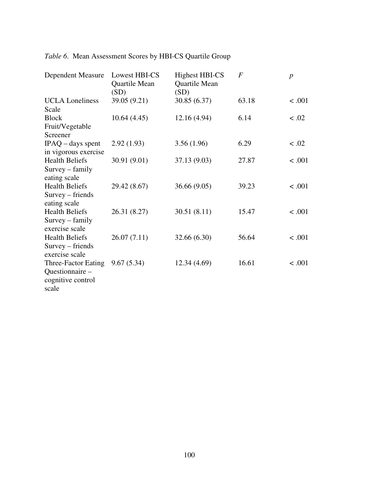| <b>Dependent Measure</b>                                             | Lowest HBI-CS<br>Quartile Mean<br>(SD) | <b>Highest HBI-CS</b><br>Quartile Mean<br>(SD) | $\overline{F}$ | $\boldsymbol{p}$ |
|----------------------------------------------------------------------|----------------------------------------|------------------------------------------------|----------------|------------------|
| <b>UCLA</b> Loneliness<br>Scale                                      | 39.05 (9.21)                           | 30.85 (6.37)                                   | 63.18          | < .001           |
| <b>Block</b><br>Fruit/Vegetable<br>Screener                          | 10.64(4.45)                            | 12.16 (4.94)                                   | 6.14           | < .02            |
| $IPAQ$ – days spent<br>in vigorous exercise                          | 2.92(1.93)                             | 3.56(1.96)                                     | 6.29           | < .02            |
| <b>Health Beliefs</b><br>Survey - family<br>eating scale             | 30.91 (9.01)                           | 37.13 (9.03)                                   | 27.87          | < .001           |
| <b>Health Beliefs</b><br>Survey – friends<br>eating scale            | 29.42 (8.67)                           | 36.66 (9.05)                                   | 39.23          | < .001           |
| <b>Health Beliefs</b><br>Survey – family<br>exercise scale           | 26.31 (8.27)                           | 30.51(8.11)                                    | 15.47          | < .001           |
| <b>Health Beliefs</b><br>Survey – friends<br>exercise scale          | 26.07(7.11)                            | 32.66 (6.30)                                   | 56.64          | < .001           |
| Three-Factor Eating<br>Questionnaire -<br>cognitive control<br>scale | 9.67(5.34)                             | 12.34 (4.69)                                   | 16.61          | < .001           |

| Table 6. Mean Assessment Scores by HBI-CS Quartile Group |  |
|----------------------------------------------------------|--|
|----------------------------------------------------------|--|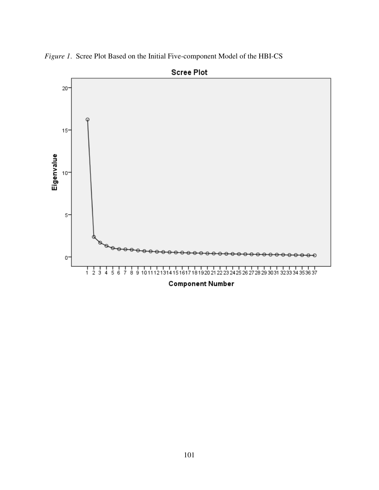

*Figure 1*. Scree Plot Based on the Initial Five-component Model of the HBI-CS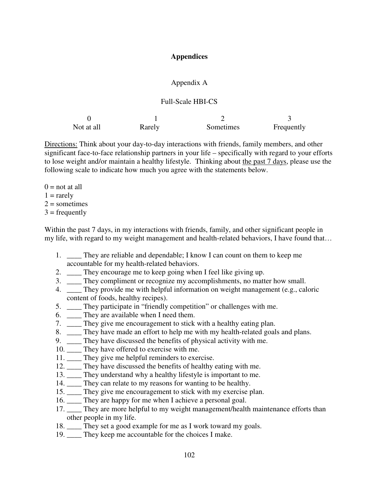## **Appendices**

### Appendix A

### Full-Scale HBI-CS

| Not at all | Rarely | Sometimes | Frequently |
|------------|--------|-----------|------------|

Directions: Think about your day-to-day interactions with friends, family members, and other significant face-to-face relationship partners in your life – specifically with regard to your efforts to lose weight and/or maintain a healthy lifestyle. Thinking about the past 7 days, please use the following scale to indicate how much you agree with the statements below.

 $0 = \text{not at all}$  $1 = \text{rarelv}$  $2 =$ sometimes  $3 = \text{frequently}$ 

Within the past 7 days, in my interactions with friends, family, and other significant people in my life, with regard to my weight management and health-related behaviors, I have found that…

- 1. \_\_\_\_ They are reliable and dependable; I know I can count on them to keep me accountable for my health-related behaviors.
- 2. \_\_\_\_ They encourage me to keep going when I feel like giving up.
- 3. \_\_\_\_ They compliment or recognize my accomplishments, no matter how small.
- 4. \_\_\_\_ They provide me with helpful information on weight management (e.g., caloric content of foods, healthy recipes).
- 5. \_\_\_\_ They participate in "friendly competition" or challenges with me.
- 6. \_\_\_\_ They are available when I need them.
- 7. \_\_\_\_ They give me encouragement to stick with a healthy eating plan.
- 8. \_\_\_\_ They have made an effort to help me with my health-related goals and plans.
- 9. \_\_\_\_ They have discussed the benefits of physical activity with me.
- 10. \_\_\_\_ They have offered to exercise with me.
- 11. \_\_\_\_ They give me helpful reminders to exercise.
- 12. \_\_\_\_ They have discussed the benefits of healthy eating with me.
- 13. They understand why a healthy lifestyle is important to me.
- 14. \_\_\_\_ They can relate to my reasons for wanting to be healthy.
- 15. \_\_\_\_ They give me encouragement to stick with my exercise plan.
- 16. \_\_\_\_ They are happy for me when I achieve a personal goal.
- 17. \_\_\_\_ They are more helpful to my weight management/health maintenance efforts than other people in my life.
- 18. They set a good example for me as I work toward my goals.
- 19. \_\_\_\_ They keep me accountable for the choices I make.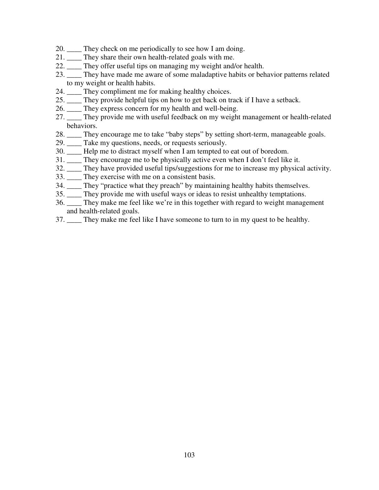- 20. They check on me periodically to see how I am doing.
- 21. \_\_\_\_ They share their own health-related goals with me.
- 22. \_\_\_\_ They offer useful tips on managing my weight and/or health.
- 23. \_\_\_\_ They have made me aware of some maladaptive habits or behavior patterns related to my weight or health habits.
- 24. \_\_\_\_ They compliment me for making healthy choices.
- 25. \_\_\_\_ They provide helpful tips on how to get back on track if I have a setback.
- 26. \_\_\_\_ They express concern for my health and well-being.
- 27. \_\_\_\_ They provide me with useful feedback on my weight management or health-related behaviors.
- 28. \_\_\_\_ They encourage me to take "baby steps" by setting short-term, manageable goals.
- 29. \_\_\_\_ Take my questions, needs, or requests seriously.
- 30. \_\_\_\_ Help me to distract myself when I am tempted to eat out of boredom.
- 31. \_\_\_\_ They encourage me to be physically active even when I don't feel like it.
- 32. \_\_\_\_ They have provided useful tips/suggestions for me to increase my physical activity.
- 33. \_\_\_\_ They exercise with me on a consistent basis.
- 34. \_\_\_\_ They "practice what they preach" by maintaining healthy habits themselves.
- 35. \_\_\_\_ They provide me with useful ways or ideas to resist unhealthy temptations.
- 36. \_\_\_\_ They make me feel like we're in this together with regard to weight management and health-related goals.
- 37. \_\_\_\_ They make me feel like I have someone to turn to in my quest to be healthy.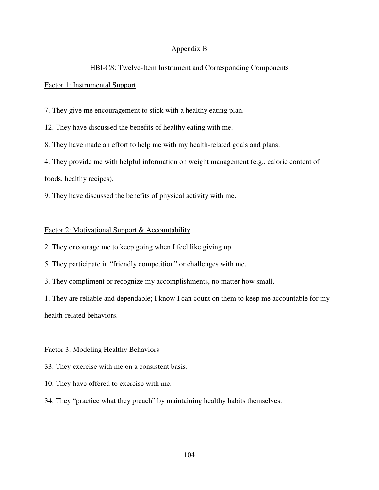# Appendix B

## HBI-CS: Twelve-Item Instrument and Corresponding Components

## Factor 1: Instrumental Support

7. They give me encouragement to stick with a healthy eating plan.

12. They have discussed the benefits of healthy eating with me.

8. They have made an effort to help me with my health-related goals and plans.

4. They provide me with helpful information on weight management (e.g., caloric content of

foods, healthy recipes).

9. They have discussed the benefits of physical activity with me.

## Factor 2: Motivational Support & Accountability

2. They encourage me to keep going when I feel like giving up.

5. They participate in "friendly competition" or challenges with me.

3. They compliment or recognize my accomplishments, no matter how small.

1. They are reliable and dependable; I know I can count on them to keep me accountable for my health-related behaviors.

#### Factor 3: Modeling Healthy Behaviors

33. They exercise with me on a consistent basis.

10. They have offered to exercise with me.

34. They "practice what they preach" by maintaining healthy habits themselves.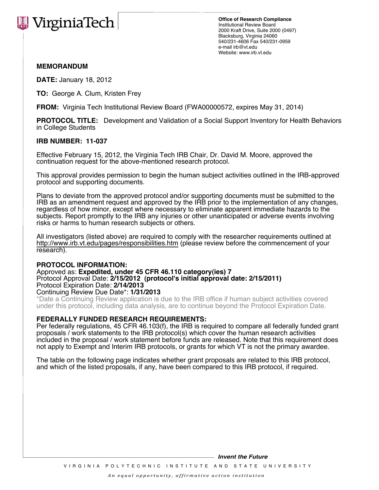

**Office of Research Compliance** Institutional Review Board 2000 Kraft Drive, Suite 2000 (0497) Blacksburg, Virginia 24060 540/231-4606 Fax 540/231-0959 e-mail irb@vt.edu Website: www.irb.vt.edu

## **MEMORANDUM**

**DATE:** January 18, 2012

**TO:** George A. Clum, Kristen Frey

**FROM:** Virginia Tech Institutional Review Board (FWA00000572, expires May 31, 2014)

**PROTOCOL TITLE:** Development and Validation of a Social Support Inventory for Health Behaviors in College Students

### **IRB NUMBER: 11-037**

Effective February 15, 2012, the Virginia Tech IRB Chair, Dr. David M. Moore, approved the continuation request for the above-mentioned research protocol.

This approval provides permission to begin the human subject activities outlined in the IRB-approved protocol and supporting documents.

Plans to deviate from the approved protocol and/or supporting documents must be submitted to the IRB as an amendment request and approved by the IRB prior to the implementation of any changes, regardless of how minor, except where necessary to eliminate apparent immediate hazards to the subjects. Report promptly to the IRB any injuries or other unanticipated or adverse events involving risks or harms to human research subjects or others.

All investigators (listed above) are required to comply with the researcher requirements outlined at http://www.irb.vt.edu/pages/responsibilities.htm (please review before the commencement of your research).

#### **PROTOCOL INFORMATION:**

Approved as: **Expedited, under 45 CFR 46.110 category(ies) 7** Protocol Approval Date: **2/15/2012 (protocol's initial approval date: 2/15/2011)** Protocol Expiration Date: **2/14/2013**

Continuing Review Due Date\*: **1/31/2013**

\*Date a Continuing Review application is due to the IRB office if human subject activities covered under this protocol, including data analysis, are to continue beyond the Protocol Expiration Date.

## **FEDERALLY FUNDED RESEARCH REQUIREMENTS:**

Per federally regulations, 45 CFR 46.103(f), the IRB is required to compare all federally funded grant proposals / work statements to the IRB protocol(s) which cover the human research activities included in the proposal / work statement before funds are released. Note that this requirement does not apply to Exempt and Interim IRB protocols, or grants for which VT is not the primary awardee.

The table on the following page indicates whether grant proposals are related to this IRB protocol, and which of the listed proposals, if any, have been compared to this IRB protocol, if required.

**Invent the Future**

VIR GINIA POLYTECHNIC INSTITUTE AND STATE UNIVERSITY